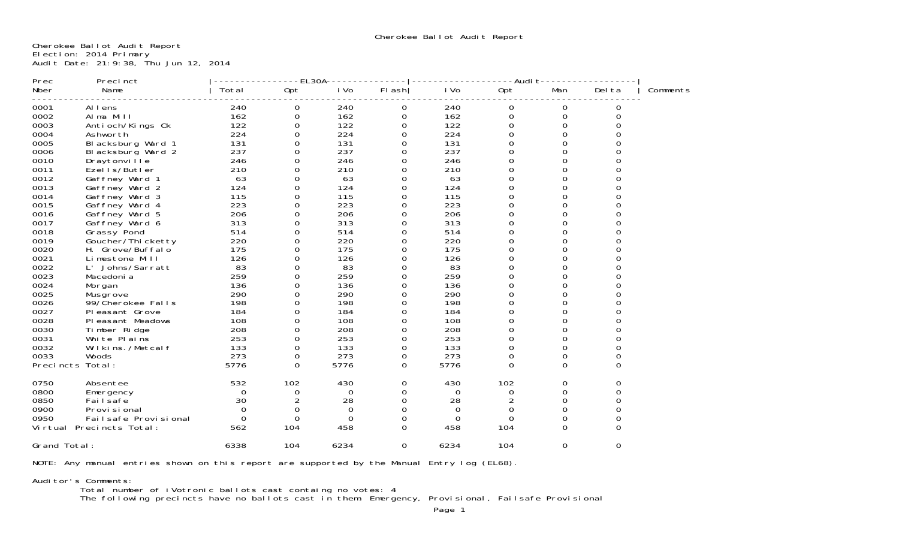Cherokee Ballot Audit Report Election: 2014 Primary Audit Date: 21:9:38, Thu Jun 12, 2014

| Prec         | Precinct                          |            | $-EL30A$ |            |             |            | -Audit-  |             |          |          |
|--------------|-----------------------------------|------------|----------|------------|-------------|------------|----------|-------------|----------|----------|
| Nber         | Name                              | Total      | Opt      | i Vo       | $FI$ ash    | i Vo       | 0pt      | Man         | Del ta   | Comments |
| 0001         | Al I ens                          | 240        | 0        | 240        | 0           | 240        | 0        | 0           | 0        |          |
| 0002         | Alma Mill                         | 162        | 0        | 162        | 0           | 162        | 0        | 0           | 0        |          |
| 0003         | Antioch/Kings Ck                  | 122        | 0        | 122        | 0           | 122        | 0        | 0           | Ω        |          |
| 0004         | Ashworth                          | 224        | 0        | 224        | 0           | 224        | 0        | 0           | O        |          |
| 0005         | Blacksburg Ward 1                 | 131        | 0        | 131        | 0           | 131        | 0        | 0           |          |          |
| 0006         | Blacksburg Ward 2                 | 237        | 0        | 237        | 0           | 237        | 0        | 0           |          |          |
| 0010         | Draytonville                      | 246        | 0        | 246        | 0           | 246        | 0        | 0           |          |          |
| 0011         | Ezells/Butler                     | 210        | 0        | 210        | 0           | 210        | 0        | 0           |          |          |
| 0012         | Gaffney Ward 1                    | 63         | 0        | 63         | 0           | 63         | 0        | 0           |          |          |
| 0013         | Gaffney Ward 2                    | 124        | 0        | 124        | 0           | 124        | 0        | 0           | O        |          |
| 0014         | Gaffney Ward 3                    | 115        | 0        | 115        | 0           | 115        | 0        | 0           |          |          |
| 0015         | Gaffney Ward 4                    | 223        | 0        | 223        | 0           | 223        | 0        | 0           |          |          |
| 0016         | Gaffney Ward 5                    | 206        | 0<br>0   | 206        | 0<br>0      | 206        | 0<br>0   | 0<br>0      |          |          |
| 0017<br>0018 | Gaffney Ward 6                    | 313<br>514 | 0        | 313<br>514 | 0           | 313<br>514 | 0        | 0           |          |          |
| 0019         | Grassy Pond<br>Goucher/Thi cketty | 220        | 0        | 220        | 0           | 220        | 0        | 0           |          |          |
| 0020         | H. Grove/Buffalo                  | 175        | 0        | 175        | 0           | 175        | 0        | 0           |          |          |
| 0021         | Limestone Mill                    | 126        | 0        | 126        | 0           | 126        | 0        | 0           |          |          |
| 0022         | L' Johns/Sarratt                  | 83         | 0        | 83         | 0           | 83         | 0        | 0           |          |          |
| 0023         | Macedoni a                        | 259        | 0        | 259        | 0           | 259        | 0        | 0           |          |          |
| 0024         | Morgan                            | 136        | 0        | 136        | 0           | 136        | 0        | 0           |          |          |
| 0025         | Musgrove                          | 290        | 0        | 290        | 0           | 290        | 0        | 0           |          |          |
| 0026         | 99/Cherokee Falls                 | 198        | 0        | 198        | 0           | 198        | 0        | 0           |          |          |
| 0027         | Pleasant Grove                    | 184        | 0        | 184        | 0           | 184        | 0        | 0           |          |          |
| 0028         | Pleasant Meadows                  | 108        | 0        | 108        | 0           | 108        | 0        | 0           |          |          |
| 0030         | Timber Ridge                      | 208        | 0        | 208        | 0           | 208        | 0        | 0           |          |          |
| 0031         | White Plains                      | 253        | 0        | 253        | 0           | 253        | 0        | 0           | 0        |          |
| 0032         | Wilkins./Metcalf                  | 133        | 0        | 133        | 0           | 133        | $\Omega$ | 0           | O        |          |
| 0033         | Woods                             | 273        | 0        | 273        | 0           | 273        | 0        | 0           | 0        |          |
| Precincts    | Total:                            | 5776       | 0        | 5776       | 0           | 5776       | $\Omega$ | 0           | $\Omega$ |          |
| 0750         | Absentee                          | 532        | 102      | 430        | 0           | 430        | 102      | 0           | O        |          |
| 0800         | Emergency                         | 0          | 0        | 0          | 0           | 0          | 0        | 0           | 0        |          |
| 0850         | Failsafe                          | 30         | 2        | 28         | 0           | 28         | 2        | 0           | 0        |          |
| 0900         | Provi si onal                     | 0          | 0        | 0          | 0           | 0          | 0        | 0           | 0        |          |
| 0950         | Failsafe Provisional              | $\Omega$   | 0        | 0          | 0           | 0          | 0        | 0           | 0        |          |
| Vi rtual     | Precincts Total:                  | 562        | 104      | 458        | 0           | 458        | 104      | 0           | $\Omega$ |          |
| Grand Total: |                                   | 6338       | 104      | 6234       | $\mathbf 0$ | 6234       | 104      | $\mathbf 0$ | $\Omega$ |          |

NOTE: Any manual entries shown on this report are supported by the Manual Entry log (EL68).

Auditor's Comments:

Total number of iVotronic ballots cast containg no votes: 4

The following precincts have no ballots cast in them: Emergency, Provisional, Failsafe Provisional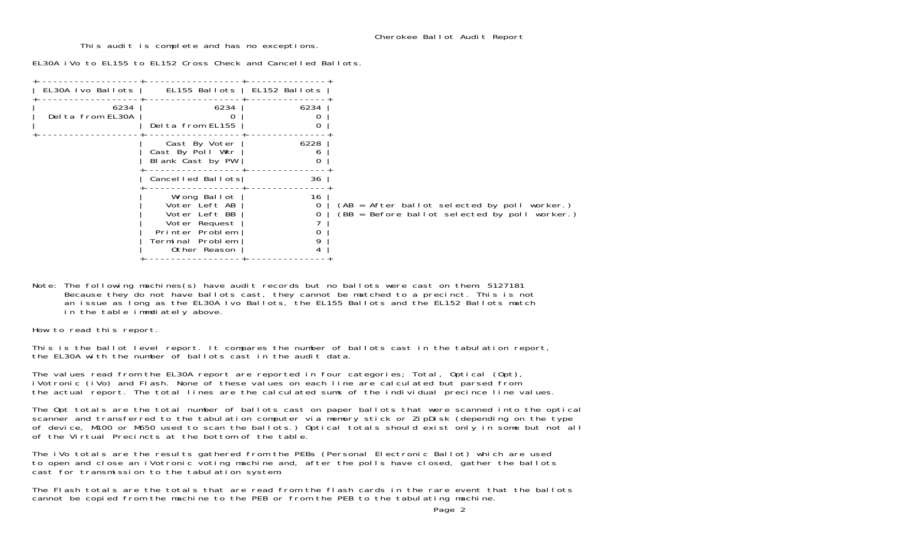This audit is complete and has no exceptions.

EL30A iVo to EL155 to EL152 Cross Check and Cancelled Ballots.

| EL30A Ivo Ballots        | EL155 Ballots   EL152 Ballots                                                                                          |           |                                                                                               |
|--------------------------|------------------------------------------------------------------------------------------------------------------------|-----------|-----------------------------------------------------------------------------------------------|
| 6234<br>Delta from EL30A | 6234<br>Delta from EL155                                                                                               | 6234      |                                                                                               |
|                          | Cast By Voter<br>Cast By Poll Wkr<br>Blank Cast by PW                                                                  | 6228<br>n |                                                                                               |
|                          | Cancelled Ballots                                                                                                      | 36        |                                                                                               |
|                          | Wrong Ballot<br>Voter Left AB<br>Voter Left BB<br>Voter Request<br>Printer Problem<br>Terminal Problem<br>Other Reason | 16<br>0   | (AB = After ballot selected by poll worker.)<br>(BB = Before ballot selected by poll worker.) |

Note: The following machines(s) have audit records but no ballots were cast on them: 5127181 Because they do not have ballots cast, they cannot be matched to a precinct. This is not an issue as long as the EL30A Ivo Ballots, the EL155 Ballots and the EL152 Ballots match in the table immdiately above.

How to read this report.

This is the ballot level report. It compares the number of ballots cast in the tabulation report, the EL30A with the number of ballots cast in the audit data.

The values read from the EL30A report are reported in four categories; Total, Optical (Opt), iVotronic (iVo) and Flash. None of these values on each line are calculated but parsed from the actual report. The total lines are the calculated sums of the individual precince line values.

The Opt totals are the total number of ballots cast on paper ballots that were scanned into the optical<br>scanner and transferred to the tabulation computer via memory stick or ZipDisk (depending on the type of device, M100 or M650 used to scan the ballots.) Optical totals should exist only in some but not all of the Virtual Precincts at the bottom of the table.

The iVo totals are the results gathered from the PEBs (Personal Electronic Ballot) which are used to open and close an iVotronic voting machine and, after the polls have closed, gather the ballots cast for transmission to the tabulation system.

The Flash totals are the totals that are read from the flash cards in the rare event that the ballots cannot be copied from the machine to the PEB or from the PEB to the tabulating machine.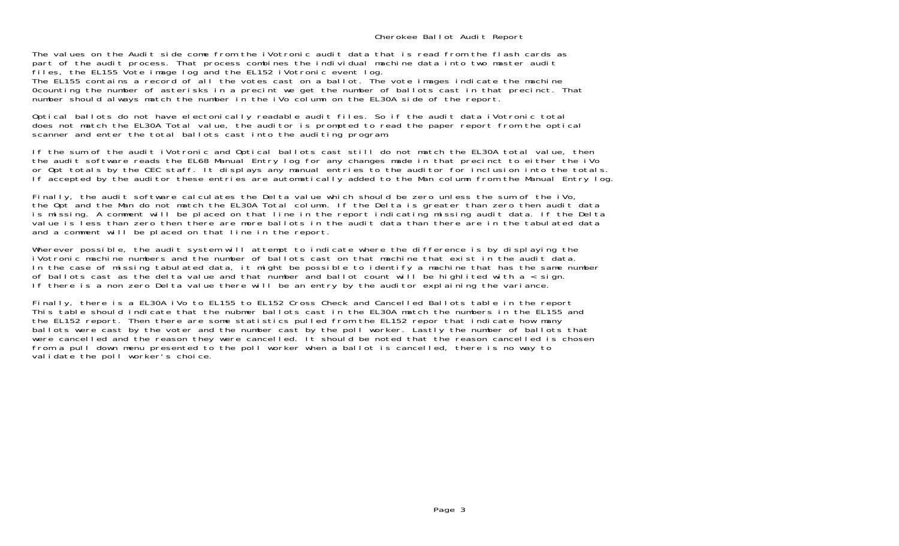The values on the Audit side come from the iVotronic audit data that is read from the flash cards as part of the audit process. That process combines the individual machine data into two master audit files, the EL155 Vote image log and the EL152 iVotronic event log.

The EL155 contains a record of all the votes cast on a ballot. The vote images indicate the machine 0counting the number of asterisks in a precint we get the number of ballots cast in that precinct. That number should always match the number in the iVo column on the EL30A side of the report.

Optical ballots do not have electonically readable audit files. So if the audit data iVotronic total does not match the EL30A Total value, the auditor is prompted to read the paper report from the optical scanner and enter the total ballots cast into the auditing program.

If the sum of the audit iVotronic and Optical ballots cast still do not match the EL30A total value, then the audit software reads the EL68 Manual Entry log for any changes made in that precinct to either the iVo or Opt totals by the CEC staff. It displays any manual entries to the auditor for inclusion into the totals. If accepted by the auditor these entries are automatically added to the Man column from the Manual Entry log.

Finally, the audit software calculates the Delta value which should be zero unless the sum of the iVo, the Opt and the Man do not match the EL30A Total column. If the Delta is greater than zero then audit data is missing. A comment will be placed on that line in the report indicating missing audit data. If the Delta value is less than zero then there are more ballots in the audit data than there are in the tabulated data and a comment will be placed on that line in the report.

Wherever possible, the audit system will attempt to indicate where the difference is by displaying the iVotronic machine numbers and the number of ballots cast on that machine that exist in the audit data.In the case of missing tabulated data, it might be possible to identify a machine that has the same number of ballots cast as the delta value and that number and ballot count will be highlited with a  $\lt$  sign. If there is a non zero Delta value there will be an entry by the auditor explaining the variance.

Finally, there is a EL30A iVo to EL155 to EL152 Cross Check and Cancelled Ballots table in the report This table should indicate that the nubmer ballots cast in the EL30A match the numbers in the EL155 and the EL152 report. Then there are some statistics pulled from the EL152 repor that indicate how many ballots were cast by the voter and the number cast by the poll worker. Lastly the number of ballots that were cancelled and the reason they were cancelled. It should be noted that the reason cancelled is chosen from a pull down menu presented to the poll worker when a ballot is cancelled, there is no way to validate the poll worker's choice.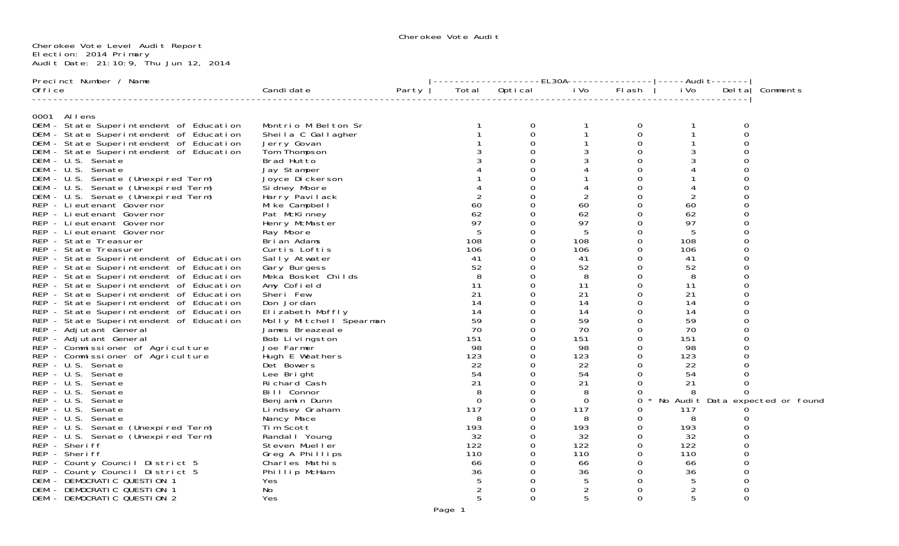Cherokee Vote Audi t

#### Cherokee Vote Level Audit Report Election: 2014 Primary Audit Date: 21:10:9, Thu Jun 12, 2014

| Precinct Number / Name                                                             |                                    |       |             | -------------------EL30A---------------- -----Audi                          t------- |                |               |                |          |                                 |
|------------------------------------------------------------------------------------|------------------------------------|-------|-------------|--------------------------------------------------------------------------------------|----------------|---------------|----------------|----------|---------------------------------|
| Office                                                                             | Candi date                         | Party |             | Total Optical                                                                        | i Vo           | Fl ash        | i Vo           | $Del$ ta | Comments                        |
| 0001 Allens                                                                        |                                    |       |             |                                                                                      |                |               |                |          |                                 |
| DEM - State Superintendent of Education                                            | Montrio M Belton Sr                |       |             | 0                                                                                    |                | 0             |                | 0        |                                 |
| DEM - State Superintendent of Education                                            | Sheila C Gallagher                 |       |             | $\mathbf 0$                                                                          |                | $\Omega$      |                | $\Omega$ |                                 |
| DEM - State Superintendent of Education                                            | Jerry Govan                        |       |             | $\Omega$                                                                             |                | 0             |                |          |                                 |
| DEM - State Superintendent of Education                                            | Tom Thompson                       |       |             | 0                                                                                    | 3              | 0             | 3              |          |                                 |
| DEM - U.S. Senate                                                                  | Brad Hutto                         |       |             | 0                                                                                    | 3              | O             |                |          |                                 |
| DEM - U.S. Senate                                                                  | Jay Stamper                        |       |             | ∩                                                                                    |                | ∩             |                |          |                                 |
| DEM - U.S. Senate (Unexpired Term)                                                 | Joyce Dickerson                    |       |             | 0                                                                                    |                | ∩             |                |          |                                 |
| DEM - U.S. Senate (Unexpired Term)                                                 | Si dney Moore                      |       |             | 0                                                                                    |                | ∩             |                |          |                                 |
| DEM - U.S. Senate (Unexpired Term)                                                 | Harry Pavilack                     |       |             | O                                                                                    | $\overline{2}$ |               | 2              |          |                                 |
| REP - Lieutenant Governor                                                          | Mike Campbell                      |       | 60          | 0                                                                                    | 60             | O             | 60             |          |                                 |
| REP - Lieutenant Governor                                                          | Pat McKinney                       |       | 62          | $\Omega$                                                                             | 62             | $\Omega$      | 62             |          |                                 |
| REP - Lieutenant Governor                                                          | Henry McMaster                     |       | 97          | 0                                                                                    | 97             | 0             | 97             |          |                                 |
| REP - Lieutenant Governor                                                          | Ray Moore                          |       |             | $\Omega$                                                                             | 5              | 0             | 5              |          |                                 |
| REP - State Treasurer                                                              | Brian Adams                        |       | 108         | 0<br>$\Omega$                                                                        | 108            | 0<br>$\Omega$ | 108            |          |                                 |
| REP - State Treasurer                                                              | Curtis Loftis                      |       | 106<br>41   | 0                                                                                    | 106<br>41      | 0             | 106<br>41      |          |                                 |
| REP - State Superintendent of Education                                            | Sally Atwater                      |       | 52          | 0                                                                                    | 52             | $\Omega$      | 52             |          |                                 |
| REP - State Superintendent of Education<br>REP - State Superintendent of Education | Gary Burgess<br>Meka Bosket Childs |       | 8           | $\Omega$                                                                             | -8             | 0             | 8              |          |                                 |
| REP - State Superintendent of Education                                            | Amy Cofield                        |       | 11          | 0                                                                                    | 11             | 0             | 11             |          |                                 |
| REP - State Superintendent of Education                                            | Sheri Few                          |       | 21          | $\Omega$                                                                             | 21             | $\Omega$      | 21             |          |                                 |
| REP - State Superintendent of Education                                            | Don Jordan                         |       | 14          | 0                                                                                    | 14             | 0             | 14             |          |                                 |
| REP - State Superintendent of Education                                            | Elizabeth Moffly                   |       | 14          | $\Omega$                                                                             | 14             | $\Omega$      | 14             |          |                                 |
| REP - State Superintendent of Education                                            | Molly Mitchell Spearman            |       | 59          | 0                                                                                    | 59             | 0             | 59             |          |                                 |
| REP - Adjutant General                                                             | James Breazeale                    |       | 70          | $\Omega$                                                                             | 70             | 0             | 70             |          |                                 |
| REP - Adjutant General                                                             | Bob Livingston                     |       | 151         | 0                                                                                    | 151            | 0             | 151            |          |                                 |
| REP - Commissioner of Agriculture                                                  | Joe Farmer                         |       | 98          | $\Omega$                                                                             | 98             | $\Omega$      | 98             |          |                                 |
| REP - Commissioner of Agriculture                                                  | Hugh E Weathers                    |       | 123         | $\Omega$                                                                             | 123            | $\Omega$      | 123            |          |                                 |
| REP - U.S. Senate                                                                  | Det Bowers                         |       | 22          | $\Omega$                                                                             | 22             | 0             | 22             |          |                                 |
| REP - U.S. Senate                                                                  | Lee Bright                         |       | 54          | 0                                                                                    | 54             | 0             | 54             |          |                                 |
| REP - U.S. Senate                                                                  | Ri chard Cash                      |       | 21          | $\Omega$                                                                             | 21             | 0             | 21             |          |                                 |
| REP - U.S. Senate                                                                  | Bill Connor                        |       | 8           | 0                                                                                    | 8              | 0             | 8              |          |                                 |
| REP - U.S. Senate                                                                  | Benjamin Dunn                      |       | $\mathbf 0$ | 0                                                                                    | 0              | 0             |                |          | No Audit Data expected or found |
| REP - U.S. Senate                                                                  | Lindsey Graham                     |       | 117         | $\Omega$                                                                             | 117            | 0             | 117            |          |                                 |
| REP - U.S. Senate                                                                  | Nancy Mace                         |       | 8           | 0                                                                                    | -8             | 0             | 8              |          |                                 |
| REP - U.S. Senate (Unexpired Term)                                                 | Tim Scott                          |       | 193         | 0                                                                                    | 193            | 0             | 193            |          |                                 |
| REP - U.S. Senate (Unexpired Term)                                                 | Randal I Young                     |       | 32          | 0                                                                                    | 32             | 0             | 32             |          |                                 |
| REP - Sheriff                                                                      | Steven Mueller                     |       | 122         | 0                                                                                    | 122            | 0             | 122            |          |                                 |
| REP - Sheriff                                                                      | Greg A Phillips                    |       | 110         | $\Omega$                                                                             | 110            | 0             | 110            |          |                                 |
| REP - County Council District 5                                                    | Charles Mathis                     |       | 66          | $\Omega$                                                                             | 66             | 0             | 66             |          |                                 |
| REP - County Council District 5                                                    | Phillip McHam                      |       | 36          | $\Omega$                                                                             | 36             | $\Omega$      | 36             |          |                                 |
| DEM - DEMOCRATIC QUESTION 1                                                        | Yes                                |       |             | $\Omega$                                                                             |                | $\Omega$      |                |          |                                 |
| DEM - DEMOCRATIC QUESTION 1                                                        | No                                 |       |             | 0                                                                                    |                | 0             | $\overline{2}$ |          |                                 |
| DEM - DEMOCRATIC OUFSTION 2                                                        | Yes                                |       |             | 0                                                                                    |                | $\Omega$      |                |          |                                 |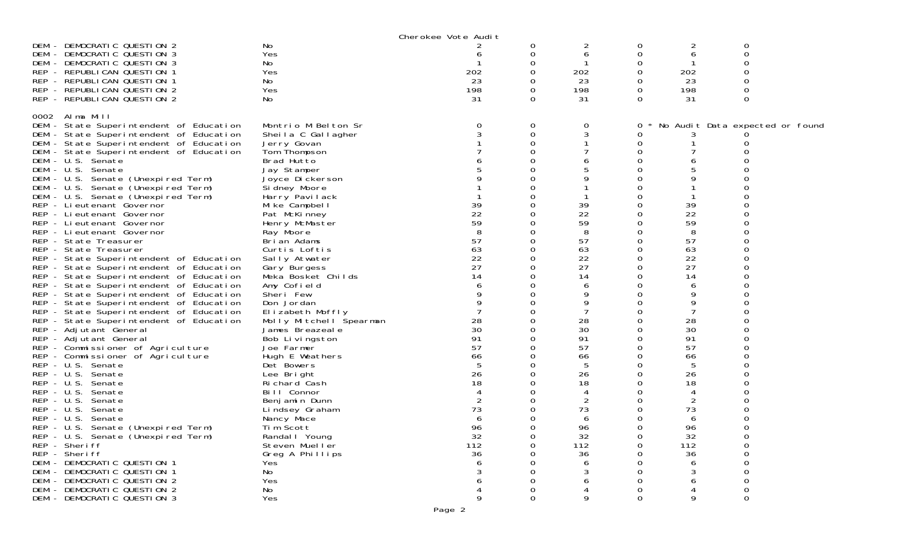|                                                                                                                                                                                                                                                                                                                                                                                                                                                                                                                                                                                                                                                                                                                                                                                                                                                                                                                                                                                                                                                                                                                                                                                                                                                                                                                                                                                                                 |                                                                                                                                                                                                                                                                                                                                                                                                                                                                                                                                                                                                                                                                                             | Cherokee Vote Audit                                                                                                                  |                                                                                                   |                                                                                                                                                                              |                                                                                                  |                                                                                                                                                               |                                      |
|-----------------------------------------------------------------------------------------------------------------------------------------------------------------------------------------------------------------------------------------------------------------------------------------------------------------------------------------------------------------------------------------------------------------------------------------------------------------------------------------------------------------------------------------------------------------------------------------------------------------------------------------------------------------------------------------------------------------------------------------------------------------------------------------------------------------------------------------------------------------------------------------------------------------------------------------------------------------------------------------------------------------------------------------------------------------------------------------------------------------------------------------------------------------------------------------------------------------------------------------------------------------------------------------------------------------------------------------------------------------------------------------------------------------|---------------------------------------------------------------------------------------------------------------------------------------------------------------------------------------------------------------------------------------------------------------------------------------------------------------------------------------------------------------------------------------------------------------------------------------------------------------------------------------------------------------------------------------------------------------------------------------------------------------------------------------------------------------------------------------------|--------------------------------------------------------------------------------------------------------------------------------------|---------------------------------------------------------------------------------------------------|------------------------------------------------------------------------------------------------------------------------------------------------------------------------------|--------------------------------------------------------------------------------------------------|---------------------------------------------------------------------------------------------------------------------------------------------------------------|--------------------------------------|
| DEM - DEMOCRATIC QUESTION 2<br>DEM - DEMOCRATIC QUESTION 3<br>DEM - DEMOCRATIC QUESTION 3<br>REP - REPUBLICAN QUESTION 1<br>REP - REPUBLICAN QUESTION 1<br>REP - REPUBLICAN QUESTION 2<br>REP - REPUBLICAN QUESTION 2                                                                                                                                                                                                                                                                                                                                                                                                                                                                                                                                                                                                                                                                                                                                                                                                                                                                                                                                                                                                                                                                                                                                                                                           | No<br>Yes<br>No<br>Yes<br>No<br>Yes<br>No                                                                                                                                                                                                                                                                                                                                                                                                                                                                                                                                                                                                                                                   | 6<br>202<br>23<br>198<br>31                                                                                                          | 0<br>0<br>0<br>0<br>0<br>0<br>0                                                                   | 2<br>6<br>202<br>23<br>198<br>31                                                                                                                                             | 0<br>0<br>0<br>0<br>0<br>0<br>0                                                                  | 2<br>6<br>202<br>23<br>198<br>31                                                                                                                              | 0<br>O<br>0                          |
| 0002 Alma Mill<br>DEM - State Superintendent of Education<br>DEM - State Superintendent of Education<br>DEM - State Superintendent of Education<br>DEM - State Superintendent of Education<br>DEM - U.S. Senate<br>DEM - U.S. Senate<br>DEM - U.S. Senate (Unexpired Term)<br>DEM - U.S. Senate (Unexpired Term)<br>DEM - U.S. Senate (Unexpired Term)<br>REP - Lieutenant Governor<br>REP - Lieutenant Governor<br>REP - Lieutenant Governor<br>REP - Lieutenant Governor<br>REP - State Treasurer<br>REP - State Treasurer<br>REP - State Superintendent of Education<br>REP - State Superintendent of Education<br>REP - State Superintendent of Education<br>REP - State Superintendent of Education<br>REP - State Superintendent of Education<br>REP - State Superintendent of Education<br>REP - State Superintendent of Education<br>REP - State Superintendent of Education<br>REP - Adjutant General<br>REP - Adjutant General<br>REP - Commissioner of Agriculture<br>REP - Commissioner of Agriculture<br>REP - U.S. Senate<br>REP - U.S. Senate<br>REP - U.S. Senate<br>REP - U.S. Senate<br>REP - U.S. Senate<br>REP - U.S. Senate<br>REP - U.S. Senate<br>REP - U.S. Senate (Unexpired Term)<br>REP - U.S. Senate (Unexpired Term)<br>REP - Sheriff<br>REP - Sheriff<br>DEM - DEMOCRATIC QUESTION 1<br>DEM - DEMOCRATIC QUESTION 1<br>DEM - DEMOCRATIC QUESTION 2<br>DEM - DEMOCRATIC QUESTION 2 | Montrio M Belton Sr<br>Sheila C Gallagher<br>Jerry Govan<br>Tom Thompson<br>Brad Hutto<br>Jay Stamper<br>Joyce Dickerson<br>Si dney Moore<br>Harry Pavilack<br>Mike Campbell<br>Pat McKinney<br>Henry McMaster<br>Ray Moore<br>Brian Adams<br>Curtis Loftis<br>Sally Atwater<br>Gary Burgess<br>Meka Bosket Childs<br>Amy Cofield<br>Sheri Few<br>Don Jordan<br>Elizabeth Moffly<br>Molly Mitchell Spearman<br>James Breazeale<br>Bob Livingston<br>Joe Farmer<br>Hugh E Weathers<br>Det Bowers<br>Lee Bright<br>Richard Cash<br>Bill Connor<br>Benjamin Dunn<br>Lindsey Graham<br>Nancy Mace<br>Tim Scott<br>Randal I Young<br>Steven Mueller<br>Greg A Phillips<br>Yes<br>No<br>Yes<br>No | 0<br>39<br>22<br>59<br>8<br>57<br>63<br>22<br>27<br>14<br>28<br>30<br>91<br>57<br>66<br>26<br>18<br>73<br>6<br>96<br>32<br>112<br>36 | 0<br>0<br>0<br>0<br>0<br>0<br>0<br>0<br><sup>o</sup><br>0<br>0<br>0<br>0<br>0<br>Ω<br>∩<br>0<br>O | 0<br>9<br>39<br>22<br>59<br>8<br>57<br>63<br>22<br>27<br>14<br>6<br>9<br>9<br>28<br>30<br>91<br>57<br>66<br>5<br>26<br>18<br>4<br>73<br>6<br>96<br>32<br>112<br>36<br>6<br>4 | 0<br>O<br>0<br>Ω<br>O<br>Ω<br>0<br>0<br>0<br>0<br>Ω<br>O<br>O<br>O<br>Ω<br>0<br>O<br>∩<br>0<br>Ω | 39<br>22<br>59<br>8<br>57<br>63<br>22<br>27<br>14<br>6<br>9<br>9<br>7<br>28<br>30<br>91<br>57<br>66<br>5<br>26<br>18<br>4<br>73<br>6<br>96<br>32<br>112<br>36 | No Audit Data expected or found<br>0 |
| DEM - DEMOCRATIC QUESTION 3                                                                                                                                                                                                                                                                                                                                                                                                                                                                                                                                                                                                                                                                                                                                                                                                                                                                                                                                                                                                                                                                                                                                                                                                                                                                                                                                                                                     | Yes                                                                                                                                                                                                                                                                                                                                                                                                                                                                                                                                                                                                                                                                                         | 4<br>9                                                                                                                               | O<br>0                                                                                            | 9                                                                                                                                                                            | 0<br>0                                                                                           | $\mathsf Q$                                                                                                                                                   | 0                                    |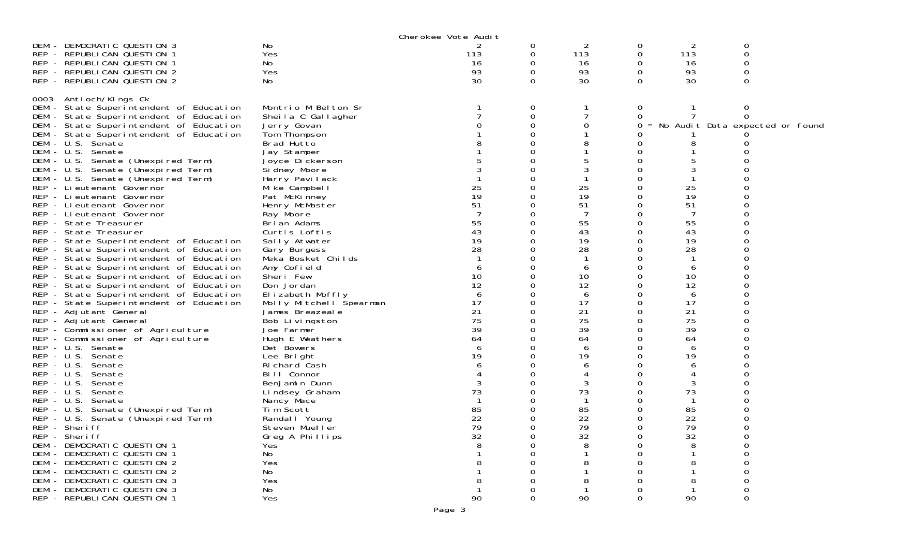|                                                                                                                                                                                                                                                                   |                                                                                                                           | Cherokee Vote Audit                   |                            |                                       |                       |                                       |                                      |
|-------------------------------------------------------------------------------------------------------------------------------------------------------------------------------------------------------------------------------------------------------------------|---------------------------------------------------------------------------------------------------------------------------|---------------------------------------|----------------------------|---------------------------------------|-----------------------|---------------------------------------|--------------------------------------|
| DEM - DEMOCRATIC QUESTION 3<br>REP - REPUBLICAN QUESTION 1<br>REP - REPUBLICAN QUESTION 1<br>REP - REPUBLICAN QUESTION 2<br>REP - REPUBLICAN QUESTION 2                                                                                                           | No<br>Yes<br>No<br><b>Yes</b><br>No                                                                                       | 2<br>113<br>16<br>93<br>30            | 0<br>0<br>0<br>0<br>0      | 2<br>113<br>16<br>93<br>30            | 0<br>0<br>0<br>0<br>0 | 2<br>113<br>16<br>93<br>30            | $\mathbf 0$<br>0                     |
| 0003 Antioch/Kings Ck<br>DEM - State Superintendent of Education<br>DEM - State Superintendent of Education<br>DEM - State Superintendent of Education<br>DEM - State Superintendent of Education<br>DEM - U.S. Senate                                            | Montrio M Belton Sr<br>Sheila C Gallagher<br>Jerry Govan<br>Tom Thompson<br>Brad Hutto                                    |                                       | 0<br>0<br>Ω<br>Ω           | 0<br>8                                | $\mathbf{O}$<br>0     |                                       | 0<br>No Audit Data expected or found |
| DEM - U.S. Senate<br>DEM - U.S. Senate (Unexpired Term)<br>DEM - U.S. Senate (Unexpired Term)<br>DEM - U.S. Senate (Unexpired Term)<br>REP - Lieutenant Governor<br>REP - Lieutenant Governor<br>REP - Lieutenant Governor                                        | Jay Stamper<br>Joyce Dickerson<br>Sidney Moore<br>Harry Pavilack<br>Mike Campbell<br>Pat McKinney<br>Henry McMaster       | 25<br>19<br>51                        | 0<br>Ω<br>Ω<br>Ω<br>0      | 25<br>19<br>51                        |                       | 3<br>25<br>19<br>51                   |                                      |
| REP - Lieutenant Governor<br>REP - State Treasurer<br>REP - State Treasurer<br>REP - State Superintendent of Education<br>REP - State Superintendent of Education<br>REP - State Superintendent of Education<br>REP - State Superintendent of Education           | Ray Moore<br>Brian Adams<br>Curtis Loftis<br>Sally Atwater<br>Gary Burgess<br>Meka Bosket Childs<br>Amy Cofield           | 55<br>43<br>19<br>28<br>6             | O<br>0<br>Ω<br>Ω<br>0<br>0 | 7<br>55<br>43<br>19<br>28<br>-1<br>6  |                       | 55<br>43<br>19<br>28<br>6             |                                      |
| REP - State Superintendent of Education<br>REP - State Superintendent of Education<br>REP - State Superintendent of Education<br>REP - State Superintendent of Education<br>REP - Adjutant General<br>REP - Adjutant General<br>REP - Commissioner of Agriculture | Sheri Few<br>Don Jordan<br>Elizabeth Moffly<br>Molly Mitchell Spearman<br>James Breazeale<br>Bob Livingston<br>Joe Farmer | 10<br>12<br>6<br>17<br>21<br>75<br>39 | 0<br>0<br>0<br>Ω<br>O<br>0 | 10<br>12<br>6<br>17<br>21<br>75<br>39 |                       | 10<br>12<br>6<br>17<br>21<br>75<br>39 |                                      |
| REP - Commissioner of Agriculture<br>REP - U.S. Senate<br>REP - U.S. Senate<br>REP - U.S. Senate<br>$REP - U.S.$<br>Senate<br>$REP - U.S.$<br>Senate<br>REP - U.S. Senate                                                                                         | Hugh E Weathers<br>Det Bowers<br>Lee Bright<br>Richard Cash<br>Bill Connor<br>Benjamin Dunn<br>Lindsey Graham             | 64<br>6<br>19<br>3<br>73              | Ω<br>Ω<br>Ω<br>0<br>0      | 64<br>6<br>19<br>6<br>4<br>3<br>73    |                       | 64<br>6<br>19<br>3<br>73              |                                      |
| REP - U.S. Senate<br>REP - U.S. Senate (Unexpired Term)<br>REP - U.S. Senate (Unexpired Term)<br>REP - Sheriff<br>REP - Sheriff<br>DEM - DEMOCRATIC QUESTION 1                                                                                                    | Nancy Mace<br>Tim Scott<br>Randal I Young<br>Steven Mueller<br>Greg A Phillips<br>Yes                                     | 85<br>22<br>79<br>32                  | Ω<br>Ω<br>∩<br>Ω           | 85<br>22<br>79<br>32                  | O<br>∩                | 85<br>22<br>79<br>32                  |                                      |
| DEM - DEMOCRATIC QUESTION 1<br>DEM - DEMOCRATIC QUESTION 2<br>DEM - DEMOCRATIC QUESTION 2<br>DEM - DEMOCRATIC QUESTION 3<br>DEM - DEMOCRATIC QUESTION 3<br>REP - REPUBLICAN QUESTION 1                                                                            | No<br>Yes<br>No<br>Yes<br>No<br>Yes                                                                                       | 90                                    | 0                          | 90                                    | 0                     | 90                                    | 0                                    |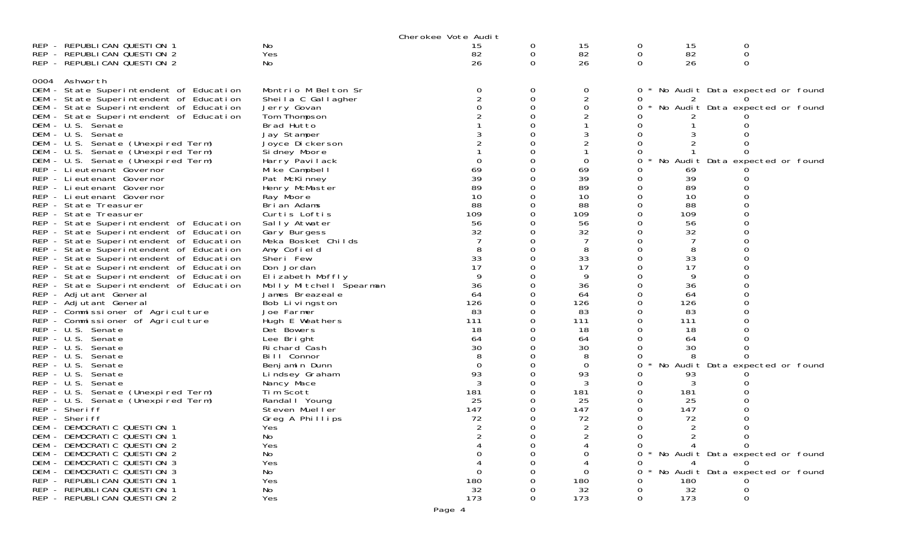|     |                                                            |                            | Cherokee Vote Audit |             |               |          |     |                                   |  |
|-----|------------------------------------------------------------|----------------------------|---------------------|-------------|---------------|----------|-----|-----------------------------------|--|
|     | REP - REPUBLICAN QUESTION 1                                | No                         | 15                  | 0           | 15            | 0        | 15  | 0                                 |  |
|     | REP - REPUBLICAN QUESTION 2                                | Yes                        | 82                  | 0           | 82            | 0        | 82  | 0                                 |  |
|     | REP - REPUBLICAN QUESTION 2                                | No                         | 26                  | $\Omega$    | 26            | $\Omega$ | 26  | $\Omega$                          |  |
|     |                                                            |                            |                     |             |               |          |     |                                   |  |
|     | 0004 Ashworth                                              |                            |                     |             |               |          |     |                                   |  |
|     | DEM - State Superintendent of Education                    | Montrio M Belton Sr        | 0                   | 0           | 0             | $\sigma$ |     | * No Audit Data expected or found |  |
|     | DEM - State Superintendent of Education                    | Sheila C Gallagher         |                     | $\mathbf 0$ | 2<br>$\Omega$ |          |     |                                   |  |
|     | DEM - State Superintendent of Education                    | Jerry Govan                |                     |             |               |          |     | No Audit Data expected or found   |  |
|     | DEM - State Superintendent of Education<br>- U.S. Senate   | Tom Thompson<br>Brad Hutto |                     |             |               |          |     |                                   |  |
| DEM | DEM - U.S. Senate                                          | Jay Stamper                |                     |             |               |          |     |                                   |  |
|     | DEM - U.S. Senate (Unexpired Term)                         | Joyce Dickerson            |                     |             |               |          |     |                                   |  |
|     | DEM - U.S. Senate (Unexpired Term)                         | Si dney Moore              |                     |             |               |          |     |                                   |  |
|     | DEM - U.S. Senate (Unexpired Term)                         | Harry Pavilack             | $\Omega$            |             | $\Omega$      |          |     | No Audit Data expected or found   |  |
|     | REP - Li eutenant Governor                                 | Mike Campbel I             | 69                  |             | 69            |          | 69  |                                   |  |
|     | REP - Lieutenant Governor                                  | Pat McKinney               | 39                  |             | 39            |          | 39  |                                   |  |
|     | REP - Lieutenant Governor                                  | Henry McMaster             | 89                  |             | 89            |          | 89  |                                   |  |
|     | REP - Lieutenant Governor                                  | Ray Moore                  | 10                  |             | 10            |          | 10  |                                   |  |
|     | REP - State Treasurer                                      | Brian Adams                | 88                  |             | 88            |          | 88  |                                   |  |
|     | REP - State Treasurer                                      | Curtis Loftis              | 109                 |             | 109           |          | 109 |                                   |  |
|     | REP - State Superintendent of Education                    | Sally Atwater              | 56                  |             | 56            |          | 56  |                                   |  |
|     | REP - State Superintendent of Education                    | Gary Burgess               | 32                  |             | 32            |          | 32  |                                   |  |
|     | REP - State Superintendent of Education                    | Meka Bosket Childs         |                     |             |               |          |     |                                   |  |
|     | REP - State Superintendent of Education                    | Amy Cofield                | 8                   |             | 8             |          | 8   |                                   |  |
|     | REP - State Superintendent of Education                    | Sheri Few                  | 33                  |             | 33            |          | 33  |                                   |  |
|     | REP - State Superintendent of Education                    | Don Jordan                 | 17                  |             | 17            |          | 17  |                                   |  |
|     | REP - State Superintendent of Education                    | Elizabeth Moffly           | 9                   |             | 9             |          | 9   |                                   |  |
|     | REP - State Superintendent of Education                    | Molly Mitchell Spearman    | 36                  |             | 36            |          | 36  |                                   |  |
|     | REP - Adjutant General                                     | James Breazeale            | 64                  |             | 64            |          | 64  |                                   |  |
|     | REP - Adjutant General                                     | Bob Livingston             | 126                 |             | 126           |          | 126 |                                   |  |
|     | REP - Commissioner of Agriculture                          | Joe Farmer                 | 83                  |             | 83            |          | 83  |                                   |  |
|     | REP - Commissioner of Agriculture                          | Hugh E Weathers            | 111                 |             | 111           |          | 111 |                                   |  |
|     | REP - U.S. Senate                                          | Det Bowers                 | 18                  |             | 18            |          | 18  |                                   |  |
|     | REP - U.S. Senate                                          | Lee Bright                 | 64                  |             | 64            |          | 64  |                                   |  |
|     | REP - U.S. Senate                                          | Richard Cash               | 30                  |             | 30            |          | 30  |                                   |  |
|     | REP - U.S. Senate                                          | Bill Connor                | 8                   |             | 8             |          | 8   |                                   |  |
|     | REP - U.S. Senate                                          | Benjamin Dunn              | $\Omega$            |             | $\Omega$      |          |     | No Audit Data expected or found   |  |
|     | REP - U.S. Senate                                          | Lindsey Graham             | 93                  |             | 93            |          | 93  |                                   |  |
|     | REP - U.S. Senate                                          | Nancy Mace                 | 3                   |             | 3             |          | 3   |                                   |  |
|     | REP - U.S. Senate (Unexpired Term)                         | Tim Scott                  | 181                 |             | 181           |          | 181 |                                   |  |
|     | REP - U.S. Senate (Unexpired Term)                         | Randal I Young             | 25                  |             | 25            |          | 25  |                                   |  |
|     | REP - Sheriff                                              | Steven Mueller             | 147                 |             | 147           |          | 147 |                                   |  |
|     | REP - Sheriff                                              | Greg A Phillips            | 72                  |             | 72            |          | 72  |                                   |  |
|     | DEM - DEMOCRATIC QUESTION 1                                | Yes                        |                     |             |               |          |     |                                   |  |
|     | DEM - DEMOCRATIC QUESTION 1                                | No                         |                     |             |               |          | 2   |                                   |  |
|     | DEM - DEMOCRATIC QUESTION 2                                | Yes                        |                     |             |               |          |     |                                   |  |
|     | DEM - DEMOCRATIC QUESTION 2                                | No                         |                     |             |               |          |     | No Audit Data expected or found   |  |
| DEM | - DEMOCRATIC QUESTION 3                                    | Yes                        |                     |             |               |          | 4   |                                   |  |
|     | DEM - DEMOCRATIC QUESTION 3                                | No.                        | ∩                   |             |               |          |     | No Audit Data expected or found   |  |
|     | REP - REPUBLICAN QUESTION 1                                | Yes                        | 180                 |             | 180           |          | 180 |                                   |  |
|     | REP - REPUBLICAN QUESTION 1<br>REP - REPUBLICAN QUESTION 2 | No                         | 32<br>173           | ∩           | 32            |          | 32  | $\mathbf 0$                       |  |
|     |                                                            | Yes                        |                     |             | 173           |          | 173 |                                   |  |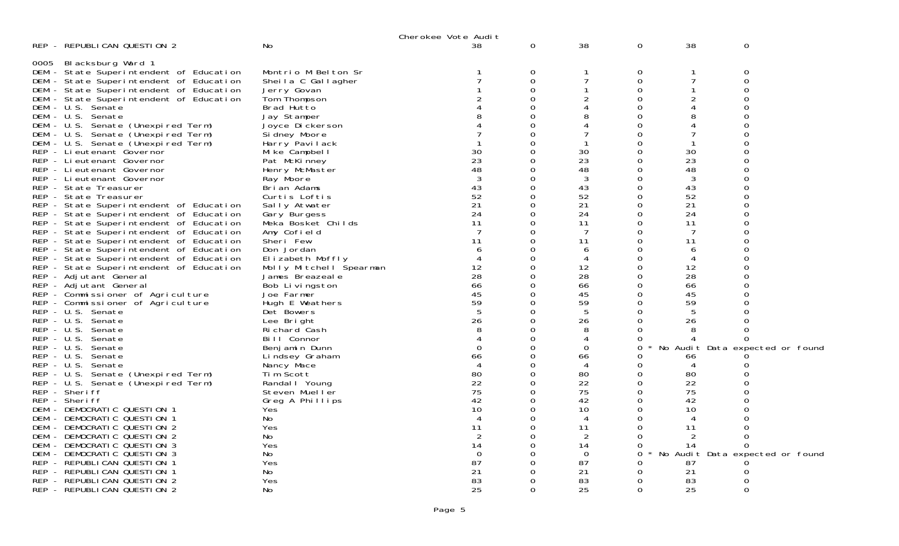|              |                                         |                         | Cherokee Vote Audit    |             |                |          |                |                                 |
|--------------|-----------------------------------------|-------------------------|------------------------|-------------|----------------|----------|----------------|---------------------------------|
|              | REP - REPUBLICAN QUESTION 2             | No                      | 38                     | 0           | 38             | 0        | 38             | 0                               |
| 0005         | Blacksburg Ward 1                       |                         |                        |             |                |          |                |                                 |
|              | DEM - State Superintendent of Education | Montrio M Belton Sr     |                        | 0           | 1              | $\Omega$ |                | $\Omega$                        |
|              | DEM - State Superintendent of Education | Sheila C Gallagher      |                        | $\mathbf 0$ | $\overline{7}$ | $\Omega$ | 7              | $\overline{0}$                  |
|              | DEM - State Superintendent of Education | Jerry Govan             |                        | 0           | 1              | $\Omega$ | 1              | $\Omega$                        |
|              | DEM - State Superintendent of Education | Tom Thompson            |                        | 0           | 2              | $\Omega$ | 2              |                                 |
|              | DEM - U.S. Senate                       | Brad Hutto              |                        | O           | 4              | O        | 4              |                                 |
|              | DEM - U.S. Senate                       | Jay Stamper             | 8                      | 0           | 8              | O        | 8              |                                 |
|              | DEM - U.S. Senate (Unexpired Term)      | Joyce Dickerson         |                        | O           |                | ∩        |                |                                 |
|              | DEM - U.S. Senate (Unexpired Term)      | Si dney Moore           |                        | Ω           |                | ∩        |                |                                 |
|              | DEM - U.S. Senate (Unexpired Term)      | Harry Pavilack          |                        | 0           |                | $\Omega$ |                |                                 |
|              | REP - Lieutenant Governor               | Mike Campbel I          | 30                     | 0           | 30             | ∩        | 30             |                                 |
|              | REP - Lieutenant Governor               | Pat McKinney            | 23                     | 0           | 23             | O        | 23             |                                 |
|              | REP - Lieutenant Governor               | Henry McMaster          | 48                     | 0           | 48             | $\Omega$ | 48             |                                 |
|              | REP - Lieutenant Governor               | Ray Moore               |                        | 0           | 3              | ∩        | 3              |                                 |
|              | REP - State Treasurer                   | Brian Adams             | 43                     | $\Omega$    | 43             | ∩        | 43             |                                 |
|              | REP - State Treasurer                   | Curtis Loftis           | 52                     | 0           | 52             | O        | 52             |                                 |
|              | REP - State Superintendent of Education | Sally Atwater           | 21                     | 0           | 21             | $\Omega$ | 21             |                                 |
|              | REP - State Superintendent of Education | Gary Burgess            | 24                     | 0           | 24             | O        | 24             |                                 |
|              | REP - State Superintendent of Education | Meka Bosket Childs      | 11                     | 0           | 11             | O        | 11             |                                 |
|              | REP - State Superintendent of Education | Amy Cofield             |                        | 0           | 7              | ∩        | 7              |                                 |
|              |                                         |                         |                        | 0           |                | O        |                |                                 |
|              | REP - State Superintendent of Education | Sheri Few               | 11                     | 0           | 11             | ∩        | 11             |                                 |
|              | REP - State Superintendent of Education | Don Jordan              | 6                      | 0           | 6<br>4         | $\Omega$ | 6<br>4         |                                 |
|              | REP - State Superintendent of Education | Elizabeth Moffly        | 4                      |             |                | $\Omega$ |                |                                 |
|              | REP - State Superintendent of Education | Molly Mitchell Spearman | 12                     | 0           | 12<br>28       |          | 12             |                                 |
|              | REP - Adjutant General                  | James Breazeale         | 28                     | 0           |                | O        | 28             |                                 |
|              | REP - Adjutant General                  | Bob Livingston          | 66                     | 0           | 66             | $\Omega$ | 66             |                                 |
|              | REP - Commissioner of Agriculture       | Joe Farmer              | 45                     | 0           | 45             | O        | 45             |                                 |
|              | REP - Commissioner of Agriculture       | Hugh E Weathers         | 59                     | 0           | 59             | 0        | 59             |                                 |
|              | REP - U.S. Senate                       | Det Bowers              |                        | 0           | 5              | O        | 5              |                                 |
|              | REP - U.S. Senate                       | Lee Bright              | 26                     | 0           | 26             | 0        | 26             |                                 |
|              | REP - U.S. Senate                       | Richard Cash            | 8                      | 0           | 8              | 0        | 8              | $\Omega$                        |
|              | REP - U.S.<br>Senate                    | Bill Connor             |                        | 0           | 4              | O        |                |                                 |
| $REP - U.S.$ | Senate                                  | Benjamin Dunn           | 0                      | 0           | 0              | 0        |                | No Audit Data expected or found |
|              | REP - U.S. Senate                       | Lindsey Graham          | 66                     | 0           | 66             | 0        | 66             |                                 |
|              | REP - U.S. Senate                       | Nancy Mace              | $\boldsymbol{\Lambda}$ | 0           | 4              | 0        | 4              |                                 |
|              | REP - U.S. Senate (Unexpired Term)      | Tim Scott               | 80                     | 0           | 80             | ∩        | 80             |                                 |
|              | REP - U.S. Senate (Unexpired Term)      | Randal I Young          | 22                     | 0           | 22             | 0        | 22             |                                 |
|              | REP - Sheriff                           | Steven Mueller          | 75                     | 0           | 75             | 0        | 75             |                                 |
|              | REP - Sheriff                           | Greg A Phillips         | 42                     | 0           | 42             | $\Omega$ | 42             |                                 |
|              | DEM - DEMOCRATIC QUESTION 1             | Yes                     | 10                     | 0           | 10             | 0        | 10             |                                 |
|              | DEM - DEMOCRATIC QUESTION 1             | No                      |                        | 0           | 4              | O        | 4              |                                 |
|              | DEM - DEMOCRATIC QUESTION 2             | <b>Yes</b>              | 11                     | 0           | 11             | 0        | 11             |                                 |
|              | DEM - DEMOCRATIC QUESTION 2             | No                      |                        | O           | 2              | ∩        | $\overline{2}$ |                                 |
|              | DEM - DEMOCRATIC QUESTION 3             | <b>Yes</b>              | 14                     | 0           | 14             | O        | 14             |                                 |
|              | DEM - DEMOCRATIC QUESTION 3             | No                      | $\Omega$               | 0           | 0              | 0        |                | No Audit Data expected or found |
|              | REP - REPUBLICAN QUESTION 1             | <b>Yes</b>              | 87                     | 0           | 87             | ∩        | 87             |                                 |
|              | REP - REPUBLICAN QUESTION 1             | No                      | 21                     | 0           | 21             |          | 21             |                                 |
|              | REP - REPUBLICAN QUESTION 2             | Yes                     | 83                     | 0           | 83             | 0        | 83             |                                 |
|              | REP - REPUBLICAN QUESTION 2             | No                      | 25                     | 0           | 25             | $\Omega$ | 25             | ∩                               |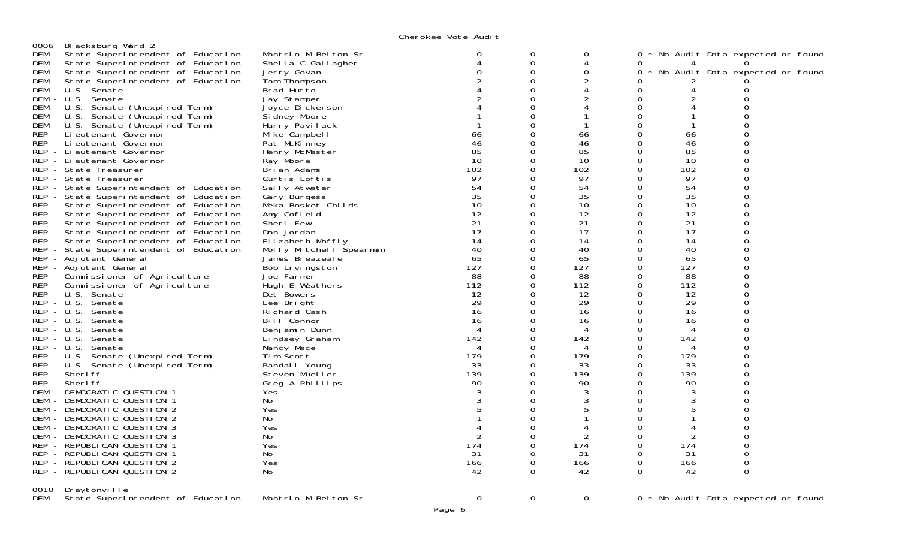| 0006 Blacksburg Ward 2                  |                         |          |   |     |          |     |                                     |  |
|-----------------------------------------|-------------------------|----------|---|-----|----------|-----|-------------------------------------|--|
| DEM - State Superintendent of Education | Montrio M Belton Sr     | 0        | 0 | 0   |          |     | 0 * No Audit Data expected or found |  |
| DEM - State Superintendent of Education | Sheila C Gallagher      |          | 0 | 4   | 0        |     |                                     |  |
| DEM - State Superintendent of Education | Jerry Govan             |          | 0 | 0   | 0        |     | No Audit Data expected or found     |  |
| DEM - State Superintendent of Education | Tom Thompson            |          | 0 | 2   | 0        |     |                                     |  |
| DEM - U.S. Senate                       | Brad Hutto              |          | 0 |     | 0        |     | 0                                   |  |
| DEM - U.S. Senate                       | Jay Stamper             |          | O |     | 0        |     | 0                                   |  |
| DEM - U.S. Senate (Unexpired Term)      | Joyce Dickerson         |          | 0 |     | 0        |     | 0                                   |  |
| DEM - U.S. Senate (Unexpired Term)      | Si dney Moore           |          | 0 |     | $\Omega$ |     | O                                   |  |
| DEM - U.S. Senate (Unexpired Term)      | Harry Pavilack          |          | 0 |     | 0        |     | 0                                   |  |
| REP - Lieutenant Governor               | Mike Campbel I          | 66       | 0 | 66  | 0        | 66  | 0                                   |  |
| REP - Li eutenant Governor              | Pat McKinney            | 46       |   | 46  | 0        | 46  | 0                                   |  |
| REP - Lieutenant Governor               | Henry McMaster          | 85       | 0 | 85  | 0        | 85  | 0                                   |  |
|                                         |                         | 10       | 0 | 10  | 0        | 10  | 0                                   |  |
| REP - Lieutenant Governor               | Ray Moore               | 102      | 0 | 102 |          |     | 0                                   |  |
| REP - State Treasurer                   | Brian Adams             | 97       |   |     | 0        | 102 | 0                                   |  |
| REP - State Treasurer                   | Curtis Loftis           |          | 0 | 97  | 0        | 97  | 0                                   |  |
| REP - State Superintendent of Education | Sally Atwater           | 54       | 0 | 54  | 0        | 54  |                                     |  |
| REP - State Superintendent of Education | Gary Burgess            | 35       | 0 | 35  | 0        | 35  | 0                                   |  |
| REP - State Superintendent of Education | Meka Bosket Childs      | 10       | 0 | 10  | 0        | 10  | 0                                   |  |
| REP - State Superintendent of Education | Amy Cofield             | 12       | 0 | 12  | 0        | 12  | 0                                   |  |
| REP - State Superintendent of Education | Sheri Few               | 21       | 0 | 21  | $\Omega$ | 21  | 0                                   |  |
| REP - State Superintendent of Education | Don Jordan              | 17       | 0 | 17  | 0        | 17  | 0                                   |  |
| REP - State Superintendent of Education | Elizabeth Moffly        | 14       | 0 | 14  | 0        | 14  | 0                                   |  |
| REP - State Superintendent of Education | Molly Mitchell Spearman | 40       | 0 | 40  | 0        | 40  | 0                                   |  |
| REP - Adjutant General                  | James Breazeale         | 65       | 0 | 65  | 0        | 65  | 0                                   |  |
| REP - Adjutant General                  | Bob Livingston          | 127      | 0 | 127 | 0        | 127 | 0                                   |  |
| REP - Commissioner of Agriculture       | Joe Farmer              | 88       | 0 | 88  | 0        | 88  | 0                                   |  |
| REP - Commissioner of Agriculture       | Hugh E Weathers         | 112      | 0 | 112 | $\Omega$ | 112 | 0                                   |  |
| REP - U.S. Senate                       | Det Bowers              | 12       | 0 | 12  | 0        | 12  | 0                                   |  |
| REP - U.S. Senate                       | Lee Bright              | 29       |   | 29  | 0        | 29  | 0                                   |  |
| REP - U.S. Senate                       | Richard Cash            | 16       | 0 | 16  | 0        | 16  | 0                                   |  |
| REP - U.S. Senate                       | Bill Connor             | 16       | 0 | 16  | $\Omega$ | 16  | 0                                   |  |
| REP - U.S. Senate                       | Benjamin Dunn           | 4        | 0 | 4   | 0        | 4   | 0                                   |  |
| REP - U.S. Senate                       | Lindsey Graham          | 142      | 0 | 142 | 0        | 142 | 0                                   |  |
| REP - U.S. Senate                       | Nancy Mace              |          | 0 | 4   | 0        | 4   | 0                                   |  |
| REP - U.S. Senate (Unexpired Term)      | Tim Scott               | 179      | 0 | 179 | 0        | 179 | 0                                   |  |
| REP - U.S. Senate (Unexpired Term)      | Randal   Young          | 33       | 0 | 33  | 0        | 33  | 0                                   |  |
| REP - Sheriff                           | Steven Mueller          | 139      | 0 | 139 | 0        | 139 | 0                                   |  |
| REP - Sheriff                           | Greg A Phillips         | 90       | 0 | 90  | $\Omega$ | 90  | 0                                   |  |
| DEM - DEMOCRATIC QUESTION 1             | Yes                     |          | 0 | 3   | 0        | 3   | 0                                   |  |
| DEM - DEMOCRATIC QUESTION 1             | No                      |          | 0 | 3   | 0        | 3   | 0                                   |  |
| DEM - DEMOCRATIC QUESTION 2             | Yes                     |          | 0 | 5   | 0        | 5   | 0                                   |  |
| DEM - DEMOCRATIC QUESTION 2             | No                      |          | 0 |     | 0        |     | 0                                   |  |
| DEM - DEMOCRATIC QUESTION 3             | Yes                     |          |   | 4   | 0        | 4   | 0                                   |  |
| DEM - DEMOCRATIC QUESTION 3             | No.                     | 2        | 0 | 2   | 0        | 2   | 0                                   |  |
| REP - REPUBLICAN QUESTION 1             | Yes.                    | 174      | 0 | 174 | 0        | 174 | 0                                   |  |
| REP - REPUBLICAN QUESTION 1             | No                      | 31       | 0 | 31  | 0        | 31  | 0                                   |  |
| REP - REPUBLICAN QUESTION 2             | Yes                     | 166      | 0 | 166 | $\Omega$ | 166 | 0                                   |  |
| REP - REPUBLICAN QUESTION 2             | No.                     | 42       | 0 | 42  | 0        | 42  | 0                                   |  |
|                                         |                         |          |   |     |          |     |                                     |  |
| 0010 Draytonville                       |                         |          |   |     |          |     |                                     |  |
| DEM - State Superintendent of Education | Montrio M Belton Sr     | $\Omega$ | 0 | 0   |          |     | 0 * No Audit Data expected or found |  |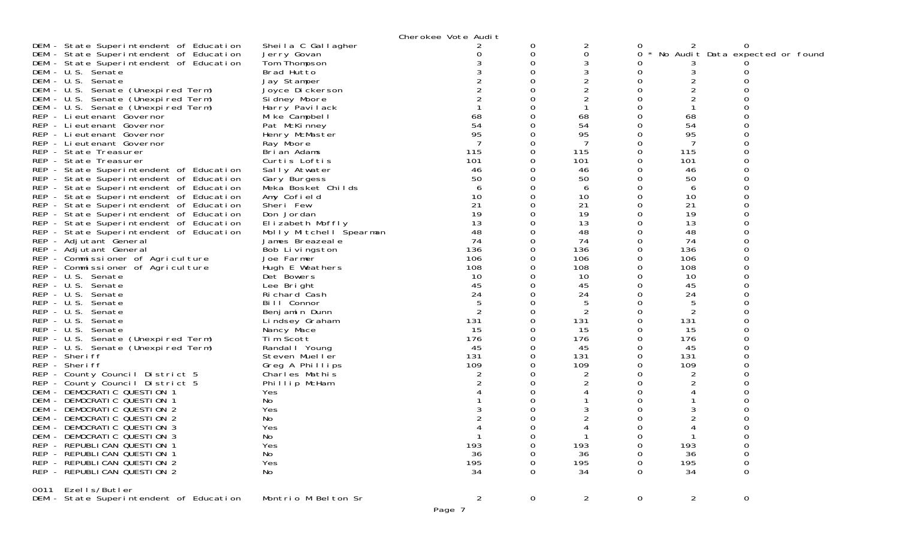|      | DEM - State Superintendent of Education<br>DEM - State Superintendent of Education<br>DEM - State Superintendent of Education<br>DEM - U.S. Senate<br>DEM - U.S. Senate<br>DEM - U.S. Senate (Unexpired Term)<br>DEM - U.S. Senate (Unexpired Term)<br>DEM - U.S. Senate (Unexpired Term)<br>REP - Lieutenant Governor<br>REP - Lieutenant Governor<br>REP - Lieutenant Governor<br>REP - Lieutenant Governor<br>REP - State Treasurer<br>REP - State Treasurer<br>REP - State Superintendent of Education<br>REP - State Superintendent of Education<br>REP - State Superintendent of Education<br>REP - State Superintendent of Education<br>REP - State Superintendent of Education<br>REP - State Superintendent of Education<br>REP - State Superintendent of Education<br>REP - State Superintendent of Education<br>REP - Adjutant General<br>REP - Adjutant General<br>REP - Commissioner of Agriculture<br>REP - Commissioner of Agriculture<br>REP - U.S. Senate<br>REP - U.S. Senate | Sheila C Gallagher<br>Jerry Govan<br>Tom Thompson<br>Brad Hutto<br>Jay Stamper<br>Joyce Dickerson<br>Si dney Moore<br>Harry Pavilack<br>Mike Campbell<br>Pat McKinney<br>Henry McMaster<br>Ray Moore<br>Brian Adams<br>Curtis Loftis<br>Sally Atwater<br>Gary Burgess<br>Meka Bosket Childs<br>Amy Cofield<br>Sheri Few<br>Don Jordan<br>Elizabeth Moffly<br>Molly Mitchell Spearman<br>James Breazeale<br>Bob Livingston<br>Joe Farmer<br>Hugh E Weathers<br>Det Bowers<br>Lee Bright | Cherokee Vote Audit<br>0<br>68<br>54<br>95<br>115<br>101<br>46<br>50<br>6<br>10<br>21<br>19<br>13<br>48<br>74<br>136<br>106<br>108<br>10<br>45 | 0<br>0<br>0<br>Ω<br>0<br>0<br>0<br>0<br>0<br>0<br>0<br>0<br>0<br>0<br>0<br>0<br>0 | 2<br>$\mathbf 0$<br>3<br>3<br>2<br>68<br>54<br>95<br>7<br>115<br>101<br>46<br>50<br>6<br>10<br>21<br>19<br>13<br>48<br>74<br>136<br>106<br>108<br>10<br>45 | 0<br>O<br>Ω<br>∩<br>Ω<br>0<br>0<br>∩<br>Ω | 2<br>68<br>54<br>95<br>7<br>115<br>101<br>46<br>50<br>6<br>10<br>21<br>19<br>13<br>48<br>74<br>136<br>106<br>108<br>10<br>45 | * No Audit Data expected or found                   |  |
|------|-------------------------------------------------------------------------------------------------------------------------------------------------------------------------------------------------------------------------------------------------------------------------------------------------------------------------------------------------------------------------------------------------------------------------------------------------------------------------------------------------------------------------------------------------------------------------------------------------------------------------------------------------------------------------------------------------------------------------------------------------------------------------------------------------------------------------------------------------------------------------------------------------------------------------------------------------------------------------------------------------|----------------------------------------------------------------------------------------------------------------------------------------------------------------------------------------------------------------------------------------------------------------------------------------------------------------------------------------------------------------------------------------------------------------------------------------------------------------------------------------|------------------------------------------------------------------------------------------------------------------------------------------------|-----------------------------------------------------------------------------------|------------------------------------------------------------------------------------------------------------------------------------------------------------|-------------------------------------------|------------------------------------------------------------------------------------------------------------------------------|-----------------------------------------------------|--|
|      | REP - U.S. Senate<br>REP - U.S. Senate (Unexpired Term)<br>REP - U.S. Senate (Unexpired Term)<br>REP - Sheriff<br>REP - Sheriff<br>REP - County Council District 5<br>REP - County Council District 5<br>DEM - DEMOCRATIC QUESTION 1<br>DEM - DEMOCRATIC QUESTION 1<br>DEM - DEMOCRATIC QUESTION 2<br>DEM - DEMOCRATIC QUESTION 2<br>DEM - DEMOCRATIC QUESTION 3<br>DEM - DEMOCRATIC QUESTION 3<br>REP - REPUBLICAN QUESTION 1<br>REP - REPUBLICAN QUESTION 1<br>REP - REPUBLICAN QUESTION 2<br>REP - REPUBLICAN QUESTION 2                                                                                                                                                                                                                                                                                                                                                                                                                                                                     | Nancy Mace<br>Tim Scott<br>Randal I Young<br>Steven Mueller<br>Greg A Phillips<br>Charles Mathis<br>Phillip McHam<br>Yes<br>No.<br>Yes<br>No<br>Yes<br>No<br>Yes<br>No<br>Yes<br>No                                                                                                                                                                                                                                                                                                    | 15<br>176<br>45<br>131<br>109<br>193<br>36<br>195<br>34                                                                                        | 0<br>0<br>0<br>0<br>0<br>0<br>0<br>0<br>0<br>0<br>0                               | 15<br>176<br>45<br>131<br>109<br>2<br>193<br>36<br>195<br>34                                                                                               | ∩<br>O<br>0<br>0<br>∩<br>0<br>0           | 15<br>176<br>45<br>131<br>109<br>2<br>2<br>193<br>36<br>195<br>34                                                            | $\mathbf 0$<br>$\mathbf 0$<br>0<br>$\mathbf 0$<br>0 |  |
| 0011 | Ezells/Butler<br>DEM - State Superintendent of Education                                                                                                                                                                                                                                                                                                                                                                                                                                                                                                                                                                                                                                                                                                                                                                                                                                                                                                                                        | Montrio M Belton Sr                                                                                                                                                                                                                                                                                                                                                                                                                                                                    | $\overline{2}$                                                                                                                                 | $\mathbf 0$                                                                       | $\overline{2}$                                                                                                                                             | 0                                         | $\overline{2}$                                                                                                               | $\mathbf 0$                                         |  |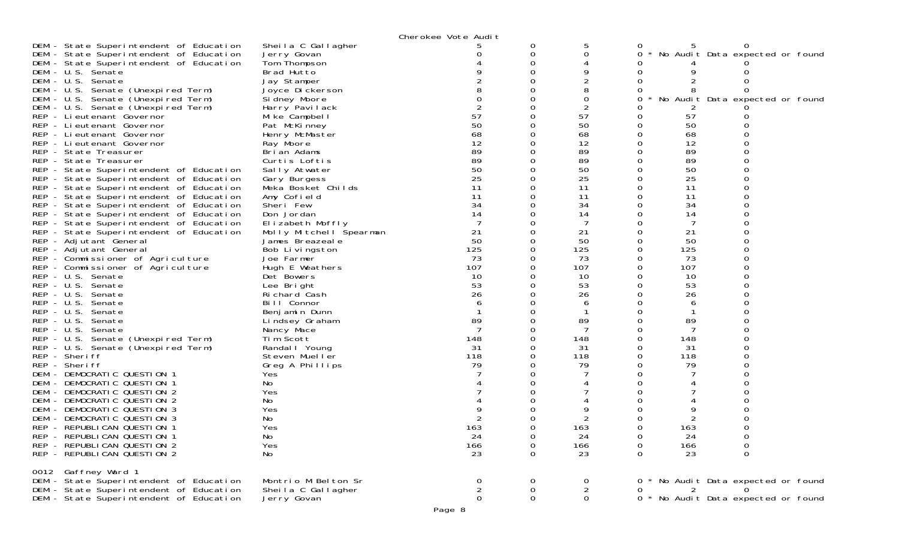|                                                            |                                 | Cherokee Vote Audit |                |                |              |          |                                     |  |
|------------------------------------------------------------|---------------------------------|---------------------|----------------|----------------|--------------|----------|-------------------------------------|--|
| DEM - State Superintendent of Education                    | Sheila C Gallagher              |                     | 0              | 5              | 0            |          |                                     |  |
| DEM - State Superintendent of Education                    | Jerry Govan                     |                     | 0              | Ω              | 0            |          | No Audit Data expected or found     |  |
| DEM - State Superintendent of Education                    | Tom Thompson                    |                     | $\Omega$       |                |              |          |                                     |  |
| DEM - U.S. Senate                                          | Brad Hutto                      |                     |                |                |              |          |                                     |  |
| DEM - U.S. Senate                                          | Jay Stamper                     |                     |                |                |              |          |                                     |  |
| DEM - U.S. Senate (Unexpired Term)                         | Joyce Dickerson                 |                     | 0              |                |              |          |                                     |  |
| DEM - U.S. Senate (Unexpired Term)                         | Si dney Moore                   |                     |                | 0              |              |          | No Audit Data expected or found     |  |
| DEM - U.S. Senate (Unexpired Term)                         | Harry Pavilack                  |                     | 0              |                |              |          |                                     |  |
| REP - Lieutenant Governor                                  | Mike Campbell                   | 57                  | 0              | 57             |              | 57       |                                     |  |
| REP - Lieutenant Governor                                  | Pat McKinney                    | 50<br>68            | 0              | 50<br>68       |              | 50<br>68 |                                     |  |
| REP - Lieutenant Governor<br>REP - Lieutenant Governor     | Henry McMaster                  | 12                  | 0              | 12             | 0            | 12       |                                     |  |
| REP - State Treasurer                                      | Ray Moore<br>Brian Adams        | 89                  |                | 89             | 0            | 89       |                                     |  |
| REP - State Treasurer                                      | Curtis Loftis                   | 89                  |                | 89             |              | 89       |                                     |  |
| REP - State Superintendent of Education                    | Sally Atwater                   | 50                  | 0              | 50             | 0            | 50       |                                     |  |
| REP - State Superintendent of Education                    | Gary Burgess                    | 25                  |                | 25             |              | 25       |                                     |  |
| REP - State Superintendent of Education                    | Meka Bosket Childs              | 11                  | 0              | 11             | 0            | 11       |                                     |  |
| REP - State Superintendent of Education                    | Amy Cofield                     | 11                  | 0              | 11             | 0            | 11       |                                     |  |
| REP - State Superintendent of Education                    | Sheri Few                       | 34                  |                | 34             |              | 34       |                                     |  |
| REP - State Superintendent of Education                    | Don Jordan                      | 14                  | 0              | 14             |              | 14       |                                     |  |
| REP - State Superintendent of Education                    | Elizabeth Moffly                |                     | 0              |                | 0            |          |                                     |  |
| REP - State Superintendent of Education                    | Molly Mitchell Spearman         | 21                  | 0              | 21             |              | 21       |                                     |  |
| REP - Adjutant General                                     | James Breazeale                 | 50                  | 0              | 50             |              | 50       |                                     |  |
| REP - Adjutant General                                     | Bob Livingston                  | 125                 | 0              | 125            | 0            | 125      |                                     |  |
| REP - Commissioner of Agriculture                          | Joe Farmer                      | 73                  | 0              | 73             | 0            | 73       |                                     |  |
| REP - Commissioner of Agriculture                          | Hugh E Weathers                 | 107                 | 0              | 107            | 0            | 107      |                                     |  |
| REP - U.S. Senate                                          | Det Bowers                      | 10                  | 0              | 10             | 0            | 10       |                                     |  |
| REP - U.S. Senate                                          | Lee Bright                      | 53                  |                | 53             |              | 53       |                                     |  |
| REP - U.S. Senate                                          | Richard Cash                    | 26                  | 0              | 26             |              | 26       |                                     |  |
| REP - U.S. Senate<br>$REP - U.S.$<br>Senate                | Bill Connor                     | 6                   | 0              | 6              |              | 6        |                                     |  |
| $REP - U.S.$<br>Senate                                     | Benjamin Dunn<br>Lindsey Graham | 89                  | 0              | 89             |              | 89       |                                     |  |
| REP - U.S. Senate                                          | Nancy Mace                      | 7                   | 0              | 7              | 0            | 7        |                                     |  |
| REP - U.S. Senate (Unexpired Term)                         | Tim Scott                       | 148                 |                | 148            |              | 148      |                                     |  |
| REP - U.S. Senate (Unexpired Term)                         | Randal I Young                  | 31                  | 0              | 31             |              | 31       |                                     |  |
| REP - Sheriff                                              | Steven Mueller                  | 118                 | 0              | 118            | 0            | 118      |                                     |  |
| REP - Sheriff                                              | Greg A Phillips                 | 79                  |                | 79             |              | 79       |                                     |  |
| DEM - DEMOCRATIC QUESTION 1                                | Yes                             |                     | 0              |                |              |          |                                     |  |
| DEM - DEMOCRATIC QUESTION 1                                | No                              |                     |                |                |              |          |                                     |  |
| DEM - DEMOCRATIC QUESTION 2                                | Yes                             |                     |                |                |              |          |                                     |  |
| DEM - DEMOCRATIC QUESTION 2                                | No                              |                     |                |                |              |          |                                     |  |
| DEM - DEMOCRATIC QUESTION 3                                | Yes                             |                     |                |                |              |          |                                     |  |
| DEM - DEMOCRATIC QUESTION 3                                | No                              |                     |                |                |              |          |                                     |  |
| REP - REPUBLICAN QUESTION 1                                | Yes                             | 163                 |                | 163            |              | 163      |                                     |  |
| REP - REPUBLICAN QUESTION 1                                | No                              | 24                  | 0              | 24             | 0            | 24       | 0                                   |  |
| REP - REPUBLICAN QUESTION 2<br>REP - REPUBLICAN QUESTION 2 | Yes                             | 166                 | 0              | 166            | 0            | 166      | 0                                   |  |
|                                                            | No                              | 23                  | $\Omega$       | 23             | 0            | 23       | 0                                   |  |
| 0012 Gaffney Ward 1                                        |                                 |                     |                |                |              |          |                                     |  |
| DEM - State Superintendent of Education                    | Montrio M Belton Sr             | 0                   | 0              | 0              | $\mathbf{0}$ |          | * No Audit Data expected or found   |  |
| DEM - State Superintendent of Education                    | Sheila C Gallagher              | $\overline{2}$      | $\overline{0}$ | $\overline{2}$ | 0            | 2        | $\Omega$                            |  |
| DEM - State Superintendent of Education                    | Jerry Govan                     | $\mathbf 0$         | $\mathbf{O}$   | $\mathbf 0$    |              |          | 0 * No Audit Data expected or found |  |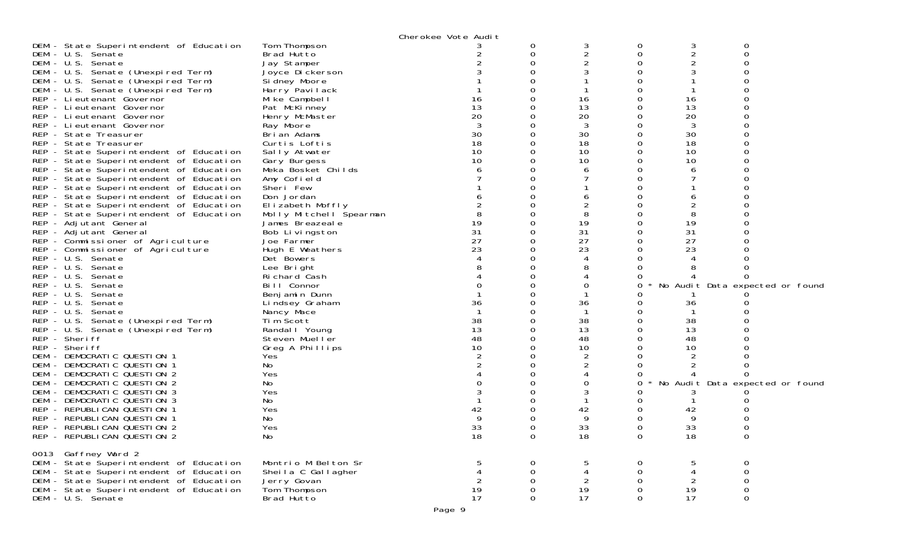|                                         |                             | Cherokee Vote Audit |        |                |          |    |                                 |  |
|-----------------------------------------|-----------------------------|---------------------|--------|----------------|----------|----|---------------------------------|--|
| DEM - State Superintendent of Education | Tom Thompson                |                     | O      |                |          | 3  |                                 |  |
| DEM - U.S. Senate                       | Brad Hutto                  |                     |        |                |          |    |                                 |  |
| DEM - U.S. Senate                       | Jay Stamper                 |                     |        |                |          |    |                                 |  |
| DEM - U.S. Senate (Unexpired Term)      | Joyce Dickerson             |                     |        |                |          |    |                                 |  |
| DEM - U.S. Senate (Unexpired Term)      | Si dney Moore               |                     |        |                |          |    |                                 |  |
| DEM - U.S. Senate (Unexpired Term)      | Harry <sup>-</sup> Pavilack |                     |        |                |          |    |                                 |  |
| REP - Li eutenant Governor              | Mi ke Campbel I             | 16                  |        | 16             |          | 16 |                                 |  |
| REP - Lieutenant Governor               | Pat McKinney                | 13                  |        | 13             |          | 13 |                                 |  |
| REP - Lieutenant Governor               | Henry McMaster              | 20                  |        | 20             |          | 20 |                                 |  |
| REP - Lieutenant Governor               | Ray Moore                   |                     |        | 3              |          | 3  |                                 |  |
| REP - State Treasurer                   | Brian Adams                 | 30                  |        | 30             |          | 30 |                                 |  |
| REP - State Treasurer                   | Curtis Loftis               | 18                  |        | 18             |          | 18 |                                 |  |
| REP - State Superintendent of Education | Sally Atwater               | 10                  | 0      | 10             |          | 10 |                                 |  |
| REP - State Superintendent of Education | Gary Burgess                | 10                  |        | 10             |          | 10 |                                 |  |
| REP - State Superintendent of Education | Meka Bosket Childs          |                     |        |                |          |    |                                 |  |
| REP - State Superintendent of Education | Amy Cofield                 |                     |        |                |          |    |                                 |  |
| REP - State Superintendent of Education | Sheri Few                   |                     |        |                |          |    |                                 |  |
| REP - State Superintendent of Education | Don Jordan                  |                     |        |                |          |    |                                 |  |
| REP - State Superintendent of Education | Elizabeth Moffly            |                     |        |                |          |    |                                 |  |
| REP - State Superintendent of Education | Molly Mitchell Spearman     |                     |        |                |          |    |                                 |  |
| REP - Adjutant General                  | James Breazeale             | 19                  |        | 19             |          | 19 |                                 |  |
| REP - Adjutant General                  | Bob Livingston              | 31                  |        | 31             |          | 31 |                                 |  |
| REP - Commissioner of Agriculture       | Joe Farmer                  | 27                  |        | 27             |          | 27 |                                 |  |
| REP - Commissioner of Agriculture       | Hugh E Weathers             | 23                  |        | 23             |          | 23 |                                 |  |
| REP - U.S. Senate                       | Det Bowers                  |                     |        |                |          |    |                                 |  |
| REP - U.S. Senate                       | Lee Bright<br>Ri chard Cash |                     |        |                |          |    |                                 |  |
| REP - U.S. Senate                       |                             |                     |        |                |          |    |                                 |  |
| REP - U.S. Senate<br>$REP - U.S.$       | Bill Connor                 |                     |        |                |          |    | No Audit Data expected or found |  |
| Senate<br>$REP - U.S.$<br>Senate        | Benjamin Dunn               | 36                  |        | 36             |          |    |                                 |  |
| REP - U.S. Senate                       | Lindsey Graham              |                     |        |                |          | 36 |                                 |  |
| REP - U.S. Senate (Unexpired Term)      | Nancy Mace<br>Tim Scott     | 38                  |        | 38             |          | 38 |                                 |  |
| REP - U.S. Senate (Unexpired Term)      | Randal I Young              | 13                  |        | 13             |          | 13 |                                 |  |
| REP - Sheriff                           | Steven Mueller              | 48                  |        | 48             |          | 48 |                                 |  |
| REP - Sheriff                           | Greg A Phillips             | 10                  |        | 10             |          | 10 |                                 |  |
| DEM - DEMOCRATIC QUESTION 1             | Yes                         |                     |        |                |          |    |                                 |  |
| DEM - DEMOCRATIC QUESTION 1             | No                          |                     |        |                |          |    |                                 |  |
| DEM - DEMOCRATIC QUESTION 2             | Yes                         |                     |        |                |          |    |                                 |  |
| DEM - DEMOCRATIC QUESTION 2             | No                          |                     |        |                |          |    | No Audit Data expected or found |  |
| DEM - DEMOCRATIC QUESTION 3             | Yes                         |                     |        |                |          |    |                                 |  |
| DEM - DEMOCRATIC QUESTION 3             | No                          |                     |        |                |          |    |                                 |  |
| REP - REPUBLICAN QUESTION 1             | Yes                         | 42                  |        | 42             |          | 42 |                                 |  |
| REP - REPUBLICAN QUESTION 1             | No                          |                     |        | 9              |          |    |                                 |  |
| REP - REPUBLICAN QUESTION 2             | Yes                         | 33                  | Ω      | 33             | 0        | 33 |                                 |  |
| REP - REPUBLICAN QUESTION 2             | NO.                         | 18                  | $\cup$ | 18             | 0        | 18 | $\cup$                          |  |
|                                         |                             |                     |        |                |          |    |                                 |  |
| 0013 Gaffney Ward 2                     |                             |                     |        |                |          |    |                                 |  |
| DEM - State Superintendent of Education | Montrio M Belton Sr         |                     | 0      |                | 0        |    | 0                               |  |
| DEM - State Superintendent of Education | Sheila C Gallagher          |                     | 0      |                | 0        |    | 0                               |  |
| DEM - State Superintendent of Education | Jerry Govan                 | $\boldsymbol{2}$    | 0      | $\overline{2}$ | $\Omega$ | 2  | $\Omega$                        |  |
| DEM - State Superintendent of Education | Tom Thompson                | 19                  | 0      | 19             | 0        | 19 | 0                               |  |
| DEM - U.S. Senate                       | Brad Hutto                  | 17                  | 0      | 17             | 0        | 17 | 0                               |  |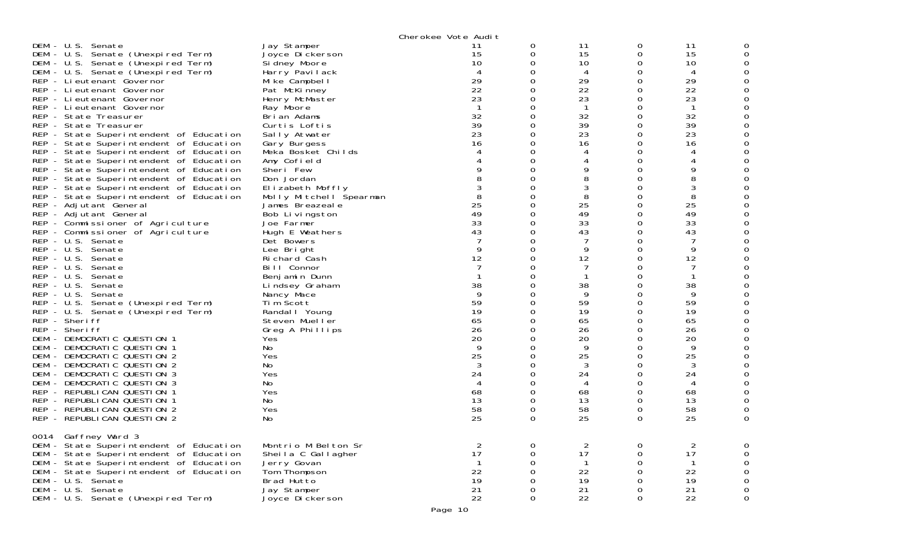|                                                                                                                                                                                                                                                                                                                                                                                                                                                                                                                                                                                                                                                                                                                                                                                                                                                                                                                                                                                                                                                                                                                                                                                                                                                                                                                                                                                                                                                                                                                                                     |                                                                                                                                                                                                                                                                                                                                                                                                                                                                                                                                                                                                                                           | Cherokee Vote Audit                                                                                                                                                                                                                        |                                                                                                                                                                                                                                   |                                                                                                                                                                                                                                                 |                                                                                                                                                                                                                     |                                                                                                                                                                                                                                                      |                                                            |
|-----------------------------------------------------------------------------------------------------------------------------------------------------------------------------------------------------------------------------------------------------------------------------------------------------------------------------------------------------------------------------------------------------------------------------------------------------------------------------------------------------------------------------------------------------------------------------------------------------------------------------------------------------------------------------------------------------------------------------------------------------------------------------------------------------------------------------------------------------------------------------------------------------------------------------------------------------------------------------------------------------------------------------------------------------------------------------------------------------------------------------------------------------------------------------------------------------------------------------------------------------------------------------------------------------------------------------------------------------------------------------------------------------------------------------------------------------------------------------------------------------------------------------------------------------|-------------------------------------------------------------------------------------------------------------------------------------------------------------------------------------------------------------------------------------------------------------------------------------------------------------------------------------------------------------------------------------------------------------------------------------------------------------------------------------------------------------------------------------------------------------------------------------------------------------------------------------------|--------------------------------------------------------------------------------------------------------------------------------------------------------------------------------------------------------------------------------------------|-----------------------------------------------------------------------------------------------------------------------------------------------------------------------------------------------------------------------------------|-------------------------------------------------------------------------------------------------------------------------------------------------------------------------------------------------------------------------------------------------|---------------------------------------------------------------------------------------------------------------------------------------------------------------------------------------------------------------------|------------------------------------------------------------------------------------------------------------------------------------------------------------------------------------------------------------------------------------------------------|------------------------------------------------------------|
| DEM - U.S. Senate<br>$DEM - U.S.$<br>Senate (Unexpired Term)<br>DEM - U.S. Senate (Unexpired Term)<br>DEM - U.S. Senate (Unexpired Term)<br>REP - Lieutenant Governor<br>REP - Lieutenant Governor<br>REP - Lieutenant Governor<br>REP - Lieutenant Governor<br>REP.<br>- State Treasurer<br>REP - State Treasurer<br><b>REP</b><br>- State Superintendent of Education<br>- State Superintendent of Education<br>RFP.<br>REP - State Superintendent of Education<br>- State Superintendent of Education<br><b>REP</b><br><b>REP</b><br>- State Superintendent of Education<br>REP - State Superintendent of Education<br>REP - State Superintendent of Education<br>- State Superintendent of Education<br><b>REP</b><br>REP - Adjutant General<br>REP - Adjutant General<br><b>REP</b><br>- Commissioner of Agriculture<br>REP - Commissioner of Agriculture<br>REP - U.S. Senate<br>REP - U.S. Senate<br>– U.S.<br><b>REP</b><br>Senate<br>$- U.S.$<br><b>REP</b><br>Senate<br>$- U.S.$<br><b>REP</b><br>Senate<br>REP - U.S.<br>Senate<br>REP - U.S. Senate<br>REP - U.S. Senate (Unexpired Term)<br>REP - U.S. Senate (Unexpired Term)<br>REP - Sheriff<br>REP - Sheriff<br>DEM - DEMOCRATIC QUESTION 1<br>DEM - DEMOCRATIC QUESTION 1<br>- DEMOCRATIC QUESTION 2<br>DEM<br>- DEMOCRATIC QUESTION 2<br>DEM<br>- DEMOCRATIC QUESTION 3<br>DEM<br>DEM - DEMOCRATIC QUESTION 3<br>- REPUBLICAN QUESTION<br>RFP.<br>- REPUBLICAN QUESTION 1<br><b>REP</b><br>- REPUBLICAN QUESTION 2<br>REP.<br>REP - REPUBLICAN QUESTION 2<br>0014 Gaffney Ward 3 | Jay Stamper<br>Joyce Dickerson<br>Si dney Moore<br>Harry Pavilack<br>Mike Campbell<br>Pat McKinney<br>Henry McMaster<br>Ray Moore<br>Brian Adams<br>Curtis Loftis<br>Sally Atwater<br>Gary Burgess<br>Meka Bosket Childs<br>Amy Cofield<br>Sheri Few<br>Don Jordan<br>Elizabeth Moffly<br>Molly Mitchell Spearman<br>James Breazeale<br>Bob Livingston<br>Joe Farmer<br>Hugh E Weathers<br>Det Bowers<br>Lee Bright<br>Richard Cash<br>Bill Connor<br>Benjamin Dunn<br>Lindsey Graham<br>Nancy Mace<br>Tim Scott<br>Randal   Young<br>Steven Mueller<br>Greg A Phillips<br>Yes<br>No<br>Yes<br>No<br>Yes<br>No<br>Yes<br>No<br>Yes<br>No. | 11<br>15<br>10<br>4<br>29<br>22<br>23<br>$\mathbf{1}$<br>32<br>39<br>23<br>16<br>9<br>8<br>3<br>8<br>25<br>49<br>33<br>43<br>7<br>9<br>12<br>7<br>38<br>9<br>59<br>19<br>65<br>26<br>20<br>9<br>25<br>3<br>24<br>4<br>68<br>13<br>58<br>25 | 0<br>0<br>O<br>0<br>0<br>O<br>0<br>O<br>O<br>0<br>O<br>O<br>0<br>O<br>0<br>0<br>0<br>0<br>0<br>0<br>O<br>0<br>0<br>0<br>0<br>O<br>0<br>0<br>0<br>O<br>0<br>0<br>$\Omega$<br>0<br>0<br>O<br>0<br>0<br>$\Omega$<br>0<br>0<br>0<br>O | 11<br>15<br>10<br>4<br>29<br>22<br>23<br>$\mathbf{1}$<br>32<br>39<br>23<br>16<br>4<br>9<br>8<br>3<br>8<br>25<br>49<br>33<br>43<br>7<br>9<br>12<br>7<br>38<br>9<br>59<br>19<br>65<br>26<br>20<br>9<br>25<br>3<br>24<br>4<br>68<br>13<br>58<br>25 | 0<br>0<br>0<br>0<br>0<br>0<br>0<br>0<br>0<br>0<br>0<br>0<br>0<br>0<br>0<br>0<br>0<br>0<br>0<br>0<br>0<br>0<br>0<br>0<br>0<br>0<br>0<br>0<br>0<br>0<br>0<br>0<br>0<br>0<br>0<br>0<br>0<br>0<br>O<br>0<br>0<br>0<br>0 | 11<br>15<br>10<br>4<br>29<br>22<br>23<br>$\mathbf{1}$<br>32<br>39<br>23<br>16<br>4<br>4<br>9<br>8<br>3<br>8<br>25<br>49<br>33<br>43<br>7<br>9<br>12<br>7<br>38<br>9<br>59<br>19<br>65<br>26<br>20<br>9<br>25<br>3<br>24<br>4<br>68<br>13<br>58<br>25 | 0<br>0<br>O<br>O<br>O<br>0<br>0<br>O<br>0<br>$\Omega$<br>O |
| DEM - State Superintendent of Education<br>DEM - State Superintendent of Education<br>DEM - State Superintendent of Education<br>DEM - State Superintendent of Education<br>DEM - U.S. Senate<br>DEM - U.S. Senate<br>DEM - U.S. Senate (Unexpired Term)                                                                                                                                                                                                                                                                                                                                                                                                                                                                                                                                                                                                                                                                                                                                                                                                                                                                                                                                                                                                                                                                                                                                                                                                                                                                                            | Montrio M Belton Sr<br>Sheila C Gallagher<br>Jerry Govan<br>Tom Thompson<br>Brad Hutto<br>Jay Stamper<br>Joyce Di ckerson                                                                                                                                                                                                                                                                                                                                                                                                                                                                                                                 | $\overline{c}$<br>17<br>$\mathbf{1}$<br>22<br>19<br>21<br>22                                                                                                                                                                               | $\mathbf 0$<br>0<br>0<br>0<br>$\Omega$<br>0<br>0                                                                                                                                                                                  | $\overline{c}$<br>17<br>$\mathbf{1}$<br>22<br>19<br>21<br>22                                                                                                                                                                                    | 0<br>0<br>0<br>0<br>0<br>0<br>$\Omega$                                                                                                                                                                              | $\overline{2}$<br>17<br>$\mathbf{1}$<br>22<br>19<br>21<br>22                                                                                                                                                                                         | 0<br>$\boldsymbol{0}$<br>0<br>0<br>0<br>0<br>0             |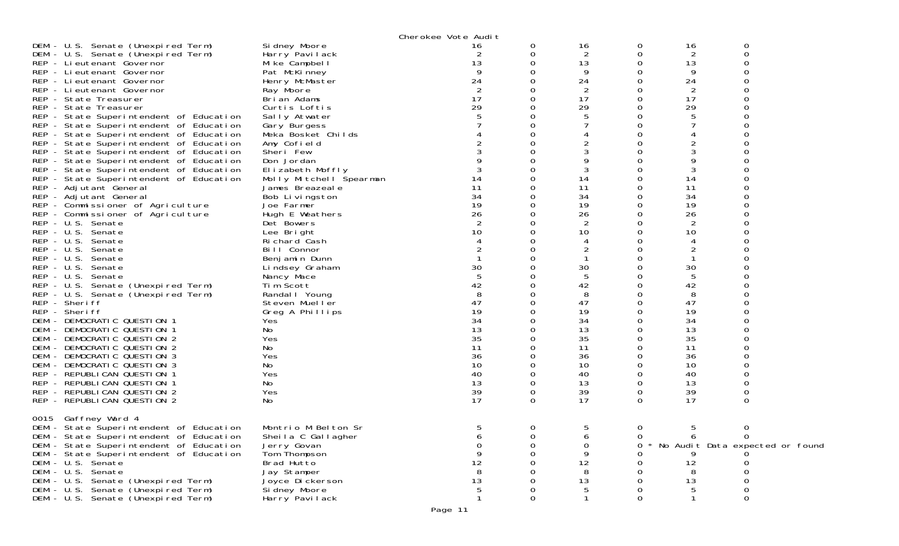|                                         |                         | Cherokee Vote Audit |             |    |   |                |                                 |  |
|-----------------------------------------|-------------------------|---------------------|-------------|----|---|----------------|---------------------------------|--|
| DEM - U.S. Senate (Unexpired Term)      | Sidney Moore            | 16                  | 0           | 16 | 0 | 16             | 0                               |  |
| DEM - U.S. Senate (Unexpired Term)      | Harry Pavilack          | 2                   |             | 2  | 0 | $\overline{2}$ | $\mathbf 0$                     |  |
| REP - Lieutenant Governor               | Mike Campbell           | 13                  |             | 13 | 0 | 13             |                                 |  |
| REP - Lieutenant Governor               | Pat McKinney            |                     |             | 9  | Ω | 9              |                                 |  |
| REP - Lieutenant Governor               | Henry McMaster          | 24                  |             | 24 | 0 | 24             |                                 |  |
| REP - Lieutenant Governor               | Ray Moore               |                     |             | 2  |   | 2              |                                 |  |
| REP - State Treasurer                   | Brian Adams             | 17                  |             | 17 | Ω | 17             |                                 |  |
| REP - State Treasurer                   | Curtis Loftis           | 29                  |             | 29 |   | 29             |                                 |  |
| REP - State Superintendent of Education | Sally Atwater           |                     |             | 5  |   |                |                                 |  |
| REP - State Superintendent of Education | Gary Burgess            |                     |             |    |   |                |                                 |  |
| REP - State Superintendent of Education | Meka Bosket Childs      |                     |             |    |   |                |                                 |  |
| REP - State Superintendent of Education | Amy Cofield             |                     |             |    |   |                |                                 |  |
| REP - State Superintendent of Education | Sheri Few               |                     |             | 3  |   |                |                                 |  |
| REP - State Superintendent of Education | Don Jordan              |                     |             |    |   | 9              |                                 |  |
| REP - State Superintendent of Education | Elizabeth Moffly        |                     |             | 3  |   | 3              |                                 |  |
| REP - State Superintendent of Education | Molly Mitchell Spearman | 14                  |             | 14 | 0 | 14             |                                 |  |
| REP - Adjutant General                  | James Breazeale         | 11                  |             | 11 |   | 11             |                                 |  |
| REP - Adjutant General                  | Bob Livingston          | 34                  |             | 34 | 0 | 34             |                                 |  |
| REP - Commissioner of Agriculture       | Joe Farmer              | 19                  |             | 19 |   | 19             |                                 |  |
| REP - Commissioner of Agriculture       | Hugh E Weathers         | 26                  |             | 26 |   | 26             |                                 |  |
| REP - U.S. Senate                       | Det Bowers              |                     |             | 2  |   | 2              |                                 |  |
| REP - U.S. Senate                       | Lee Bright              | 10                  |             | 10 |   | 10             |                                 |  |
| REP - U.S. Senate                       | Ri chard Cash           |                     |             |    |   | 4              |                                 |  |
| REP - U.S. Senate                       | Bill Connor             |                     |             |    |   |                |                                 |  |
| REP - U.S. Senate                       | Benjamin Dunn           |                     |             |    |   |                |                                 |  |
| REP - U.S. Senate                       | Lindsey Graham          | 30                  |             | 30 |   | 30             |                                 |  |
| REP - U.S. Senate                       | Nancy Mace              |                     |             | 5  | 0 | 5              |                                 |  |
| REP - U.S. Senate (Unexpired Term)      | Tim Scott               | 42                  |             | 42 | 0 | 42             |                                 |  |
| REP - U.S. Senate (Unexpired Term)      | Randal I Young          | 8                   |             | 8  |   | 8              |                                 |  |
| REP - Sheriff                           | Steven Mueller          | 47                  |             | 47 | 0 | 47             |                                 |  |
| REP - Sheriff                           | Greg A Phillips         | 19                  |             | 19 |   | 19             |                                 |  |
| DEM - DEMOCRATIC QUESTION 1             | Yes                     | 34                  |             | 34 |   | 34             |                                 |  |
| DEM - DEMOCRATIC QUESTION 1             | No                      | 13                  |             | 13 | 0 | 13             |                                 |  |
| DEM - DEMOCRATIC QUESTION 2             | Yes                     | 35                  |             | 35 |   | 35             |                                 |  |
| DEM - DEMOCRATIC QUESTION 2             | No                      | 11                  |             | 11 |   | 11             |                                 |  |
| DEM - DEMOCRATIC QUESTION 3             | Yes                     | 36                  |             | 36 |   | 36             |                                 |  |
| DEM - DEMOCRATIC QUESTION 3             | No                      | 10                  |             | 10 |   | 10             |                                 |  |
| REP - REPUBLICAN QUESTION 1             | Yes                     | 40                  |             | 40 |   | 40             |                                 |  |
| REP - REPUBLICAN QUESTION 1             | No                      | 13                  |             | 13 | 0 | 13             |                                 |  |
| REP - REPUBLICAN QUESTION 2             | Yes                     | 39                  | 0           | 39 | 0 | 39             | 0                               |  |
| REP - REPUBLICAN QUESTION 2             | No                      | 17                  | $\Omega$    | 17 | 0 | 17             | 0                               |  |
|                                         |                         |                     |             |    |   |                |                                 |  |
| 0015 Gaffney Ward 4                     |                         |                     |             |    |   |                |                                 |  |
| DEM - State Superintendent of Education | Montrio M Belton Sr     | 5                   | $\mathbf 0$ | 5  | 0 | 5              | 0                               |  |
| DEM - State Superintendent of Education | Sheila C Gallagher      |                     |             | 6  |   |                |                                 |  |
| DEM - State Superintendent of Education | Jerry Govan             |                     |             | 0  | 0 |                | No Audit Data expected or found |  |
| DEM - State Superintendent of Education | Tom Thompson            |                     |             | 9  |   |                |                                 |  |
| DEM - U.S. Senate                       | Brad Hutto              | 12                  |             | 12 |   | 12             |                                 |  |
| DEM - U.S. Senate                       | Jay Stamper             | 8                   |             | 8  |   | 8              |                                 |  |
| DEM - U.S. Senate (Unexpired Term)      | Joyce Dickerson         | 13                  |             | 13 |   | 13             |                                 |  |
| DEM - U.S. Senate (Unexpired Term)      | Si dney Moore           |                     |             |    |   |                |                                 |  |
| DEM - U.S. Senate (Unexpired Term)      | Harry Pavilack          |                     |             |    |   |                | 0                               |  |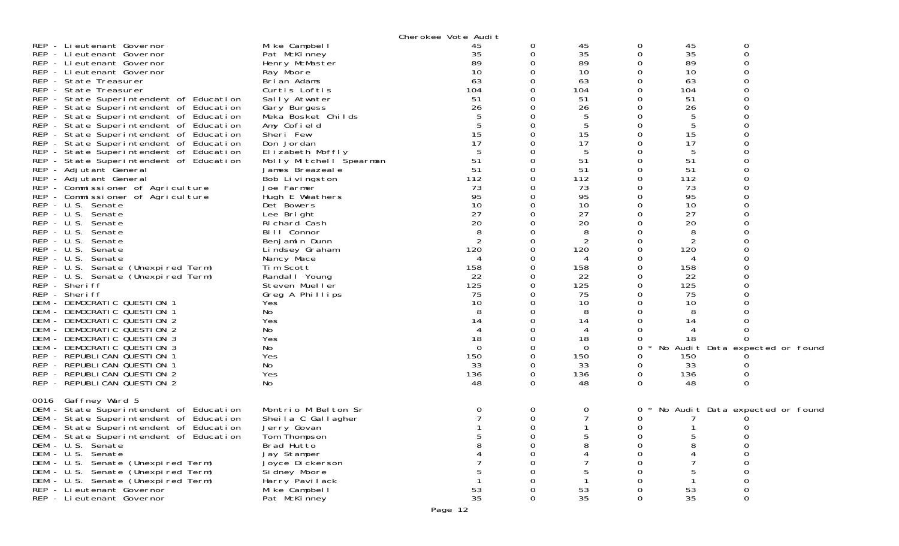|                                         |                         | Cherokee Vote Audit |          |                |          |                |                                 |
|-----------------------------------------|-------------------------|---------------------|----------|----------------|----------|----------------|---------------------------------|
| REP - Lieutenant Governor               | Mike Campbell           | 45                  | 0        | 45             | 0        | 45             | 0                               |
| REP - Lieutenant Governor               | Pat McKinney            | 35                  | 0        | 35             | 0        | 35             | 0                               |
| REP - Lieutenant Governor               | Henry McMaster          | 89                  | 0        | 89             | ∩        | 89             |                                 |
| REP - Lieutenant Governor               | Ray Moore               | 10                  | 0        | 10             |          | 10             |                                 |
| REP - State Treasurer                   | Brian Adams             | 63                  | 0        | 63             |          | 63             |                                 |
| REP - State Treasurer                   | Curtis Loftis           | 104                 |          | 104            | ∩        | 104            |                                 |
| REP - State Superintendent of Education | Sally Atwater           | 51                  | 0        | 51             |          | 51             |                                 |
| REP - State Superintendent of Education | Gary Burgess            | 26                  | Ω        | 26             |          | 26             |                                 |
| REP - State Superintendent of Education | Meka Bosket Childs      |                     |          | 5              |          |                |                                 |
| REP - State Superintendent of Education | Amy Cofield             |                     | 0        | 5              |          | 5              |                                 |
| REP - State Superintendent of Education | Sheri Few               | 15                  | 0        | 15             |          | 15             |                                 |
| REP - State Superintendent of Education | Don Jordan              | 17                  |          | 17             |          | 17             |                                 |
| REP - State Superintendent of Education | Elizabeth Moffly        |                     | 0        | 5              |          | 5              |                                 |
| REP - State Superintendent of Education | Molly Mitchell Spearman | 51                  | 0        | 51             |          | 51             |                                 |
| REP - Adjutant General                  | James Breazeale         | 51                  | 0        | 51             | ∩        | 51             |                                 |
| REP - Adjutant General                  | Bob Livingston          | 112                 | 0        | 112            | 0        | 112            |                                 |
| REP - Commissioner of Agriculture       | Joe Farmer              | 73                  | 0        | 73             |          | 73             |                                 |
| REP - Commissioner of Agriculture       | Hugh E Weathers         | 95                  | ∩        | 95             |          | 95             |                                 |
| REP - U.S. Senate                       | Det Bowers              | 10                  | 0        | 10             |          | 10             |                                 |
| REP - U.S. Senate                       | Lee Bright              | 27                  |          | 27             |          | 27             |                                 |
| REP - U.S. Senate                       | Richard Cash            | 20                  | ∩        | 20             |          | 20             |                                 |
| REP - U.S. Senate                       | Bill Connor             | 8                   | 0        | 8              |          | 8              |                                 |
| REP - U.S. Senate                       | Benjamin Dunn           | 2                   | 0        | $\overline{2}$ |          | $\overline{2}$ |                                 |
| REP - U.S. Senate                       | Lindsey Graham          | 120                 | 0        | 120            | 0        | 120            |                                 |
| REP - U.S. Senate                       | Nancy Mace              | 4                   | 0        | 4              | O        | 4              |                                 |
| REP - U.S. Senate (Unexpired Term)      | Tim Scott               | 158                 | 0        | 158            |          | 158            |                                 |
| REP - U.S. Senate (Unexpired Term)      | Randal I Young          | 22                  | 0        | 22             |          | 22             |                                 |
| REP - Sheriff                           | Steven Mueller          | 125                 | 0        | 125            | 0        | 125            |                                 |
| REP - Sheriff                           | Greg A Phillips         | 75                  | 0        | 75             | ∩        | 75             |                                 |
| DEM - DEMOCRATIC QUESTION 1             | Yes                     | 10                  | 0        | 10             |          | 10             |                                 |
| DEM - DEMOCRATIC QUESTION 1             | No                      | 8                   | 0        | 8              |          | 8              |                                 |
| DEM - DEMOCRATIC QUESTION 2             | Yes                     | 14                  |          | 14             |          | 14             |                                 |
| DEM - DEMOCRATIC QUESTION 2             | No                      |                     | ∩        | 4              |          |                |                                 |
| DEM - DEMOCRATIC QUESTION 3             | Yes                     | 18                  | 0        | 18             |          | 18             |                                 |
| DEM - DEMOCRATIC QUESTION 3             | No                      | $\Omega$            | 0        | $\Omega$       | 0        |                | No Audit Data expected or found |
| REP - REPUBLICAN QUESTION 1             | Yes                     | 150                 | $\Omega$ | 150            | O        | 150            |                                 |
| REP - REPUBLICAN QUESTION 1             | No                      | 33                  | 0        | 33             | 0        | 33             |                                 |
| REP - REPUBLICAN QUESTION 2             | Yes                     | 136                 | 0        | 136            | 0        | 136            |                                 |
| REP - REPUBLICAN QUESTION 2             | No                      | 48                  | $\Omega$ | 48             | $\Omega$ | 48             |                                 |
|                                         |                         |                     |          |                |          |                |                                 |
| 0016 Gaffney Ward 5                     |                         |                     |          |                |          |                |                                 |
| DEM - State Superintendent of Education | Montrio M Belton Sr     | 0                   | 0        | 0              | 0        |                | No Audit Data expected or found |
| DEM - State Superintendent of Education | Sheila C Gallagher      |                     | 0        |                | 0        |                |                                 |
| DEM - State Superintendent of Education | Jerry Govan             |                     | 0        |                | 0        | -1             |                                 |
| DEM - State Superintendent of Education | Tom Thompson            | ხ                   | 0        | Ⴆ              | 0        |                |                                 |
| DEM - U.S. Senate                       | Brad Hutto              |                     | 0        | 8              | 0        | 8              | $\Omega$                        |
| DEM - U.S. Senate                       | Jay Stamper             |                     | ი        |                |          |                |                                 |
| DEM - U.S. Senate (Unexpired Term)      | Joyce Di ckerson        |                     |          |                |          |                |                                 |
| DEM - U.S. Senate (Unexpired Term)      | Si dney Moore           |                     |          | 5              |          |                |                                 |
| DEM - U.S. Senate (Unexpired Term)      | Harry Pavilack          |                     |          |                |          |                | 0                               |
| REP - Li eutenant Governor              | Mike Campbel I          | 53                  | Ω        | 53             |          | 53             |                                 |
| REP - Lieutenant Governor               | Pat McKinney            | 35                  | 0        | 35             | 0        | 35             | 0                               |
|                                         |                         |                     |          |                |          |                |                                 |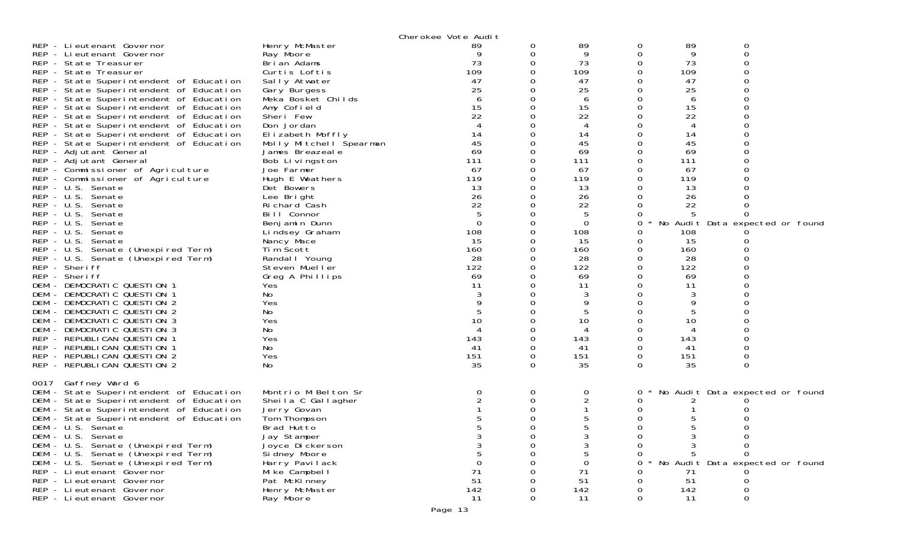| REP - Lieutenant Governor<br>REP - Lieutenant Governor<br>REP - State Treasurer<br>REP - State Treasurer<br>REP - State Superintendent of Education<br>REP - State Superintendent of Education<br>REP - State Superintendent of Education<br>REP - State Superintendent of Education<br>REP - State Superintendent of Education<br>REP - State Superintendent of Education<br>REP - State Superintendent of Education<br>REP - State Superintendent of Education<br>REP - Adjutant General<br>REP - Adjutant General<br>REP - Commissioner of Agriculture<br>REP - Commissioner of Agriculture<br>REP - U.S. Senate<br>REP - U.S. Senate<br>REP - U.S. Senate<br>REP - U.S. Senate<br>REP - U.S. Senate<br>REP - U.S. Senate<br>REP - U.S. Senate<br>REP - U.S. Senate (Unexpired Term)<br>REP - U.S. Senate (Unexpired Term)<br>REP - Sheriff<br>REP - Sheriff<br>DEM - DEMOCRATIC QUESTION 1<br>DEM - DEMOCRATIC QUESTION 1<br>DEM - DEMOCRATIC QUESTION 2<br>DEM - DEMOCRATIC QUESTION 2<br>DEM - DEMOCRATIC QUESTION 3<br>DEM - DEMOCRATIC QUESTION 3<br>REP - REPUBLICAN QUESTION 1<br>REP - REPUBLICAN QUESTION 1<br>REP - REPUBLICAN QUESTION 2<br>REP - REPUBLICAN QUESTION 2 | Henry McMaster<br>Ray Moore<br>Brian Adams<br>Curtis Loftis<br>Sally Atwater<br>Gary Burgess<br>Meka Bosket Childs<br>Amy Cofield<br>Sheri Few<br>Don Jordan<br>Elizabeth Moffly<br>Molly Mitchell Spearman<br>James Breazeale<br>Bob Livingston<br>Joe Farmer<br>Hugh E Weathers<br>Det Bowers<br>Lee Bright<br>Richard Cash<br>Bill Connor<br>Benjamin Dunn<br>Lindsey Graham<br>Nancy Mace<br>Tim Scott<br>Randal I Young<br>Steven Mueller<br>Greg A Phillips<br>Yes<br>No<br>Yes<br>No<br>Yes<br>No<br>Yes<br>No<br>Yes<br>No | Cherokee Vote Audit<br>89<br>9<br>73<br>109<br>47<br>25<br>6<br>15<br>22<br>14<br>45<br>69<br>111<br>67<br>119<br>-13<br>26<br>22<br>$\mathbf 0$<br>108<br>15<br>160<br>28<br>122<br>69<br>11<br>10<br>143<br>41<br>151<br>35 | 0<br>0<br>0<br>0<br>0<br>0 | 89<br>9<br>73<br>109<br>47<br>25<br>6<br>15<br>22<br>4<br>14<br>45<br>69<br>111<br>67<br>119<br>13<br>26<br>22<br>5<br>$\mathbf 0$<br>108<br>15<br>160<br>28<br>122<br>69<br>11<br>10<br>4<br>143<br>41<br>151<br>35 | 0<br>0<br>0<br>0<br>0<br>$\Omega$<br>0 | 89<br>9<br>73<br>109<br>47<br>25<br>6<br>15<br>22<br>4<br>14<br>45<br>69<br>111<br>67<br>119<br>13<br>26<br>22<br>108<br>15<br>160<br>28<br>122<br>69<br>11<br>9<br>5<br>10<br>4<br>143<br>41<br>151<br>35 | 0<br>$\Omega$<br>No Audit Data expected or found<br>0<br>0         |  |
|---------------------------------------------------------------------------------------------------------------------------------------------------------------------------------------------------------------------------------------------------------------------------------------------------------------------------------------------------------------------------------------------------------------------------------------------------------------------------------------------------------------------------------------------------------------------------------------------------------------------------------------------------------------------------------------------------------------------------------------------------------------------------------------------------------------------------------------------------------------------------------------------------------------------------------------------------------------------------------------------------------------------------------------------------------------------------------------------------------------------------------------------------------------------------------------|------------------------------------------------------------------------------------------------------------------------------------------------------------------------------------------------------------------------------------------------------------------------------------------------------------------------------------------------------------------------------------------------------------------------------------------------------------------------------------------------------------------------------------|-------------------------------------------------------------------------------------------------------------------------------------------------------------------------------------------------------------------------------|----------------------------|----------------------------------------------------------------------------------------------------------------------------------------------------------------------------------------------------------------------|----------------------------------------|------------------------------------------------------------------------------------------------------------------------------------------------------------------------------------------------------------|--------------------------------------------------------------------|--|
| 0017 Gaffney Ward 6<br>DEM - State Superintendent of Education<br>DEM - State Superintendent of Education<br>DEM - State Superintendent of Education<br>DEM - State Superintendent of Education<br>DEM - U.S. Senate<br>DEM - U.S. Senate<br>DEM - U.S. Senate (Unexpired Term)<br>DEM - U.S. Senate (Unexpired Term)<br>DEM - U.S. Senate (Unexpired Term)<br>REP - Li eutenant Governor<br>REP - Lieutenant Governor<br>REP - Lieutenant Governor<br>REP - Lieutenant Governor                                                                                                                                                                                                                                                                                                                                                                                                                                                                                                                                                                                                                                                                                                      | Montrio M Belton Sr<br>Sheila C Gallagher<br>Jerry Govan<br>Tom Thompson<br>Brad Hutto<br>Jay Stamper<br>Joyce Di ckerson<br>Si dney Moore<br>Harry Pavilack<br>Mike Campbel I<br>Pat McKinney<br>Henry McMaster<br>Ray Moore                                                                                                                                                                                                                                                                                                      | $\mathbf 0$<br>71<br>51<br>142<br>11                                                                                                                                                                                          | 0                          | 0<br>$\Omega$<br>71<br>51<br>142<br>11                                                                                                                                                                               | 0<br><sup>n</sup>                      | 71<br>51<br>142<br>11                                                                                                                                                                                      | No Audit Data expected or found<br>No Audit Data expected or found |  |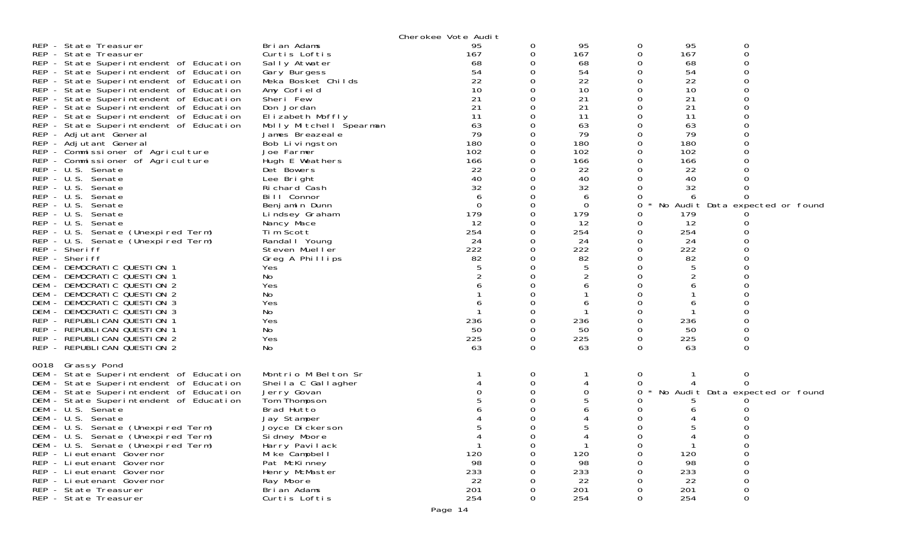| REP - State Treasurer<br>REP - State Treasurer<br>REP - State Superintendent of Education<br>REP - State Superintendent of Education<br>REP - State Superintendent of Education<br>REP - State Superintendent of Education<br>REP - State Superintendent of Education<br>REP - State Superintendent of Education<br>REP - State Superintendent of Education<br>REP - State Superintendent of Education<br>REP - Adjutant General<br>REP - Adjutant General<br>REP - Commissioner of Agriculture<br>REP - Commissioner of Agriculture<br>REP - U.S. Senate<br>REP - U.S. Senate<br>REP - U.S. Senate<br>REP - U.S. Senate<br>REP - U.S. Senate<br>REP - U.S. Senate<br>REP - U.S. Senate<br>REP - U.S. Senate (Unexpired Term)<br>REP - U.S. Senate (Unexpired Term)<br>REP - Sheriff<br>REP - Sheriff<br>DEM - DEMOCRATIC QUESTION 1<br>DEM - DEMOCRATIC QUESTION 1<br>DEM - DEMOCRATIC QUESTION 2<br>DEM - DEMOCRATIC QUESTION 2<br>DEM - DEMOCRATIC QUESTION 3<br>DEM - DEMOCRATIC QUESTION 3<br>REP - REPUBLICAN QUESTION 1<br>REP - REPUBLICAN QUESTION 1<br>REP - REPUBLICAN QUESTION 2<br>REP - REPUBLICAN QUESTION 2 | Brian Adams<br>Curtis Loftis<br>Sally Atwater<br>Gary Burgess<br>Meka Bosket Childs<br>Amy Cofield<br>Sheri Few<br>Don Jordan<br>Elizabeth Moffly<br>Molly Mitchell Spearman<br>James Breazeale<br>Bob Livingston<br>Joe Farmer<br>Hugh E Weathers<br>Det Bowers<br>Lee Bright<br>Richard Cash<br>Bill Connor<br>Benjamin Dunn<br>Lindsey Graham<br>Nancy Mace<br>Tim Scott<br>Randal I Young<br>Steven Mueller<br>Greg A Phillips<br>Yes<br>No<br>Yes<br>No<br>Yes<br>No<br>Yes<br>No<br>Yes<br>No | Cherokee Vote Audit<br>95<br>167<br>68<br>54<br>22<br>10<br>21<br>21<br>11<br>63<br>79<br>180<br>102<br>166<br>22<br>40<br>32<br>6<br>$\overline{0}$<br>179<br>12<br>254<br>24<br>222<br>82<br>236<br>50<br>225<br>63 | 0<br>0<br>0<br>0<br>0<br>0<br>0<br>0<br>0<br>0<br>0<br>0<br>Ω<br>0<br>0<br>0<br>0<br>0<br>0<br>0<br>0<br>0<br>0<br>0<br>O<br>Ω<br>0<br>0<br>0<br>0<br>$\Omega$ | 95<br>167<br>68<br>54<br>22<br>10<br>21<br>21<br>11<br>63<br>79<br>180<br>102<br>166<br>22<br>40<br>32<br>6<br>0<br>179<br>12<br>254<br>24<br>222<br>82<br>5<br>2<br>6<br>6<br>236<br>50<br>225<br>63 | 0<br>0<br>0<br>O<br>O<br>0<br>O<br>0<br>0<br>0<br>0<br>0<br>$\Omega$ | 95<br>167<br>68<br>54<br>22<br>10<br>21<br>21<br>11<br>63<br>79<br>180<br>102<br>166<br>22<br>40<br>32<br>6<br>179<br>12<br>254<br>24<br>222<br>82<br>2<br>6<br>236<br>50<br>225<br>63 | 0<br>0<br>$\Omega$<br>No Audit Data expected or found<br>$\Omega$                                                                                          |
|-----------------------------------------------------------------------------------------------------------------------------------------------------------------------------------------------------------------------------------------------------------------------------------------------------------------------------------------------------------------------------------------------------------------------------------------------------------------------------------------------------------------------------------------------------------------------------------------------------------------------------------------------------------------------------------------------------------------------------------------------------------------------------------------------------------------------------------------------------------------------------------------------------------------------------------------------------------------------------------------------------------------------------------------------------------------------------------------------------------------------------|-----------------------------------------------------------------------------------------------------------------------------------------------------------------------------------------------------------------------------------------------------------------------------------------------------------------------------------------------------------------------------------------------------------------------------------------------------------------------------------------------------|-----------------------------------------------------------------------------------------------------------------------------------------------------------------------------------------------------------------------|----------------------------------------------------------------------------------------------------------------------------------------------------------------|-------------------------------------------------------------------------------------------------------------------------------------------------------------------------------------------------------|----------------------------------------------------------------------|----------------------------------------------------------------------------------------------------------------------------------------------------------------------------------------|------------------------------------------------------------------------------------------------------------------------------------------------------------|
| 0018 Grassy Pond<br>DEM - State Superintendent of Education<br>DEM - State Superintendent of Education<br>DEM - State Superintendent of Education<br>DEM - State Superintendent of Education<br>DEM - U.S. Senate<br>DEM - U.S. Senate<br>DEM - U.S. Senate (Unexpired Term)<br>DEM - U.S. Senate (Unexpired Term)<br>DEM - U.S. Senate (Unexpired Term)<br>REP - Li eutenant Governor<br>REP - Lieutenant Governor<br>REP - Li eutenant Governor<br>REP - Lieutenant Governor<br>REP - State Treasurer<br>REP - State Treasurer                                                                                                                                                                                                                                                                                                                                                                                                                                                                                                                                                                                            | Montrio M Belton Sr<br>Sheila C Gallagher<br>Jerry Govan<br>Tom Thompson<br>Brad Hutto<br>Jay Stamper<br>Joyce Dickerson<br>Si dney Moore<br>Harry Pavilack<br>Mike Campbel I<br>Pat McKinney<br>Henry McMaster<br>Ray Moore<br>Brian Adams<br>Curtis Loftis                                                                                                                                                                                                                                        | 4<br>120<br>98<br>233<br>22<br>201<br>254                                                                                                                                                                             | 0<br>0<br>∩<br>0<br>0<br>0<br>O<br>Ω<br>0<br>0                                                                                                                 | 0<br>4<br>120<br>98<br>233<br>22<br>201<br>254                                                                                                                                                        | 0<br>0<br>∩<br>0<br>0<br>∩<br>0                                      | 120<br>98<br>233<br>22<br>201<br>254                                                                                                                                                   | 0<br>* No Audit Data expected or found<br>0<br>0<br>$\mathbf 0$<br>$\mathbf 0$<br>$\mathbf 0$<br>$\mathbf 0$<br>$\mathsf{O}\xspace$<br>$\mathsf{O}\xspace$ |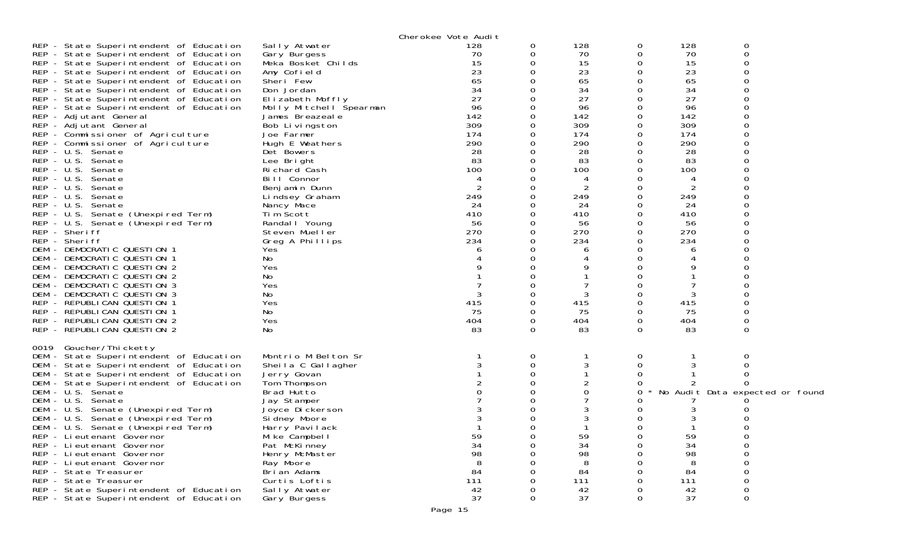| REP - State Superintendent of Education<br>REP - State Superintendent of Education<br>REP - State Superintendent of Education<br>REP - State Superintendent of Education<br>REP - State Superintendent of Education<br>REP - State Superintendent of Education<br>REP - State Superintendent of Education<br>REP - State Superintendent of Education<br>REP - Adjutant General<br>REP - Adjutant General<br>REP - Commissioner of Agriculture<br>REP - Commissioner of Agriculture<br>REP - U.S. Senate<br>REP - U.S. Senate<br>REP - U.S. Senate<br>REP - U.S. Senate<br>REP - U.S. Senate<br>REP - U.S. Senate<br>REP - U.S. Senate<br>REP - U.S. Senate (Unexpired Term)<br>REP - U.S. Senate (Unexpired Term)<br>REP - Sheriff<br>REP - Sheriff<br>DEM - DEMOCRATIC QUESTION 1 | Sally Atwater<br>Gary Burgess<br>Meka Bosket Childs<br>Amy Cofield<br>Sheri Few<br>Don Jordan<br>Elizabeth Moffly<br>Molly Mitchell Spearman<br>James Breazeale<br>Bob Livingston<br>Joe Farmer<br>Hugh E Weathers<br>Det Bowers<br>Lee Bright<br>Richard Cash<br>Bill Connor<br>Benjamin Dunn<br>Lindsey Graham<br>Nancy Mace<br>Tim Scott<br>Randal I Young<br>Steven Mueller<br>Greg A Phillips<br>Yes | Cherokee Vote Audit<br>128<br>70<br>15<br>23<br>65<br>34<br>27<br>96<br>142<br>309<br>174<br>290<br>28<br>83<br>100<br>2<br>249<br>24<br>410<br>56<br>270<br>234 | 0<br>0 | 128<br>70<br>15<br>23<br>65<br>34<br>27<br>96<br>142<br>309<br>174<br>290<br>28<br>83<br>100<br>4<br>2<br>249<br>24<br>410<br>56<br>270<br>234 | 0<br>0<br>Ω      | 128<br>70<br>15<br>23<br>65<br>34<br>27<br>96<br>142<br>309<br>174<br>290<br>28<br>83<br>100<br>4<br>2<br>249<br>24<br>410<br>56<br>270<br>234 | 0<br>0<br>$\Omega$                                              |
|------------------------------------------------------------------------------------------------------------------------------------------------------------------------------------------------------------------------------------------------------------------------------------------------------------------------------------------------------------------------------------------------------------------------------------------------------------------------------------------------------------------------------------------------------------------------------------------------------------------------------------------------------------------------------------------------------------------------------------------------------------------------------------|-----------------------------------------------------------------------------------------------------------------------------------------------------------------------------------------------------------------------------------------------------------------------------------------------------------------------------------------------------------------------------------------------------------|------------------------------------------------------------------------------------------------------------------------------------------------------------------|--------|------------------------------------------------------------------------------------------------------------------------------------------------|------------------|------------------------------------------------------------------------------------------------------------------------------------------------|-----------------------------------------------------------------|
| DEM - DEMOCRATIC QUESTION 1<br>DEM - DEMOCRATIC QUESTION 2<br>DEM - DEMOCRATIC QUESTION 2<br>DEM - DEMOCRATIC QUESTION 3<br>DEM - DEMOCRATIC QUESTION 3                                                                                                                                                                                                                                                                                                                                                                                                                                                                                                                                                                                                                            | No<br>Yes<br>No<br>Yes<br>No.                                                                                                                                                                                                                                                                                                                                                                             | 3                                                                                                                                                                |        | 3                                                                                                                                              | Ω                | 3                                                                                                                                              |                                                                 |
| REP - REPUBLICAN QUESTION 1<br>REP - REPUBLICAN QUESTION 1<br>REP - REPUBLICAN QUESTION 2<br>REP - REPUBLICAN QUESTION 2                                                                                                                                                                                                                                                                                                                                                                                                                                                                                                                                                                                                                                                           | Yes<br>No<br>Yes<br>No                                                                                                                                                                                                                                                                                                                                                                                    | 415<br>75<br>404<br>83                                                                                                                                           | 0      | 415<br>75<br>404<br>83                                                                                                                         | Ω<br>0<br>0<br>0 | 415<br>75<br>404<br>83                                                                                                                         | 0                                                               |
| 0019 Goucher/Thicketty<br>DEM - State Superintendent of Education<br>DEM - State Superintendent of Education<br>DEM - State Superintendent of Education<br>DEM - State Superintendent of Education<br>DEM - U.S. Senate<br>DEM - U.S. Senate<br>DEM - U.S. Senate (Unexpired Term)<br>DEM - U.S. Senate (Unexpired Term)<br>DEM - U.S. Senate (Unexpired Term)<br>REP - Li eutenant Governor<br>REP - Li eutenant Governor<br>REP - Lieutenant Governor<br>REP - Lieutenant Governor<br>REP - State Treasurer<br>REP - State Treasurer<br>REP - State Superintendent of Education<br>REP - State Superintendent of Education                                                                                                                                                       | Montrio M Belton Sr<br>Sheila C Gallagher<br>Jerry Govan<br>Tom Thompson<br>Brad Hutto<br>Jay Stamper<br>Joyce Dickerson<br>Si dney Moore<br>Harry Pavilack<br>Mike Campbel I<br>Pat McKinney<br>Henry McMaster<br>Ray Moore<br>Brian Adams<br>Curtis Loftis<br>Sally Atwater<br>Gary Burgess                                                                                                             | 59<br>34<br>98<br>84<br>111<br>42<br>37                                                                                                                          | 0      | 3<br>2<br>0<br>59<br>34<br>98<br>8<br>84<br>111<br>42<br>37                                                                                    | 0<br>0<br>O      | 59<br>34<br>98<br>8<br>84<br>111<br>42<br>37                                                                                                   | 0<br>No Audit Data expected or found<br>0<br>$\Omega$<br>0<br>0 |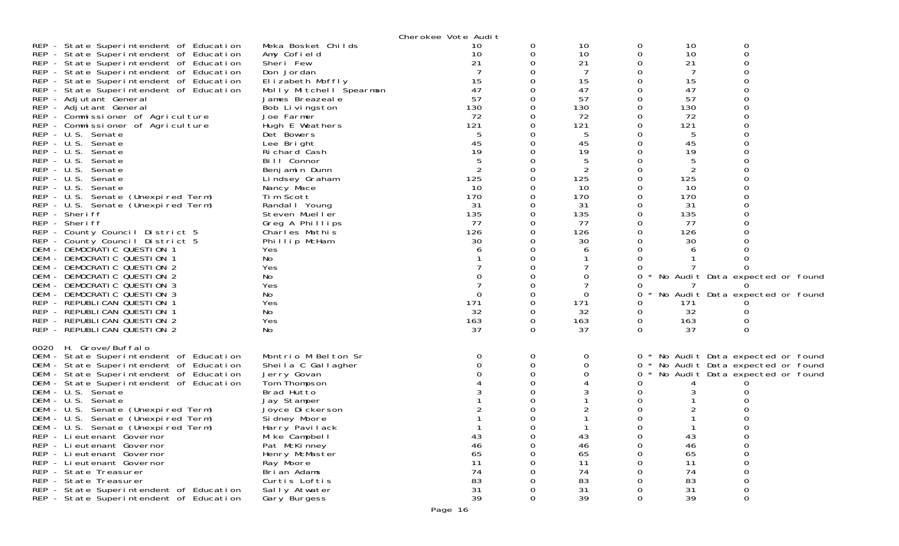| REP - State Superintendent of Education<br>REP - State Superintendent of Education<br>REP - State Superintendent of Education<br>REP - State Superintendent of Education<br>REP - State Superintendent of Education<br>REP - State Superintendent of Education<br>REP - Adjutant General<br>REP - Adjutant General<br>REP - Commissioner of Agriculture<br>REP - Commissioner of Agriculture<br>REP - U.S. Senate<br>REP - U.S. Senate<br>REP - U.S. Senate<br>REP - U.S. Senate<br>REP - U.S. Senate<br>REP - U.S. Senate                                                                                                    | Meka Bosket Childs<br>Amy Cofield<br>Sheri Few<br>Don Jordan<br>Elizabeth Moffly<br>Molly Mitchell Spearman<br>James Breazeale<br>Bob Livingston<br>Joe Farmer<br>Hugh E Weathers<br>Det Bowers<br>Lee Bright<br>Richard Cash<br>Bill Connor<br>Benjamin Dunn<br>Lindsey Graham               | Cherokee Vote Audit<br>10<br>10<br>21<br>15<br>47<br>57<br>130<br>72<br>121<br>5<br>45<br>19<br>5<br>$\overline{2}$<br>125 | 0<br>0<br>0<br>0<br>0<br>0<br>0<br>0<br>0<br>0<br>0<br>0 | 10<br>10<br>21<br>15<br>47<br>57<br>130<br>72<br>121<br>5<br>45<br>19<br>5<br>2<br>125 | 0<br>0           | 10<br>10<br>21<br>15<br>47<br>57<br>130<br>72<br>121<br>5<br>45<br>19<br>2<br>125 | 0<br>0<br>0                                                                                                                   |
|-------------------------------------------------------------------------------------------------------------------------------------------------------------------------------------------------------------------------------------------------------------------------------------------------------------------------------------------------------------------------------------------------------------------------------------------------------------------------------------------------------------------------------------------------------------------------------------------------------------------------------|-----------------------------------------------------------------------------------------------------------------------------------------------------------------------------------------------------------------------------------------------------------------------------------------------|----------------------------------------------------------------------------------------------------------------------------|----------------------------------------------------------|----------------------------------------------------------------------------------------|------------------|-----------------------------------------------------------------------------------|-------------------------------------------------------------------------------------------------------------------------------|
| REP - U.S. Senate<br>REP - U.S. Senate (Unexpired Term)<br>REP - U.S. Senate (Unexpired Term)<br>REP - Sheriff<br>REP - Sheriff<br>REP - County Council District 5                                                                                                                                                                                                                                                                                                                                                                                                                                                            | Nancy Mace<br>Tim Scott<br>Randal   Young<br>Steven Mueller<br>Greg A Phillips<br>Charles Mathis                                                                                                                                                                                              | 10<br>170<br>31<br>135<br>77<br>126                                                                                        | 0<br>0<br>0<br>0<br>0<br>0                               | 10<br>170<br>31<br>135<br>77<br>126                                                    |                  | 10<br>170<br>31<br>135<br>77<br>126                                               |                                                                                                                               |
| REP - County Council District 5<br>DEM - DEMOCRATIC QUESTION 1<br>DEM - DEMOCRATIC QUESTION 1<br>DEM - DEMOCRATIC QUESTION 2<br>DEM - DEMOCRATIC QUESTION 2<br>DEM - DEMOCRATIC QUESTION 3<br>DEM - DEMOCRATIC QUESTION 3<br>REP - REPUBLICAN QUESTION 1                                                                                                                                                                                                                                                                                                                                                                      | Phillip McHam<br><b>Yes</b><br>No<br>Yes<br>No<br>Yes<br>No<br>Yes                                                                                                                                                                                                                            | 30<br>$\Omega$<br>171                                                                                                      | 0<br>0<br>0                                              | 30<br>6<br>0<br>$\Omega$<br>171                                                        | 0<br>0           | 30<br>171                                                                         | No Audit Data expected or found<br>No Audit Data expected or found                                                            |
| REP - REPUBLICAN QUESTION 1<br>REP - REPUBLICAN QUESTION 2<br>REP - REPUBLICAN QUESTION 2                                                                                                                                                                                                                                                                                                                                                                                                                                                                                                                                     | No<br>Yes<br>No.                                                                                                                                                                                                                                                                              | 32<br>163<br>37                                                                                                            | 0<br>0<br>0                                              | 32<br>163<br>37                                                                        | 0<br>0<br>0      | 32<br>163<br>37                                                                   | $\Omega$                                                                                                                      |
| H. Grove/Buffalo<br>0020<br>DEM - State Superintendent of Education<br>DEM - State Superintendent of Education<br>DEM - State Superintendent of Education<br>DEM - State Superintendent of Education<br>DEM - U.S. Senate<br>DEM - U.S. Senate<br>DEM - U.S. Senate (Unexpired Term)<br>DEM - U.S. Senate (Unexpired Term)<br>DEM - U.S. Senate (Unexpired Term)<br>REP - Li eutenant Governor<br>REP - Lieutenant Governor<br>REP - Lieutenant Governor<br>REP - Lieutenant Governor<br>REP - State Treasurer<br>REP - State Treasurer<br>REP - State Superintendent of Education<br>REP - State Superintendent of Education | Montrio M Belton Sr<br>Sheila C Gallagher<br>Jerry Govan<br>Tom Thompson<br>Brad Hutto<br>Jay Stamper<br>Joyce Dickerson<br>Si dney Moore<br>Harry Pavilack<br>Mike Campbel I<br>Pat McKinney<br>Henry McMaster<br>Ray Moore<br>Brian Adams<br>Curtis Loftis<br>Sally Atwater<br>Gary Burgess | 0<br>$\Omega$<br>43<br>46<br>65<br>11<br>74<br>83<br>31<br>39                                                              | 0<br>0<br>0<br>0<br>0<br>Ω<br>0<br>$\Omega$              | 0<br>0<br>O<br>43<br>46<br>65<br>11<br>74<br>83<br>31<br>39                            | 0<br>0<br>0<br>0 | 43<br>46<br>65<br>11<br>74<br>83<br>31<br>39                                      | * No Audit Data expected or found<br>* No Audit Data expected or found<br>No Audit Data expected or found<br>0<br>0<br>0<br>0 |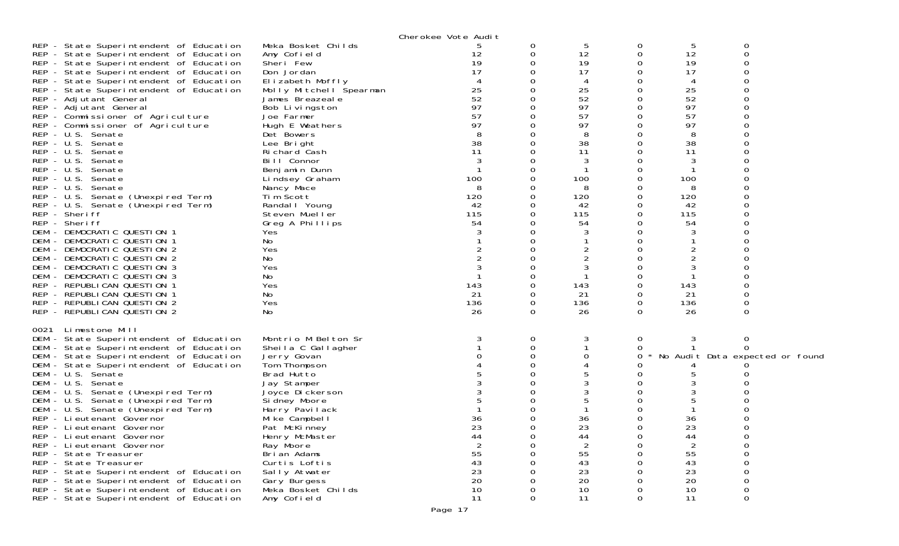|                                                                                                                                                                                                                                                                                                                                                                                                                                                                                                                                                                                                                                                                                                                                                                                                                                                                                                                                                      |                                                                                                                                                                                                                                                                                                                                                                                                                              | Cherokee Vote Audit                                                                                                |             |                                                                                                                                                   |                                                               |                                                                                                                                              |                                                                                                              |
|------------------------------------------------------------------------------------------------------------------------------------------------------------------------------------------------------------------------------------------------------------------------------------------------------------------------------------------------------------------------------------------------------------------------------------------------------------------------------------------------------------------------------------------------------------------------------------------------------------------------------------------------------------------------------------------------------------------------------------------------------------------------------------------------------------------------------------------------------------------------------------------------------------------------------------------------------|------------------------------------------------------------------------------------------------------------------------------------------------------------------------------------------------------------------------------------------------------------------------------------------------------------------------------------------------------------------------------------------------------------------------------|--------------------------------------------------------------------------------------------------------------------|-------------|---------------------------------------------------------------------------------------------------------------------------------------------------|---------------------------------------------------------------|----------------------------------------------------------------------------------------------------------------------------------------------|--------------------------------------------------------------------------------------------------------------|
| REP - State Superintendent of Education<br>REP - State Superintendent of Education<br>REP - State Superintendent of Education<br>REP - State Superintendent of Education<br>REP - State Superintendent of Education<br>REP - State Superintendent of Education<br>REP - Adjutant General<br>REP - Adjutant General<br>REP - Commissioner of Agriculture<br>REP - Commissioner of Agriculture<br>REP - U.S. Senate<br>REP - U.S. Senate<br>REP - U.S. Senate<br>REP - U.S. Senate<br>REP - U.S. Senate<br>REP - U.S. Senate<br>REP - U.S. Senate<br>REP - U.S. Senate (Unexpired Term)<br>REP - U.S. Senate (Unexpired Term)<br>REP - Sheriff<br>REP - Sheriff<br>DEM - DEMOCRATIC QUESTION 1<br>DEM - DEMOCRATIC QUESTION 1<br>DEM - DEMOCRATIC QUESTION 2<br>DEM - DEMOCRATIC QUESTION 2<br>DEM - DEMOCRATIC QUESTION 3<br>DEM - DEMOCRATIC QUESTION 3<br>REP - REPUBLICAN QUESTION 1<br>REP - REPUBLICAN QUESTION 1<br>REP - REPUBLICAN QUESTION 2 | Meka Bosket Childs<br>Amy Cofield<br>Sheri Few<br>Don Jordan<br>Elizabeth Moffly<br>Molly Mitchell Spearman<br>James Breazeale<br>Bob Livingston<br>Joe Farmer<br>Hugh E Weathers<br>Det Bowers<br>Lee Bright<br>Richard Cash<br>Bill Connor<br>Benjamin Dunn<br>Lindsey Graham<br>Nancy Mace<br>Tim Scott<br>Randal I Young<br>Steven Mueller<br>Greg A Phillips<br>Yes<br>No<br>Yes<br>No<br>Yes<br>No<br>Yes<br>No<br>Yes | 12<br>19<br>17<br>25<br>52<br>97<br>57<br>97<br>38<br>11<br>3<br>100<br>120<br>42<br>115<br>54<br>143<br>21<br>136 | 0<br>0<br>0 | 5<br>12<br>19<br>17<br>4<br>25<br>52<br>97<br>57<br>97<br>8<br>38<br>11<br>3<br>-1<br>100<br>8<br>120<br>42<br>115<br>54<br>2<br>143<br>21<br>136 | 0<br>0<br>Ω<br>Ω<br>Ω<br>Ω<br>Ω<br>Ω<br>O<br>0<br>Ω<br>0<br>0 | 5<br>12<br>19<br>17<br>4<br>25<br>52<br>97<br>57<br>97<br>8<br>38<br>11<br>-1<br>100<br>8<br>120<br>42<br>115<br>54<br>2<br>143<br>21<br>136 | $\mathbf 0$<br>$\mathbf 0$<br>0                                                                              |
| REP - REPUBLICAN QUESTION 2<br>0021<br>Limestone Mill<br>DEM - State Superintendent of Education<br>DEM - State Superintendent of Education<br>DEM - State Superintendent of Education<br>DEM - State Superintendent of Education<br>DEM - U.S. Senate<br>DEM - U.S. Senate<br>DEM - U.S. Senate (Unexpired Term)<br>DEM - U.S. Senate (Unexpired Term)<br>DEM - U.S. Senate (Unexpired Term)<br>REP - Li eutenant Governor<br>REP - Lieutenant Governor<br>REP - Li eutenant Governor<br>REP - Lieutenant Governor<br>REP - State Treasurer<br>REP - State Treasurer<br>REP - State Superintendent of Education<br>REP - State Superintendent of Education<br>REP - State Superintendent of Education<br>REP - State Superintendent of Education                                                                                                                                                                                                    | No<br>Montrio M Belton Sr<br>Sheila C Gallagher<br>Jerry Govan<br>Tom Thompson<br>Brad Hutto<br>Jay Stamper<br>Joyce Dickerson<br>Si dney Moore<br>Harry Pavilack<br>Mike Campbell<br>Pat McKinney<br>Henry McMaster<br>Ray Moore<br>Brian Adams<br>Curtis Loftis<br>Sally Atwater<br>Gary Burgess<br>Meka Bosket Childs<br>Amy Cofield                                                                                      | 26<br>36<br>23<br>44<br>55<br>43<br>23<br>20<br>10<br>11                                                           | 0<br>0      | 26<br>3<br>0<br>36<br>23<br>44<br>55<br>43<br>23<br>20<br>10<br>11                                                                                | 0<br>Ω<br>0<br>∩<br>0<br>Ω<br>0<br>0                          | 3<br>36<br>23<br>44<br>55<br>43<br>23<br>20<br>10<br>11                                                                                      | 0<br>No Audit Data expected or found<br>0<br>0<br>$\mathbf 0$<br>$\mathbf 0$<br>$\Omega$<br>0<br>$\mathbf 0$ |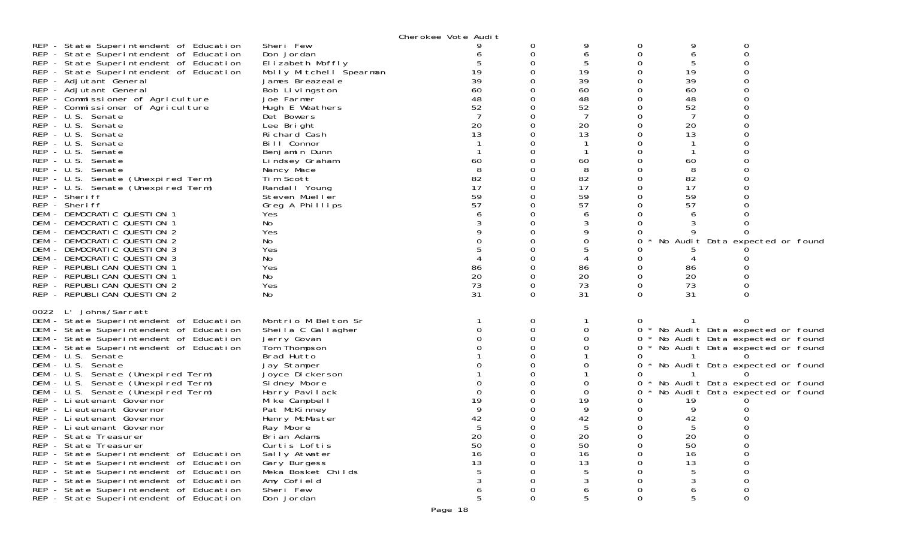|      |                                                                                    |                                            | Cherokee Vote Audit |        |          |          |          |                                                                          |  |
|------|------------------------------------------------------------------------------------|--------------------------------------------|---------------------|--------|----------|----------|----------|--------------------------------------------------------------------------|--|
|      | REP - State Superintendent of Education<br>REP - State Superintendent of Education | Sheri Few<br>Don Jordan                    |                     | 0<br>0 |          | 0<br>0   | 9<br>6   | 0<br>0                                                                   |  |
|      | REP - State Superintendent of Education                                            | Elizabeth Moffly                           |                     |        | 5        |          | 5        |                                                                          |  |
|      | REP - State Superintendent of Education<br>REP - Adjutant General                  | Molly Mitchell Spearman<br>James Breazeale | 19<br>39            |        | 19<br>39 |          | 19<br>39 |                                                                          |  |
|      | REP - Adjutant General                                                             | Bob Livingston                             | 60                  |        | 60       |          | 60       |                                                                          |  |
|      | REP - Commissioner of Agriculture                                                  | Joe Farmer                                 | 48                  |        | 48       |          | 48       |                                                                          |  |
|      | REP - Commissioner of Agriculture                                                  | Hugh E Weathers                            | 52                  |        | 52       |          | 52       |                                                                          |  |
|      | REP - U.S. Senate                                                                  | Det Bowers                                 |                     |        |          |          |          |                                                                          |  |
|      | REP - U.S. Senate                                                                  | Lee Bright                                 | 20                  |        | 20       |          | 20       |                                                                          |  |
|      | REP - U.S. Senate                                                                  | Richard Cash<br>Bill Connor                | 13                  |        | 13       |          | 13       |                                                                          |  |
|      | REP - U.S. Senate<br>REP - U.S. Senate                                             | Benjamin Dunn                              |                     |        |          |          |          |                                                                          |  |
|      | REP - U.S. Senate                                                                  | Lindsey Graham                             | 60                  |        | 60       |          | 60       |                                                                          |  |
|      | REP - U.S. Senate                                                                  | Nancy Mace                                 | 8                   |        | 8        |          | 8        |                                                                          |  |
|      | REP - U.S. Senate (Unexpired Term)                                                 | Tim Scott                                  | 82                  |        | 82       |          | 82       |                                                                          |  |
|      | REP - U.S. Senate (Unexpired Term)                                                 | Randal I Young                             | 17                  |        | 17       |          | 17       |                                                                          |  |
|      | REP - Sheriff<br>REP - Sheriff                                                     | Steven Mueller                             | 59<br>57            |        | 59       | 0        | 59<br>57 |                                                                          |  |
|      | DEM - DEMOCRATIC QUESTION 1                                                        | Greg A Phillips<br>Yes                     |                     |        | 57<br>6  |          |          |                                                                          |  |
|      | DEM - DEMOCRATIC QUESTION 1                                                        | No                                         |                     |        |          |          |          |                                                                          |  |
|      | DEM - DEMOCRATIC QUESTION 2                                                        | Yes                                        |                     |        |          |          |          |                                                                          |  |
|      | DEM - DEMOCRATIC QUESTION 2                                                        | No                                         |                     |        |          |          |          | No Audit Data expected or found                                          |  |
|      | DEM - DEMOCRATIC QUESTION 3                                                        | Yes                                        |                     |        |          |          |          |                                                                          |  |
|      | DEM - DEMOCRATIC QUESTION 3<br>REP - REPUBLICAN QUESTION 1                         | No<br>Yes                                  | 86                  |        | 86       |          | 86       |                                                                          |  |
|      | REP - REPUBLICAN QUESTION 1                                                        | No                                         | 20                  |        | 20       | 0        | 20       |                                                                          |  |
|      | REP - REPUBLICAN QUESTION 2                                                        | Yes                                        | 73                  |        | 73       | 0        | 73       |                                                                          |  |
|      | REP - REPUBLICAN QUESTION 2                                                        | No.                                        | 31                  | 0      | 31       | $\Omega$ | 31       | 0                                                                        |  |
| 0022 | L' Johns/Sarratt                                                                   |                                            |                     |        |          |          |          |                                                                          |  |
|      | DEM - State Superintendent of Education                                            | Montrio M Belton Sr                        |                     | 0      |          | 0        |          |                                                                          |  |
|      | DEM - State Superintendent of Education<br>DEM - State Superintendent of Education | Sheila C Gallagher                         |                     |        |          |          |          | 0 * No Audit Data expected or found                                      |  |
|      | DEM - State Superintendent of Education                                            | Jerry Govan<br>Tom Thompson                |                     |        |          | 0        |          | * No Audit Data expected or found<br>0 * No Audit Data expected or found |  |
|      | DEM - U.S. Senate                                                                  | Brad Hutto                                 |                     |        |          |          |          |                                                                          |  |
|      | DEM - U.S. Senate                                                                  | Jay Stamper                                |                     |        |          | 0        |          | * No Audit Data expected or found                                        |  |
|      | DEM - U.S. Senate (Unexpired Term)                                                 | Joyce Dickerson                            |                     |        |          |          |          |                                                                          |  |
|      | DEM - U.S. Senate (Unexpired Term)                                                 | Si dney Moore                              |                     |        |          | 0        |          | No Audit Data expected or found                                          |  |
|      | DEM - U.S. Senate (Unexpired Term)<br>REP - Lieutenant Governor                    | Harry Pavilack<br>Mike Campbell            | 19                  |        | 19       | 0        | 19       | No Audit Data expected or found                                          |  |
|      | REP - Lieutenant Governor                                                          | Pat McKinney                               |                     |        | 9        |          |          |                                                                          |  |
|      | REP - Lieutenant Governor                                                          | Henry McMaster                             | 42                  |        | 42       |          | 42       |                                                                          |  |
|      | REP - Lieutenant Governor                                                          | Ray Moore                                  |                     |        |          |          |          |                                                                          |  |
|      | REP - State Treasurer                                                              | Brian Adams                                | 20                  |        | 20       | 0        | 20       | 0                                                                        |  |
|      | REP - State Treasurer                                                              | Curtis Loftis                              | 50                  |        | 50       |          | 50       | 0                                                                        |  |
|      | REP - State Superintendent of Education<br>REP - State Superintendent of Education | Sally Atwater<br>Gary Burgess              | 16<br>13            |        | 16<br>13 |          | 16<br>13 | O                                                                        |  |
|      | REP - State Superintendent of Education                                            | Meka Bosket Childs                         |                     |        |          |          |          |                                                                          |  |
|      | REP - State Superintendent of Education                                            | Amy Cofield                                |                     |        |          |          |          |                                                                          |  |
|      | REP - State Superintendent of Education                                            | Sheri Few                                  | 6                   |        | 6        | O        | 6        | 0                                                                        |  |
|      | REP - State Superintendent of Education                                            | Don Jordan                                 | 5                   | 0      | 5        | 0        | 5        | 0                                                                        |  |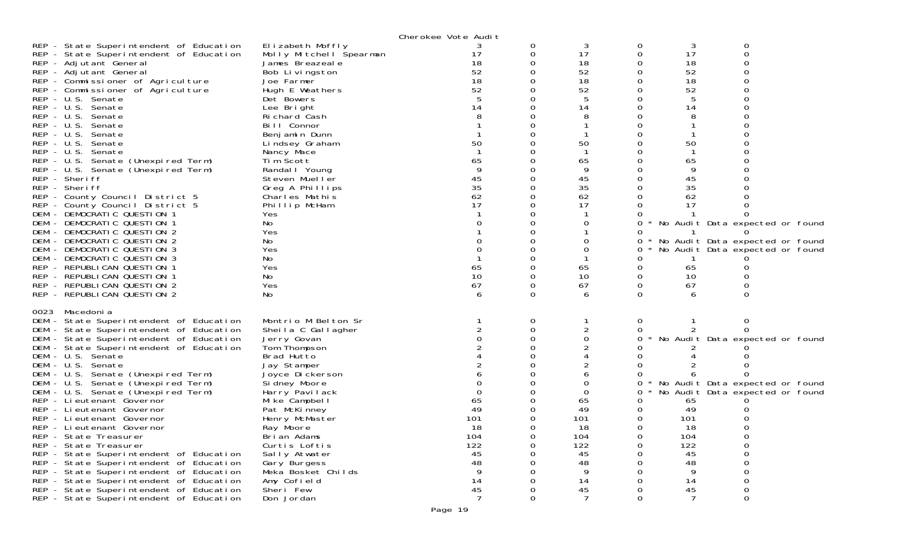| REP - State Superintendent of Education<br>REP - State Superintendent of Education<br>REP - Adjutant General<br>REP - Adjutant General<br>REP - Commissioner of Agriculture<br>REP - Commissioner of Agriculture<br>REP - U.S. Senate<br>REP - U.S. Senate<br>$REP - U.S.$<br>Senate<br>$REP - U.S.$<br>Senate<br>$REP - U.S.$<br>Senate<br>$REP - U.S.$<br>Senate<br>REP - U.S. Senate<br>REP - U.S. Senate (Unexpired Term)<br>REP - U.S. Senate (Unexpired Term)<br>REP - Sheriff<br>REP - Sheriff<br>REP - County Council District 5<br>REP - County Council District 5<br>DEM - DEMOCRATIC QUESTION 1<br>DEM - DEMOCRATIC QUESTION 1<br>DEM - DEMOCRATIC QUESTION 2<br>DEM - DEMOCRATIC QUESTION 2<br>DEM - DEMOCRATIC QUESTION 3<br>DEM - DEMOCRATIC QUESTION 3<br>REP - REPUBLICAN QUESTION 1 | Elizabeth Moffly<br>Molly Mitchell Spearman<br>James Breazeale<br>Bob Livingston<br>Joe Farmer<br>Hugh E Weathers<br>Det Bowers<br>Lee Bright<br>Richard Cash<br>Bill Connor<br>Benjamin Dunn<br>Lindsey Graham<br>Nancy Mace<br>Tim Scott<br>Randal I Young<br>Steven Mueller<br>Greg A Phillips<br>Charles Mathis<br>Phillip McHam<br>Yes<br>No<br>Yes<br>No.<br>Yes<br>No<br>Yes | Cherokee Vote Audit<br>3<br>17<br>18<br>52<br>18<br>52<br>14<br>50<br>65<br>9<br>45<br>35<br>62<br>17<br>65 | 0<br>0       | 3<br>17<br>18<br>52<br>18<br>52<br>5<br>14<br>50<br>65<br>9<br>45<br>35<br>62<br>17<br>65 | 0<br>0<br>0 | 3<br>17<br>18<br>52<br>18<br>52<br>5<br>14<br>8<br>50<br>65<br>9<br>45<br>35<br>62<br>17<br>65 | 0<br>0<br>$\Omega$<br>* No Audit Data expected or found<br>* No Audit Data expected or found<br>No Audit Data expected or found<br>O |  |
|------------------------------------------------------------------------------------------------------------------------------------------------------------------------------------------------------------------------------------------------------------------------------------------------------------------------------------------------------------------------------------------------------------------------------------------------------------------------------------------------------------------------------------------------------------------------------------------------------------------------------------------------------------------------------------------------------------------------------------------------------------------------------------------------------|-------------------------------------------------------------------------------------------------------------------------------------------------------------------------------------------------------------------------------------------------------------------------------------------------------------------------------------------------------------------------------------|-------------------------------------------------------------------------------------------------------------|--------------|-------------------------------------------------------------------------------------------|-------------|------------------------------------------------------------------------------------------------|--------------------------------------------------------------------------------------------------------------------------------------|--|
| REP - REPUBLICAN QUESTION 1                                                                                                                                                                                                                                                                                                                                                                                                                                                                                                                                                                                                                                                                                                                                                                          | No.                                                                                                                                                                                                                                                                                                                                                                                 | 10                                                                                                          |              | 10                                                                                        |             | 10                                                                                             |                                                                                                                                      |  |
| REP - REPUBLICAN QUESTION 2<br>REP - REPUBLICAN QUESTION 2                                                                                                                                                                                                                                                                                                                                                                                                                                                                                                                                                                                                                                                                                                                                           | Yes<br>No                                                                                                                                                                                                                                                                                                                                                                           | 67<br>6                                                                                                     | <sup>o</sup> | 67<br>6                                                                                   |             | 67<br>6                                                                                        |                                                                                                                                      |  |
| 0023<br>Macedoni a<br>DEM - State Superintendent of Education<br>DEM - State Superintendent of Education<br>DEM - State Superintendent of Education<br>DEM - State Superintendent of Education<br>DEM - U.S. Senate<br>DEM - U.S. Senate<br>DEM - U.S. Senate (Unexpired Term)<br>DEM - U.S. Senate (Unexpired Term)<br>DEM - U.S. Senate (Unexpired Term)                                                                                                                                                                                                                                                                                                                                                                                                                                           | Montrio M Belton Sr<br>Sheila C Gallagher<br>Jerry Govan<br>Tom Thompson<br>Brad Hutto<br>Jay Stamper<br>Joyce Dickerson<br>Si dney Moore<br>Harry Pavilack                                                                                                                                                                                                                         |                                                                                                             | 0            | 2<br>0<br>0                                                                               | 0<br>0      |                                                                                                | $\overline{O}$<br>No Audit Data expected or found<br>No Audit Data expected or found<br>No Audit Data expected or found              |  |
| REP - Lieutenant Governor<br>REP - Lieutenant Governor<br>REP - Lieutenant Governor<br>REP - Lieutenant Governor<br>REP - State Treasurer<br>REP - State Treasurer<br>REP - State Superintendent of Education<br>REP - State Superintendent of Education<br>REP - State Superintendent of Education<br>REP - State Superintendent of Education<br>REP - State Superintendent of Education<br>REP - State Superintendent of Education                                                                                                                                                                                                                                                                                                                                                                 | Mike Campbell<br>Pat McKinney<br>Henry McMaster<br>Ray Moore<br>Brian Adams<br>Curtis Loftis<br>Sally Atwater<br>Gary Burgess<br>Meka Bosket Childs<br>Amy Cofield<br>Sheri Few<br>Don Jordan                                                                                                                                                                                       | 65<br>49<br>101<br>18<br>104<br>122<br>45<br>48<br>9<br>14<br>45<br>$\overline{7}$                          | 0<br>0       | 65<br>49<br>101<br>18<br>104<br>122<br>45<br>48<br>9<br>14<br>45<br>7                     | 0<br>0      | 65<br>49<br>101<br>18<br>104<br>122<br>45<br>48<br>9<br>14<br>45<br>7                          | $\Omega$<br>0<br>0<br>0<br>0<br>0<br>0<br>0<br>$\mathbf 0$                                                                           |  |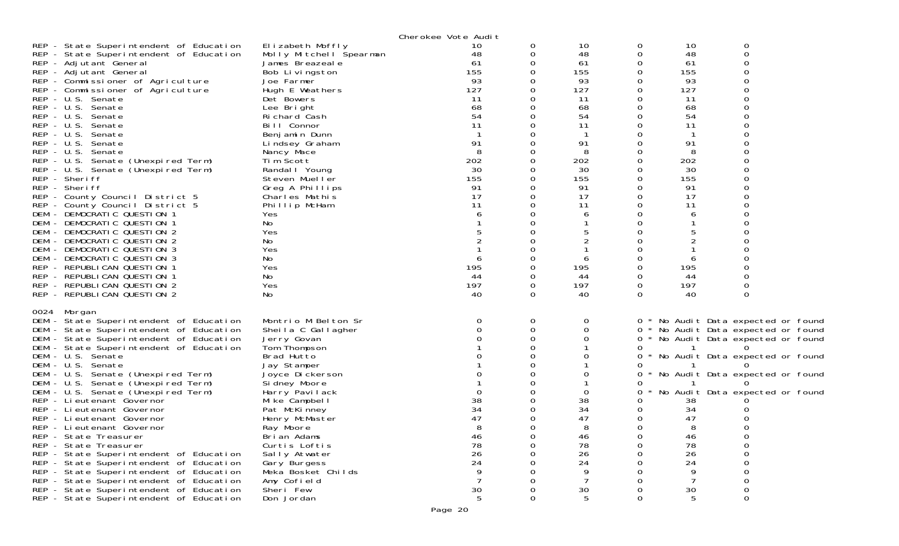| REP - State Superintendent of Education<br>REP - State Superintendent of Education<br>REP - Adjutant General<br>REP - Adjutant General<br>REP - Commissioner of Agriculture<br>REP - Commissioner of Agriculture<br>REP - U.S. Senate<br>REP - U.S. Senate<br>REP - U.S. Senate<br>REP - U.S. Senate<br>REP - U.S. Senate<br>REP - U.S. Senate<br>REP - U.S. Senate<br>REP - U.S. Senate (Unexpired Term)<br>REP - U.S. Senate (Unexpired Term)<br>REP - Sheriff<br>REP - Sheriff<br>REP - County Council District 5<br>REP - County Council District 5<br>DEM - DEMOCRATIC QUESTION 1<br>DEM - DEMOCRATIC QUESTION 1<br>DEM - DEMOCRATIC QUESTION 2<br>DEM - DEMOCRATIC QUESTION 2 | Elizabeth Moffly<br>Molly Mitchell Spearman<br>James Breazeale<br>Bob Livingston<br>Joe Farmer<br>Hugh E Weathers<br>Det Bowers<br>Lee Bright<br>Richard Cash<br>Bill Connor<br>Benjamin Dunn<br>Lindsey Graham<br>Nancy Mace<br>Tim Scott<br>Randal I Young<br>Steven Mueller<br>Greg A Phillips<br>Charles Mathis<br>Phillip McHam<br><b>Yes</b><br>No<br>Yes<br>No | Cherokee Vote Audit<br>10<br>48<br>61<br>155<br>93<br>127<br>11<br>68<br>54<br>11<br>91<br>8<br>202<br>30<br>155<br>91<br>17<br>11 | 0<br>0<br>0<br>$\Omega$<br>0<br>0<br>0<br>0 | 10<br>48<br>61<br>155<br>93<br>127<br>11<br>68<br>54<br>11<br>91<br>8<br>202<br>30<br>155<br>91<br>17<br>11<br>6 | 0<br>0<br>0<br>0<br>0<br>0<br>0<br>Ω<br>Ω<br>0<br>0<br>0<br>0<br>0<br>0 | 10<br>48<br>61<br>155<br>93<br>127<br>11<br>68<br>54<br>11<br>91<br>8<br>202<br>30<br>155<br>91<br>17<br>11<br>6 | $\mathbf 0$<br>$\mathbf 0$                                                                                                                                                        |  |
|-------------------------------------------------------------------------------------------------------------------------------------------------------------------------------------------------------------------------------------------------------------------------------------------------------------------------------------------------------------------------------------------------------------------------------------------------------------------------------------------------------------------------------------------------------------------------------------------------------------------------------------------------------------------------------------|-----------------------------------------------------------------------------------------------------------------------------------------------------------------------------------------------------------------------------------------------------------------------------------------------------------------------------------------------------------------------|------------------------------------------------------------------------------------------------------------------------------------|---------------------------------------------|------------------------------------------------------------------------------------------------------------------|-------------------------------------------------------------------------|------------------------------------------------------------------------------------------------------------------|-----------------------------------------------------------------------------------------------------------------------------------------------------------------------------------|--|
| DEM - DEMOCRATIC QUESTION 3<br>DEM - DEMOCRATIC QUESTION 3<br>REP - REPUBLICAN QUESTION 1<br>REP - REPUBLICAN QUESTION 1<br>REP - REPUBLICAN QUESTION 2                                                                                                                                                                                                                                                                                                                                                                                                                                                                                                                             | Yes<br>No<br>Yes<br>No.<br>Yes                                                                                                                                                                                                                                                                                                                                        | 195<br>44<br>197                                                                                                                   | 0<br>0<br>0                                 | 6<br>195<br>44<br>197                                                                                            | Ω<br>Ω<br>0<br>0<br>0                                                   | 6<br>195<br>44<br>197                                                                                            |                                                                                                                                                                                   |  |
| REP - REPUBLICAN QUESTION 2                                                                                                                                                                                                                                                                                                                                                                                                                                                                                                                                                                                                                                                         | No                                                                                                                                                                                                                                                                                                                                                                    | 40                                                                                                                                 | $\Omega$                                    | 40                                                                                                               | 0                                                                       | 40                                                                                                               | $\Omega$                                                                                                                                                                          |  |
| 0024 Morgan<br>DEM - State Superintendent of Education<br>DEM - State Superintendent of Education<br>DEM - State Superintendent of Education<br>DEM - State Superintendent of Education<br>DEM - U.S. Senate<br>DEM - U.S. Senate<br>DEM - U.S. Senate (Unexpired Term)                                                                                                                                                                                                                                                                                                                                                                                                             | Montrio M Belton Sr<br>Sheila C Gallagher<br>Jerry Govan<br>Tom Thompson<br>Brad Hutto<br>Jay Stamper<br>Joyce Dickerson                                                                                                                                                                                                                                              | 0                                                                                                                                  | 0<br>0<br>0                                 | 0<br>0<br>ი                                                                                                      | $\mathbf{0}$<br>$\mathbf{0}$<br>0<br>$\mathbf{O}$<br>0                  |                                                                                                                  | * No Audit Data expected or found<br>* No Audit Data expected or found<br>No Audit Data expected or found<br>* No Audit Data expected or found<br>No Audit Data expected or found |  |
| DEM - U.S. Senate (Unexpired Term)<br>DEM - U.S. Senate (Unexpired Term)<br>REP - Lieutenant Governor<br>REP - Li eutenant Governor<br>REP - Lieutenant Governor<br>REP - Lieutenant Governor<br>REP - State Treasurer                                                                                                                                                                                                                                                                                                                                                                                                                                                              | Si dney Moore<br>Harry Pavilack<br>Mike Campbell<br>Pat McKinney<br>Henry McMaster<br>Ray Moore<br>Brian Adams                                                                                                                                                                                                                                                        | 38<br>34<br>47<br>46                                                                                                               | 0<br>0                                      | 0<br>38<br>34<br>47<br>8<br>46                                                                                   | $\Omega$<br>0<br>$\Omega$<br>0                                          | 38<br>34<br>47<br>46                                                                                             | No Audit Data expected or found<br>$\boldsymbol{0}$                                                                                                                               |  |
| REP - State Treasurer<br>REP - State Superintendent of Education<br>REP - State Superintendent of Education<br>REP - State Superintendent of Education<br>REP - State Superintendent of Education<br>REP - State Superintendent of Education<br>REP - State Superintendent of Education                                                                                                                                                                                                                                                                                                                                                                                             | Curtis Loftis<br>Sally Atwater<br>Gary Burgess<br>Meka Bosket Childs<br>Amy Cofield<br>Sheri Few<br>Don Jordan                                                                                                                                                                                                                                                        | 78<br>26<br>24<br>9<br>30<br>5                                                                                                     | 0<br>0<br>0                                 | 78<br>26<br>24<br>9<br>7<br>30<br>5                                                                              | 0<br>Ω<br>0<br>0                                                        | 78<br>26<br>24<br>9<br>7<br>$30\,$<br>5                                                                          | $\mathbf 0$<br>$\mathbf 0$<br>$\mathbf 0$<br>$\mathbf 0$<br>$\Omega$<br>$\boldsymbol{0}$<br>$\mathbf 0$                                                                           |  |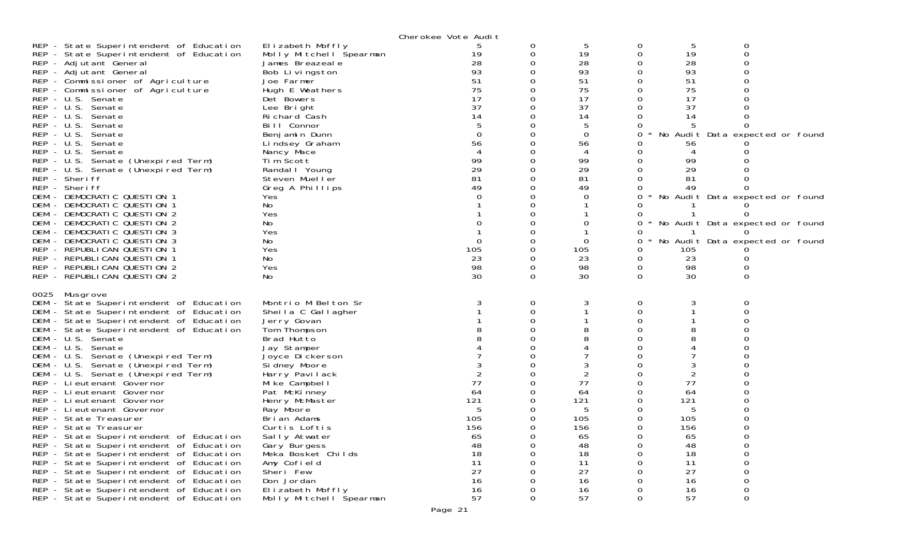|                                                                                                                                                                                                                                                                                                                                                                                                                                                                                                                                                                                                                                                                                                                                                                                                                                                                                        |                                                                                                                                                                                                                                                                                                                                                                                                             | Cherokee Vote Audit                                                                                                  |                                   |                                                                                                                              |                                                                                          |                                                                                                          |                                                                                                                                                                        |  |
|----------------------------------------------------------------------------------------------------------------------------------------------------------------------------------------------------------------------------------------------------------------------------------------------------------------------------------------------------------------------------------------------------------------------------------------------------------------------------------------------------------------------------------------------------------------------------------------------------------------------------------------------------------------------------------------------------------------------------------------------------------------------------------------------------------------------------------------------------------------------------------------|-------------------------------------------------------------------------------------------------------------------------------------------------------------------------------------------------------------------------------------------------------------------------------------------------------------------------------------------------------------------------------------------------------------|----------------------------------------------------------------------------------------------------------------------|-----------------------------------|------------------------------------------------------------------------------------------------------------------------------|------------------------------------------------------------------------------------------|----------------------------------------------------------------------------------------------------------|------------------------------------------------------------------------------------------------------------------------------------------------------------------------|--|
| REP - State Superintendent of Education<br>REP - State Superintendent of Education<br>REP - Adjutant General<br>REP - Adjutant General<br>REP - Commissioner of Agriculture<br>REP - Commissioner of Agriculture<br>REP - U.S. Senate<br>REP - U.S. Senate<br>REP - U.S. Senate<br>$REP - U.S.$<br>Senate<br>REP - U.S. Senate<br>REP - U.S. Senate<br>REP - U.S. Senate<br>REP - U.S. Senate (Unexpired Term)<br>REP - U.S. Senate (Unexpired Term)<br>REP - Sheriff<br>REP - Sheriff<br>DEM - DEMOCRATIC QUESTION 1<br>DEM - DEMOCRATIC QUESTION 1<br>DEM - DEMOCRATIC QUESTION 2<br>DEM - DEMOCRATIC QUESTION 2<br>DEM - DEMOCRATIC QUESTION 3<br>DEM - DEMOCRATIC QUESTION 3<br>REP - REPUBLICAN QUESTION 1<br>REP - REPUBLICAN QUESTION 1<br>REP - REPUBLICAN QUESTION 2<br>REP - REPUBLICAN QUESTION 2                                                                           | Elizabeth Moffly<br>Molly Mitchell Spearman<br>James Breazeale<br>Bob Livingston<br>Joe Farmer<br>Hugh E Weathers<br>Det Bowers<br>Lee Bright<br>Richard Cash<br>Bill Connor<br>Benjamin Dunn<br>Lindsey Graham<br>Nancy Mace<br>Tim Scott<br>Randal   Young<br>Steven Mueller<br>Greg A Phillips<br><b>Yes</b><br>No<br>Yes<br>No<br>Yes<br>No.<br><b>Yes</b><br>No<br>Yes<br>No.                          | 5<br>19<br>28<br>93<br>51<br>75<br>17<br>37<br>14<br>$\Omega$<br>56<br>99<br>29<br>81<br>49<br>105<br>23<br>98<br>30 | 0<br>0<br>0<br>0<br>0<br>$\Omega$ | 5<br>19<br>28<br>93<br>51<br>75<br>17<br>37<br>14<br>5<br>0<br>56<br>4<br>99<br>29<br>81<br>49<br>0<br>105<br>23<br>98<br>30 | 0<br>0<br>$\Omega$<br>0<br>0<br>0<br>0<br>0<br>0<br>0<br>0<br>0<br>0<br>0<br>0<br>0<br>0 | 5<br>19<br>28<br>93<br>51<br>75<br>17<br>37<br>14<br>56<br>99<br>29<br>81<br>49<br>105<br>23<br>98<br>30 | 0<br>0<br>O<br>No Audit Data expected or found<br>No Audit Data expected or found<br>O<br>No Audit Data expected or found<br>No Audit Data expected or found<br>0<br>0 |  |
| 0025<br>Musgrove<br>DEM - State Superintendent of Education<br>DEM - State Superintendent of Education<br>DEM - State Superintendent of Education<br>DEM - State Superintendent of Education<br>DEM - U.S. Senate<br>DEM - U.S. Senate<br>DEM - U.S. Senate (Unexpired Term)<br>DEM - U.S. Senate (Unexpired Term)<br>DEM - U.S. Senate (Unexpired Term)<br>REP - Lieutenant Governor<br>REP - Lieutenant Governor<br>REP - Lieutenant Governor<br>REP - Lieutenant Governor<br>REP - State Treasurer<br>REP - State Treasurer<br>REP - State Superintendent of Education<br>REP - State Superintendent of Education<br>REP - State Superintendent of Education<br>REP - State Superintendent of Education<br>REP - State Superintendent of Education<br>REP - State Superintendent of Education<br>REP - State Superintendent of Education<br>REP - State Superintendent of Education | Montrio M Belton Sr<br>Sheila C Gallagher<br>Jerry Govan<br>Tom Thompson<br>Brad Hutto<br>Jay Stamper<br>Joyce Dickerson<br>Sidney Moore<br>Harry Pavilack<br>Mike Campbel I<br>Pat McKinney<br>Henry McMaster<br>Ray Moore<br>Brian Adams<br>Curtis Loftis<br>Sally Atwater<br>Gary Burgess<br>Meka Bosket Childs<br>Amy Cofield<br>Sheri Few<br>Don Jordan<br>Elizabeth Moffly<br>Molly Mitchell Špearman | 77<br>64<br>121<br>5<br>105<br>156<br>65<br>48<br>18<br>11<br>27<br>16<br>16<br>57                                   | 0<br>0<br>0<br>0<br>0<br>0<br>0   | 3<br>77<br>64<br>121<br>5<br>105<br>156<br>65<br>48<br>18<br>11<br>27<br>16<br>16<br>57                                      | 0<br>0<br>0<br>O<br>0<br>0<br>Ω<br>0<br>0<br>0<br>0<br>0<br>Ω<br>0<br>0                  | 3<br>2<br>77<br>64<br>121<br>5<br>105<br>156<br>65<br>48<br>18<br>11<br>27<br>16<br>16<br>57             | 0<br>O<br>∩<br>0<br>0<br>0<br>0<br>0<br>0<br>0<br>0                                                                                                                    |  |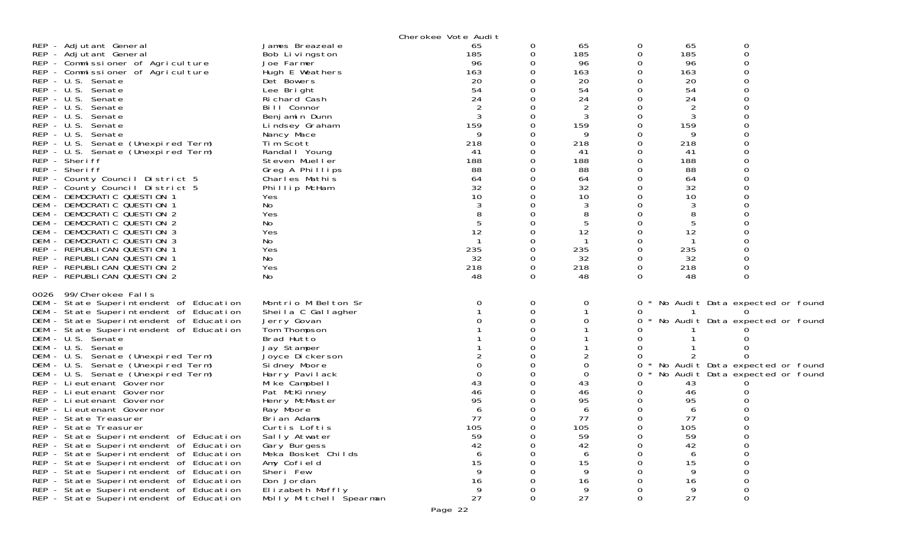|                                                                                                                                                                                                                                                                                                                                                                                                                                                                                                                                                                                                                                                                                                                                                                                                                                                                                                                                 |                                                                                                                                                                                                                                                                                                                                                                                                                  | Cherokee Vote Audit                                                                                                                        |                                                                                        |                                                                                                                                                           |                                                                      |                                                                                                                                                      |                                                                                                                                                                                                                                                     |  |
|---------------------------------------------------------------------------------------------------------------------------------------------------------------------------------------------------------------------------------------------------------------------------------------------------------------------------------------------------------------------------------------------------------------------------------------------------------------------------------------------------------------------------------------------------------------------------------------------------------------------------------------------------------------------------------------------------------------------------------------------------------------------------------------------------------------------------------------------------------------------------------------------------------------------------------|------------------------------------------------------------------------------------------------------------------------------------------------------------------------------------------------------------------------------------------------------------------------------------------------------------------------------------------------------------------------------------------------------------------|--------------------------------------------------------------------------------------------------------------------------------------------|----------------------------------------------------------------------------------------|-----------------------------------------------------------------------------------------------------------------------------------------------------------|----------------------------------------------------------------------|------------------------------------------------------------------------------------------------------------------------------------------------------|-----------------------------------------------------------------------------------------------------------------------------------------------------------------------------------------------------------------------------------------------------|--|
| REP - Adjutant General<br>REP - Adjutant General<br>REP - Commissioner of Agriculture<br>REP - Commissioner of Agriculture<br>REP - U.S. Senate<br>REP - U.S. Senate<br>REP - U.S. Senate<br>REP - U.S. Senate<br>REP - U.S. Senate<br>REP - U.S. Senate<br>REP - U.S. Senate<br>REP - U.S. Senate (Unexpired Term)<br>REP - U.S. Senate (Unexpired Term)<br>REP - Sheriff<br>REP - Sheriff<br>REP - County Council District 5<br>REP - County Council District 5<br>DEM - DEMOCRATIC QUESTION 1<br>DEM - DEMOCRATIC QUESTION 1<br>DEM - DEMOCRATIC QUESTION 2<br>DEM - DEMOCRATIC QUESTION 2<br>DEM - DEMOCRATIC QUESTION 3<br>DEM - DEMOCRATIC QUESTION 3<br>REP - REPUBLICAN QUESTION 1<br>REP - REPUBLICAN QUESTION 1<br>REP - REPUBLICAN QUESTION 2                                                                                                                                                                        | James Breazeale<br>Bob Livingston<br>Joe Farmer<br>Hugh E Weathers<br>Det Bowers<br>Lee Bright<br>Richard Cash<br>Bill Connor<br>Benjamin Dunn<br>Lindsey Graham<br>Nancy Mace<br>Tim Scott<br>Randal I Young<br>Steven Mueller<br>Greg A Phillips<br>Charles Mathis<br>Phillip McHam<br>Yes<br>No<br>Yes<br>No<br>Yes<br>No.<br>Yes<br>No<br>Yes                                                                | 65<br>185<br>96<br>163<br>20<br>54<br>24<br>3<br>159<br>9<br>218<br>41<br>188<br>88<br>64<br>32<br>10<br>5<br>12<br>235<br>32<br>218<br>48 | 0<br>0<br>0<br>0<br>Ω<br>0<br>0<br>Ω<br>0<br>0<br>O<br>0<br>Ω<br>Ω<br>0<br>0<br>0<br>0 | 65<br>185<br>96<br>163<br>20<br>54<br>24<br>2<br>3<br>159<br>9<br>218<br>41<br>188<br>88<br>64<br>32<br>10<br>3<br>8<br>5<br>12<br>235<br>32<br>218<br>48 | 0<br>0<br>0<br>0<br>0<br>O<br>0<br>0<br>0<br>$\Omega$                | 65<br>185<br>96<br>163<br>20<br>54<br>24<br>2<br>3<br>159<br>-9<br>218<br>41<br>188<br>88<br>64<br>32<br>10<br>3<br>8<br>5<br>12<br>235<br>32<br>218 | 0<br>$\Omega$<br>$\mathbf 0$                                                                                                                                                                                                                        |  |
| REP - REPUBLICAN QUESTION 2<br>99/Cherokee Falls<br>0026<br>DEM - State Superintendent of Education<br>DEM - State Superintendent of Education<br>DEM - State Superintendent of Education<br>DEM - State Superintendent of Education<br>DEM - U.S. Senate<br>DEM - U.S. Senate<br>DEM - U.S. Senate (Unexpired Term)<br>DEM - U.S. Senate (Unexpired Term)<br>DEM - U.S. Senate (Unexpired Term)<br>REP - Lieutenant Governor<br>REP - Lieutenant Governor<br>REP - Li eutenant Governor<br>REP - Lieutenant Governor<br>REP - State Treasurer<br>REP - State Treasurer<br>REP - State Superintendent of Education<br>REP - State Superintendent of Education<br>REP - State Superintendent of Education<br>REP - State Superintendent of Education<br>REP - State Superintendent of Education<br>REP - State Superintendent of Education<br>REP - State Superintendent of Education<br>REP - State Superintendent of Education | No<br>Montrio M Belton Sr<br>Sheila C Gallagher<br>Jerry Govan<br>Tom Thompson<br>Brad Hutto<br>Jay Stamper<br>Joyce Dickerson<br>Sidney Moore<br>Harry Pavilack<br>Mike Campbell<br>Pat McKinney<br>Henry McMaster<br>Ray Moore<br>Brian Adams<br>Curtis Loftis<br>Sally Atwater<br>Gary Burgess<br>Meka Bosket Childs<br>Amy Cofield<br>Sheri Few<br>Don Jordan<br>Elizabeth Moffly<br>Molly Mitchell Spearman | 43<br>46<br>95<br>6<br>77<br>105<br>59<br>42<br>6<br>15<br>9<br>16<br>9<br>27                                                              | 0<br>0<br>0<br>0<br>O<br>∩<br>0<br>0<br>Ω<br>0<br>0                                    | 0<br>0<br>2<br>0<br>0<br>43<br>46<br>95<br>6<br>77<br>105<br>59<br>42<br>6<br>15<br>9<br>16<br>9<br>27                                                    | $\sigma$<br>0<br>0<br>$\mathbf 0$<br>0<br>0<br>0<br>0<br>$\mathbf 0$ | 48<br>43<br>46<br>95<br>6<br>77<br>105<br>59<br>42<br>6<br>15<br>9<br>16<br>9<br>27                                                                  | * No Audit Data expected or found<br>No Audit Data expected or found<br>No Audit Data expected or found<br>No Audit Data expected or found<br>$\mathbf 0$<br>0<br>$\Omega$<br>$\mathsf{C}$<br>$\mathbf 0$<br>$\Omega$<br>$\mathbf 0$<br>$\mathbf 0$ |  |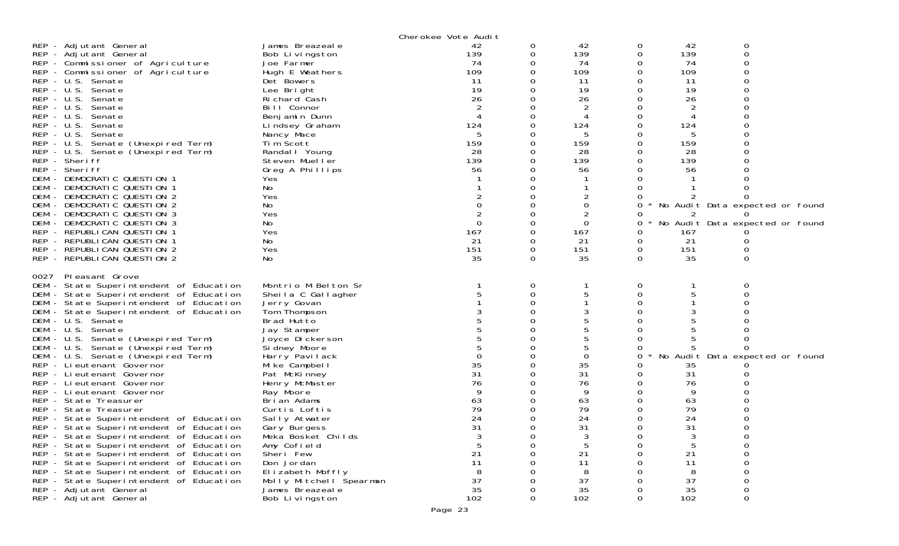|                                                                                                                                                                                                                                                                                                                                                                                                                                                                                                                                                                                                                                                                                                                                                                                                                                                                                                                                                                                  |                                                                                                                                                                                                                                                                                                                                                                                                                                                          | Cherokee Vote Audit                                                                                            |                    |                                                                                                                                    |                                                                                                    |                                                                                                                |                                                                                                  |  |
|----------------------------------------------------------------------------------------------------------------------------------------------------------------------------------------------------------------------------------------------------------------------------------------------------------------------------------------------------------------------------------------------------------------------------------------------------------------------------------------------------------------------------------------------------------------------------------------------------------------------------------------------------------------------------------------------------------------------------------------------------------------------------------------------------------------------------------------------------------------------------------------------------------------------------------------------------------------------------------|----------------------------------------------------------------------------------------------------------------------------------------------------------------------------------------------------------------------------------------------------------------------------------------------------------------------------------------------------------------------------------------------------------------------------------------------------------|----------------------------------------------------------------------------------------------------------------|--------------------|------------------------------------------------------------------------------------------------------------------------------------|----------------------------------------------------------------------------------------------------|----------------------------------------------------------------------------------------------------------------|--------------------------------------------------------------------------------------------------|--|
| REP - Adjutant General<br>REP - Adjutant General<br>REP - Commissioner of Agriculture<br>REP - Commissioner of Agriculture<br>REP - U.S. Senate<br>REP - U.S. Senate<br>REP - U.S. Senate<br>REP - U.S. Senate<br>REP - U.S. Senate<br>$REP - U.S.$<br>Senate<br>REP - U.S. Senate<br>REP - U.S. Senate (Unexpired Term)<br>REP - U.S. Senate (Unexpired Term)<br>REP - Sheriff<br>REP - Sheriff<br>DEM - DEMOCRATIC QUESTION 1<br>DEM - DEMOCRATIC QUESTION 1<br>DEM - DEMOCRATIC QUESTION 2<br>DEM - DEMOCRATIC QUESTION 2<br>DEM - DEMOCRATIC QUESTION 3<br>DEM - DEMOCRATIC QUESTION 3<br>REP - REPUBLICAN QUESTION 1<br>REP - REPUBLICAN QUESTION 1<br>REP - REPUBLICAN QUESTION 2                                                                                                                                                                                                                                                                                          | James Breazeale<br>Bob Livingston<br>Joe Farmer<br>Hugh E Weathers<br>Det Bowers<br>Lee Bright<br>Richard Cash<br>Bill Connor<br>Benjamin Dunn<br>Lindsey Graham<br>Nancy Mace<br>Tim Scott<br>Randal I Young<br>Steven Mueller<br>Greg A Phillips<br>Yes<br>No<br>Yes<br>No<br>Yes<br>No<br>Yes<br>No.<br>Yes                                                                                                                                           | 42<br>139<br>74<br>109<br>11<br>19<br>26<br>4<br>124<br>159<br>28<br>139<br>56<br>$\Omega$<br>167<br>21<br>151 | 0<br>0<br>0        | 42<br>139<br>74<br>109<br>11<br>19<br>26<br>2<br>124<br>5<br>159<br>28<br>139<br>56<br>2<br>0<br>2<br>$\Omega$<br>167<br>21<br>151 | 0<br>0<br>0<br>0<br>Ω<br>0<br>0<br>0<br>Ω<br>0<br>0<br>0<br>0<br>O<br>0<br>0<br>0<br>0             | 42<br>139<br>74<br>109<br>11<br>19<br>26<br>124<br>5<br>159<br>28<br>139<br>56<br>167<br>-21<br>151            | 0<br>0<br>0<br>O<br>No Audit Data expected or found<br>No Audit Data expected or found<br>0      |  |
| REP - REPUBLICAN QUESTION 2<br>0027<br>Pleasant Grove<br>DEM - State Superintendent of Education<br>DEM - State Superintendent of Education<br>DEM - State Superintendent of Education<br>DEM - State Superintendent of Education<br>DEM - U.S. Senate<br>DEM - U.S. Senate<br>DEM - U.S. Senate (Unexpired Term)<br>DEM - U.S. Senate (Unexpired Term)<br>DEM - U.S. Senate (Unexpired Term)<br>REP - Li eutenant Governor<br>REP - Lieutenant Governor<br>REP - Lieutenant Governor<br>REP - Lieutenant Governor<br>REP - State Treasurer<br>REP - State Treasurer<br>REP - State Superintendent of Education<br>REP - State Superintendent of Education<br>REP - State Superintendent of Education<br>REP - State Superintendent of Education<br>REP - State Superintendent of Education<br>REP - State Superintendent of Education<br>REP - State Superintendent of Education<br>REP - State Superintendent of Education<br>REP - Adjutant General<br>REP - Adjutant General | No<br>Montrio M Belton Sr<br>Sheila C Gallagher<br>Jerry Govan<br>Tom Thompson<br>Brad Hutto<br>Jay Stamper<br>Joyce Dickerson<br>Si dney Moore<br>Harry Pavilack<br>Mi ke Campbel I<br>Pat McKinney<br>Henry McMaster<br>Ray Moore<br>Brian Adams<br>Curtis Loftis<br>Sally Atwater<br>Gary Burgess<br>Meka Bosket Childs<br>Amy Cofield<br>Sheri Few<br>Don Jordan<br>Elizabeth Moffly<br>Molly Mitchell Spearman<br>James Breazeale<br>Bob Livingston | 35<br>35<br>31<br>76<br>63<br>79<br>24<br>31<br>3<br>21<br>11<br>8<br>37<br>35<br>102                          | $\Omega$<br>0<br>0 | 35<br>5<br>5<br>0<br>35<br>31<br>76<br>9<br>63<br>79<br>24<br>31<br>3<br>5<br>21<br>11<br>8<br>37<br>35<br>102                     | $\Omega$<br>0<br>0<br>Ω<br>Ω<br>Ω<br>O<br>0<br>Ω<br>0<br>0<br>0<br>0<br>0<br>0<br>0<br>0<br>Ω<br>0 | 35<br>5<br>5<br>5<br>35<br>31<br>76<br>9<br>63<br>79<br>24<br>31<br>3<br>5<br>21<br>11<br>8<br>37<br>35<br>102 | 0<br>0<br>U<br>O<br>No Audit Data expected or found<br>O<br>0<br>0<br>0<br>0<br>0<br>0<br>0<br>0 |  |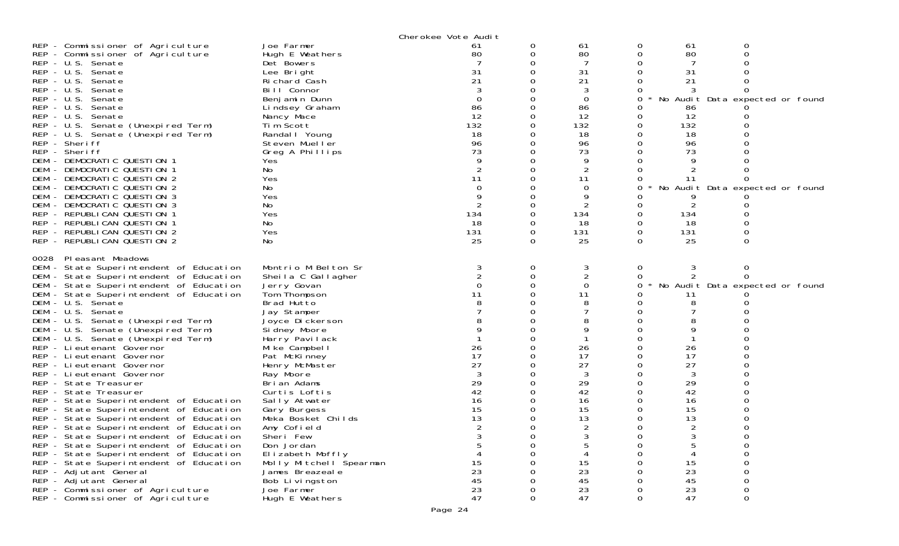|                                                                                                                                                                                                                                                                                                                                                                                                                                                                                                                                                                                                                                                                                                                                                                                                                                                                                                                                                                                                                               |                                                                                                                                                                                                                                                                                                                                                                                                                                                                                   | Cherokee Vote Audit                                                                                        |             |                                                                                                               |        |                                                                                                      |                                                                         |
|-------------------------------------------------------------------------------------------------------------------------------------------------------------------------------------------------------------------------------------------------------------------------------------------------------------------------------------------------------------------------------------------------------------------------------------------------------------------------------------------------------------------------------------------------------------------------------------------------------------------------------------------------------------------------------------------------------------------------------------------------------------------------------------------------------------------------------------------------------------------------------------------------------------------------------------------------------------------------------------------------------------------------------|-----------------------------------------------------------------------------------------------------------------------------------------------------------------------------------------------------------------------------------------------------------------------------------------------------------------------------------------------------------------------------------------------------------------------------------------------------------------------------------|------------------------------------------------------------------------------------------------------------|-------------|---------------------------------------------------------------------------------------------------------------|--------|------------------------------------------------------------------------------------------------------|-------------------------------------------------------------------------|
| REP - Commissioner of Agriculture<br>REP - Commissioner of Agriculture<br>REP - U.S. Senate<br>REP - U.S. Senate<br>$REP - U.S.$<br>Senate<br>$REP - U.S.$<br>Senate<br>REP - U.S. Senate<br>$REP - U.S.$<br>Senate<br>REP - U.S. Senate<br>REP - U.S. Senate (Unexpired Term)<br>REP - U.S. Senate (Unexpired Term)<br>REP - Sheriff<br>REP - Sheriff<br>DEM - DEMOCRATIC QUESTION 1<br>DEM - DEMOCRATIC QUESTION 1<br>DEM - DEMOCRATIC QUESTION 2<br>DEM - DEMOCRATIC QUESTION 2<br>DEM - DEMOCRATIC QUESTION 3<br>DEM - DEMOCRATIC QUESTION 3<br>REP - REPUBLICAN QUESTION 1<br>REP - REPUBLICAN QUESTION 1<br>REP - REPUBLICAN QUESTION 2<br>REP - REPUBLICAN QUESTION 2                                                                                                                                                                                                                                                                                                                                                  | Joe Farmer<br>Hugh E Weathers<br>Det Bowers<br>Lee Bright<br>Richard Cash<br>Bill Connor<br>Benjamin Dunn<br>Lindsey Graham<br>Nancy Mace<br>Tim Scott<br>Randal I Young<br>Steven Mueller<br>Greg A Phillips<br>Yes<br>No<br>Yes<br>No<br>Yes<br>No<br>Yes<br>No<br>Yes<br>No                                                                                                                                                                                                    | 61<br>80<br>31<br>21<br>$\Omega$<br>86<br>12<br>132<br>18<br>96<br>73<br>11<br>2<br>134<br>18<br>131<br>25 | 0<br>0<br>0 | 61<br>80<br>31<br>21<br>0<br>86<br>12<br>132<br>18<br>96<br>73<br>9<br>11<br>0<br>2<br>134<br>18<br>131<br>25 | 0<br>0 | 61<br>80<br>31<br>21<br>86<br>12<br>132<br>18<br>96<br>73<br>11<br>2<br>134<br>18<br>131<br>25       | 0<br>No Audit Data expected or found<br>No Audit Data expected or found |
| Pleasant Meadows<br>0028<br>DEM - State Superintendent of Education<br>DEM - State Superintendent of Education<br>DEM - State Superintendent of Education<br>DEM - State Superintendent of Education<br>DEM - U.S. Senate<br>DEM - U.S. Senate<br>DEM - U.S. Senate (Unexpired Term)<br>DEM - U.S. Senate (Unexpired Term)<br>DEM - U.S. Senate (Unexpired Term)<br>REP - Li eutenant Governor<br>REP - Lieutenant Governor<br>REP - Lieutenant Governor<br>REP - Lieutenant Governor<br>REP - State Treasurer<br>REP - State Treasurer<br>REP - State Superintendent of Education<br>REP - State Superintendent of Education<br>REP - State Superintendent of Education<br>REP - State Superintendent of Education<br>REP - State Superintendent of Education<br>REP - State Superintendent of Education<br>REP - State Superintendent of Education<br>REP - State Superintendent of Education<br>REP - Adjutant General<br>REP - Adjutant General<br>REP - Commissioner of Agriculture<br>REP - Commissioner of Agriculture | Montrio M Belton Sr<br>Sheila C Gallagher<br>Jerry Govan<br>Tom Thompson<br>Brad Hutto<br>Jay Stamper<br>Joyce Dickerson<br>Sidney Moore<br>Harry Pavilack<br>Mike Campbell<br>Pat McKinney<br>Henry McMaster<br>Ray Moore<br>Brian Adams<br>Curtis Loftis<br>Sally Atwater<br>Gary Burgess<br>Meka Bosket Childs<br>Amy Cofield<br>Sheri Few<br>Don Jordan<br>Elizabeth Moffly<br>Molly Mitchell Spearman<br>James Breazeal e<br>Bob Livingston<br>Joe Farmer<br>Hugh E Weathers | 26<br>17<br>27<br>3<br>29<br>42<br>16<br>15<br>13<br>15<br>23<br>45<br>23<br>47                            | 0<br>0      | 3<br>2<br>0<br>11<br>26<br>17<br>27<br>3<br>29<br>42<br>16<br>15<br>13<br>3<br>15<br>23<br>45<br>23<br>47     | 0      | 3<br>11<br>8<br>26<br>17<br>27<br>3<br>29<br>42<br>16<br>15<br>13<br>3<br>15<br>23<br>45<br>23<br>47 | 0<br>No Audit Data expected or found                                    |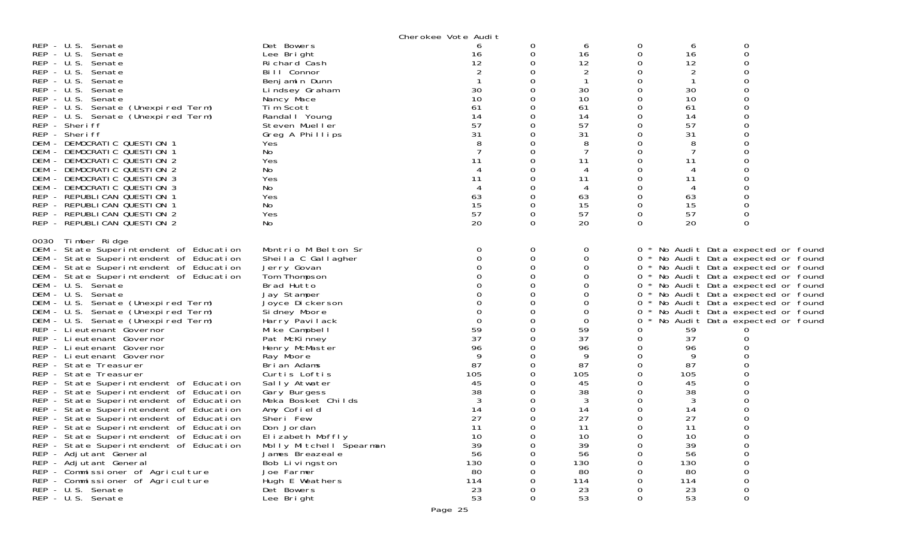|                                                                                                                                                                                                                                                                                                                                                                                                                                                                                                                                                                                                                                                                                                                                                                                                                                                                                                                                                                                                                                                                 |                                                                                                                                                                                                                                                                                                                                                                                                                                                                                                                | Cherokee Vote Audit                                                                                                                       |                                                                                                                      |                                                                                                                                                                    |                                                                                     |                                                                                                                       |                                                                                                                                                                                                                                                                                                                                                                                                                   |  |
|-----------------------------------------------------------------------------------------------------------------------------------------------------------------------------------------------------------------------------------------------------------------------------------------------------------------------------------------------------------------------------------------------------------------------------------------------------------------------------------------------------------------------------------------------------------------------------------------------------------------------------------------------------------------------------------------------------------------------------------------------------------------------------------------------------------------------------------------------------------------------------------------------------------------------------------------------------------------------------------------------------------------------------------------------------------------|----------------------------------------------------------------------------------------------------------------------------------------------------------------------------------------------------------------------------------------------------------------------------------------------------------------------------------------------------------------------------------------------------------------------------------------------------------------------------------------------------------------|-------------------------------------------------------------------------------------------------------------------------------------------|----------------------------------------------------------------------------------------------------------------------|--------------------------------------------------------------------------------------------------------------------------------------------------------------------|-------------------------------------------------------------------------------------|-----------------------------------------------------------------------------------------------------------------------|-------------------------------------------------------------------------------------------------------------------------------------------------------------------------------------------------------------------------------------------------------------------------------------------------------------------------------------------------------------------------------------------------------------------|--|
| $REP - U.S.$<br>Senate<br>$REP - U.S.$<br>Senate<br>$REP - U.S.$<br>Senate<br>REP - U.S. Senate<br>REP - U.S. Senate<br>REP - U.S. Senate<br>REP - U.S. Senate<br>REP - U.S. Senate (Unexpired Term)<br>REP - U.S. Senate (Unexpired Term)<br>REP - Sheriff<br>REP - Sheriff<br>DEM - DEMOCRATIC QUESTION 1<br>DEM - DEMOCRATIC QUESTION 1<br>DEM - DEMOCRATIC QUESTION 2<br>DEM - DEMOCRATIC QUESTION 2<br>DEM - DEMOCRATIC QUESTION 3<br>DEM - DEMOCRATIC QUESTION 3<br>REP - REPUBLICAN QUESTION 1<br>REP - REPUBLICAN QUESTION 1<br>REP - REPUBLICAN QUESTION 2<br>REP - REPUBLICAN QUESTION 2                                                                                                                                                                                                                                                                                                                                                                                                                                                              | Det Bowers<br>Lee Bright<br>Richard Cash<br>Bill Connor<br>Benjamin Dunn<br>Lindsey Graham<br>Nancy Mace<br>Tim Scott<br>Randal   Young<br>Steven Mueller<br>Greg A Phillips<br>Yes<br>No<br>Yes<br>No<br>Yes<br>No<br>Yes<br>No<br>Yes<br>No                                                                                                                                                                                                                                                                  | 6<br>16<br>12<br>30<br>10<br>61<br>14<br>57<br>31<br>11<br>11<br>63<br>15<br>57<br>20                                                     | 0<br>0<br>0<br>Ω<br>Ω<br>0<br>Ω<br>0<br>0<br>Ω<br>O<br>0<br>0<br>O<br>0<br>Ω<br>Ω<br>0<br>0<br>0<br>$\Omega$         | 6<br>16<br>12<br>$\overline{2}$<br>30<br>10<br>61<br>14<br>57<br>31<br>8<br>7<br>11<br>4<br>11<br>4<br>63<br>15<br>57<br>20                                        | 0<br>0<br>0<br>O<br>∩<br>O<br>O<br>0<br>0<br>0<br>O<br>0<br>0<br>0                  | 6<br>16<br>12<br>2<br>30<br>10<br>61<br>14<br>57<br>31<br>8<br>7<br>11<br>4<br>11<br>4<br>63<br>15<br>57<br>20        | $\mathbf 0$<br>$\Omega$<br>$\Omega$                                                                                                                                                                                                                                                                                                                                                                               |  |
| 0030 Timber Ridge<br>DEM - State Superintendent of Education<br>DEM - State Superintendent of Education<br>DEM - State Superintendent of Education<br>DEM - State Superintendent of Education<br>DEM - U.S. Senate<br>DEM - U.S. Senate<br>DEM - U.S. Senate (Unexpired Term)<br>DEM - U.S. Senate (Unexpired Term)<br>DEM - U.S. Senate (Unexpired Term)<br>REP - Lieutenant Governor<br>REP - Lieutenant Governor<br>REP - Lieutenant Governor<br>REP - Lieutenant Governor<br>REP - State Treasurer<br>REP - State Treasurer<br>REP - State Superintendent of Education<br>REP - State Superintendent of Education<br>REP - State Superintendent of Education<br>REP - State Superintendent of Education<br>REP - State Superintendent of Education<br>REP - State Superintendent of Education<br>REP - State Superintendent of Education<br>REP - State Superintendent of Education<br>REP - Adjutant General<br>REP - Adjutant General<br>REP - Commissioner of Agriculture<br>REP - Commissioner of Agriculture<br>REP - U.S. Senate<br>REP - U.S. Senate | Montrio M Belton Sr<br>Sheila C Gallagher<br>Jerry Govan<br>Tom Thompson<br>Brad Hutto<br>Jay Stamper<br>Joyce Dickerson<br>Si dney Moore<br>Harry Pavilack<br>Mike Campbel I<br>Pat McKinney<br>Henry McMaster<br>Ray Moore<br>Brian Adams<br>Curtis Loftis<br>Sally Atwater<br>Gary Burgess<br>Meka Bosket Childs<br>Amy Cofield<br>Sheri Few<br>Don Jordan<br>Elizabeth Moffly<br>Molly Mitchell Spearman<br>James Breazeale<br>Bob Livingston<br>Joe Farmer<br>Hugh E Weathers<br>Det Bowers<br>Lee Bright | 0<br>0<br>0<br>0<br>0<br>59<br>37<br>96<br>9<br>87<br>105<br>45<br>38<br>14<br>27<br>11<br>10<br>39<br>56<br>130<br>80<br>114<br>23<br>53 | 0<br>0<br>0<br>0<br>0<br>O<br>0<br>0<br>0<br>0<br>0<br>0<br>0<br>0<br>0<br>0<br>0<br>0<br>0<br>0<br>0<br>0<br>0<br>0 | 0<br>0<br>0<br>0<br>Ω<br>Ω<br>0<br>0<br>0<br>59<br>37<br>96<br>9<br>87<br>105<br>45<br>38<br>3<br>14<br>27<br>11<br>10<br>39<br>56<br>130<br>80<br>114<br>23<br>53 | 0<br>0<br>0<br>0<br>O<br>0<br>0<br>0<br>0<br>0<br>0<br>0<br>$\Omega$<br>0<br>0<br>0 | 59<br>37<br>96<br>9<br>87<br>105<br>45<br>38<br>3<br>14<br>27<br>11<br>10<br>39<br>56<br>130<br>80<br>114<br>23<br>53 | 0 * No Audit Data expected or found<br>* No Audit Data expected or found<br>0 * No Audit Data expected or found<br>0 * No Audit Data expected or found<br>* No Audit Data expected or found<br>0 * No Audit Data expected or found<br>0 * No Audit Data expected or found<br>* No Audit Data expected or found<br>* No Audit Data expected or found<br>$\boldsymbol{0}$<br>0<br>$\Omega$<br>∩<br>0<br>$\mathbf 0$ |  |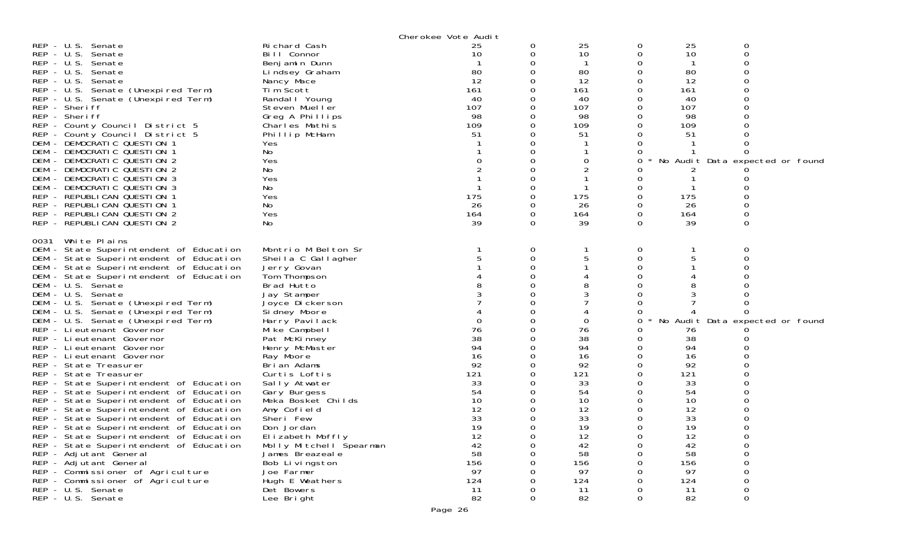|                                                                                                                                                                                                                                                                                                                                                                                                                                                                                                                                                                                                                                                                                                                                                                                                                                                                                                                                                                                                                                                                     |                                                                                                                                                                                                                                                                                                                                                                                                                                                                                                                 | Cherokee Vote Audit                                                                                                     |                              |                                                                                                                              |                       |                                                                                                                         |                                                              |  |
|---------------------------------------------------------------------------------------------------------------------------------------------------------------------------------------------------------------------------------------------------------------------------------------------------------------------------------------------------------------------------------------------------------------------------------------------------------------------------------------------------------------------------------------------------------------------------------------------------------------------------------------------------------------------------------------------------------------------------------------------------------------------------------------------------------------------------------------------------------------------------------------------------------------------------------------------------------------------------------------------------------------------------------------------------------------------|-----------------------------------------------------------------------------------------------------------------------------------------------------------------------------------------------------------------------------------------------------------------------------------------------------------------------------------------------------------------------------------------------------------------------------------------------------------------------------------------------------------------|-------------------------------------------------------------------------------------------------------------------------|------------------------------|------------------------------------------------------------------------------------------------------------------------------|-----------------------|-------------------------------------------------------------------------------------------------------------------------|--------------------------------------------------------------|--|
| REP - U.S. Senate<br>$REP - U.S.$<br>Senate<br>REP - U.S. Senate<br>REP - U.S. Senate<br>$REP - U.S.$<br>Senate<br>REP - U.S. Senate (Unexpired Term)<br>REP - U.S. Senate (Unexpired Term)<br>REP - Sheriff<br>REP - Sheriff<br>REP - County Council District 5<br>REP - County Council District 5<br>DEM - DEMOCRATIC QUESTION 1<br>DEM - DEMOCRATIC QUESTION 1<br>DEM - DEMOCRATIC QUESTION 2<br>DEM - DEMOCRATIC QUESTION 2<br>DEM - DEMOCRATIC QUESTION 3<br>DEM - DEMOCRATIC QUESTION 3<br>REP - REPUBLICAN QUESTION 1<br>REP - REPUBLICAN QUESTION 1<br>REP - REPUBLICAN QUESTION 2<br>REP - REPUBLICAN QUESTION 2                                                                                                                                                                                                                                                                                                                                                                                                                                           | Richard Cash<br>Bill Connor<br>Benjamin Dunn<br>Lindsey Graham<br>Nancy Mace<br>Tim Scott<br>Randal I Young<br>Steven Mueller<br>Greg A Phillips<br>Charles Mathis<br>Phillip McHam<br><b>Yes</b><br>No<br>Yes<br>No<br>Yes<br>No<br>Yes<br>No<br>Yes<br>No                                                                                                                                                                                                                                                     | 25<br>10<br>80<br>12<br>161<br>40<br>107<br>98<br>109<br>51<br>175<br>26<br>164<br>39                                   | 0<br>0<br>0<br>0<br>$\Omega$ | 25<br>10<br>80<br>12<br>161<br>40<br>107<br>98<br>109<br>51<br>175<br>26<br>164<br>39                                        | 0<br>0<br>0<br>0<br>0 | 25<br>10<br>80<br>12<br>161<br>40<br>107<br>98<br>109<br>-51<br>175<br>26<br>164<br>39                                  | 0<br>$\Omega$<br>No Audit Data expected or found<br>$\Omega$ |  |
| White Plains<br>0031<br>DEM - State Superintendent of Education<br>DEM - State Superintendent of Education<br>DEM - State Superintendent of Education<br>DEM - State Superintendent of Education<br>DEM - U.S. Senate<br>DEM - U.S. Senate<br>DEM - U.S. Senate (Unexpired Term)<br>DEM - U.S. Senate (Unexpired Term)<br>DEM - U.S. Senate (Unexpired Term)<br>REP - Li eutenant Governor<br>REP - Lieutenant Governor<br>REP - Lieutenant Governor<br>REP - Lieutenant Governor<br>REP - State Treasurer<br>REP - State Treasurer<br>REP - State Superintendent of Education<br>REP - State Superintendent of Education<br>REP - State Superintendent of Education<br>REP - State Superintendent of Education<br>REP - State Superintendent of Education<br>REP - State Superintendent of Education<br>REP - State Superintendent of Education<br>REP - State Superintendent of Education<br>REP - Adjutant General<br>REP - Adjutant General<br>REP - Commissioner of Agriculture<br>REP - Commissioner of Agriculture<br>REP - U.S. Senate<br>REP - U.S. Senate | Montrio M Belton Sr<br>Sheila C Gallagher<br>Jerry Govan<br>Tom Thompson<br>Brad Hutto<br>Jay Stamper<br>Joyce Dickerson<br>Si dney Moore<br>Harry Pavilack<br>Mi ke Campbel I<br>Pat McKinney<br>Henry McMaster<br>Ray Moore<br>Brian Adams<br>Curtis Loftis<br>Sally Atwater<br>Gary Burgess<br>Meka Bosket Childs<br>Amy Cofield<br>Sheri Few<br>Don Jordan<br>Elizabeth Moffly<br>Molly Mitchell Spearman<br>James Breazeale<br>Bob Livingston<br>Joe Farmer<br>Hugh E Weathers<br>Det Bowers<br>Lee Bright | 76<br>38<br>94<br>16<br>92<br>121<br>33<br>54<br>10<br>12<br>33<br>19<br>12<br>42<br>58<br>156<br>97<br>124<br>11<br>82 | 0<br>0<br>$\Omega$<br>Ω<br>0 | 0<br>76<br>38<br>94<br>16<br>92<br>121<br>33<br>54<br>10<br>12<br>33<br>19<br>12<br>42<br>58<br>156<br>97<br>124<br>11<br>82 | 0<br>0                | 76<br>38<br>94<br>16<br>92<br>121<br>33<br>54<br>10<br>12<br>33<br>19<br>12<br>42<br>58<br>156<br>97<br>124<br>11<br>82 | No Audit Data expected or found                              |  |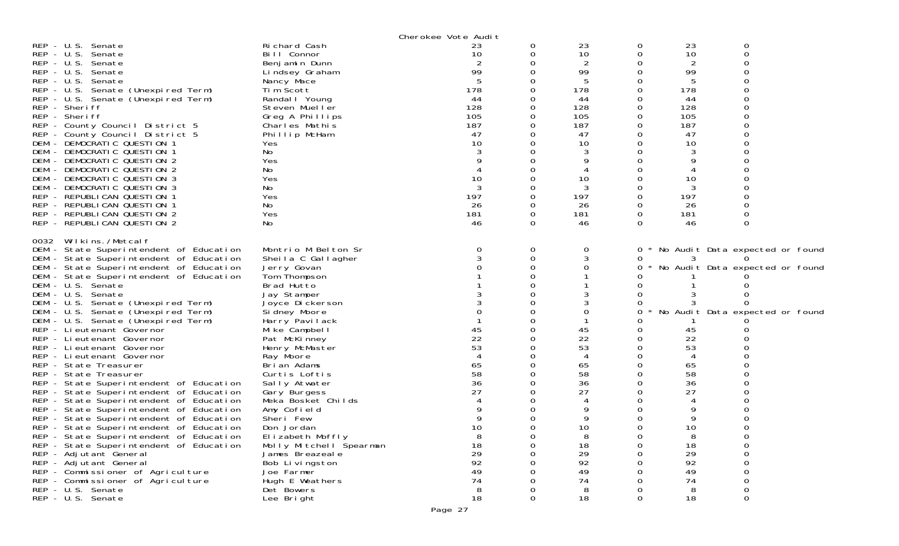|                                                                                                                                                                                                                                                                                                                                                                                                                                                                                                                                                                                                                                                                                                                                                                                                                                                                                                                                                                                                                                                |                                                                                                                                                                                                                                                                                                                                                                                                                                                                                                   | Cherokee Vote Audit                                                                               |                                                     |                                                                                                                         |                                        |                                                                                                             |                                                                                                                               |
|------------------------------------------------------------------------------------------------------------------------------------------------------------------------------------------------------------------------------------------------------------------------------------------------------------------------------------------------------------------------------------------------------------------------------------------------------------------------------------------------------------------------------------------------------------------------------------------------------------------------------------------------------------------------------------------------------------------------------------------------------------------------------------------------------------------------------------------------------------------------------------------------------------------------------------------------------------------------------------------------------------------------------------------------|---------------------------------------------------------------------------------------------------------------------------------------------------------------------------------------------------------------------------------------------------------------------------------------------------------------------------------------------------------------------------------------------------------------------------------------------------------------------------------------------------|---------------------------------------------------------------------------------------------------|-----------------------------------------------------|-------------------------------------------------------------------------------------------------------------------------|----------------------------------------|-------------------------------------------------------------------------------------------------------------|-------------------------------------------------------------------------------------------------------------------------------|
| REP - U.S. Senate<br>REP - U.S. Senate<br>REP - U.S. Senate<br>REP - U.S. Senate<br>REP - U.S. Senate<br>REP - U.S. Senate (Unexpired Term)<br>REP - U.S. Senate (Unexpired Term)<br>REP - Sheriff<br>REP - Sheriff<br>REP - County Council District 5<br>REP - County Council District 5<br>DEM - DEMOCRATIC QUESTION 1<br>DEM - DEMOCRATIC QUESTION 1<br>DEM - DEMOCRATIC QUESTION 2<br>DEM - DEMOCRATIC QUESTION 2<br>DEM - DEMOCRATIC QUESTION 3<br>DEM - DEMOCRATIC QUESTION 3<br>REP - REPUBLICAN QUESTION 1<br>REP - REPUBLICAN QUESTION 1<br>REP - REPUBLICAN QUESTION 2<br>REP - REPUBLICAN QUESTION 2                                                                                                                                                                                                                                                                                                                                                                                                                                | Ri chard Cash<br>Bill Connor<br>Benjamin Dunn<br>Lindsey Graham<br>Nancy Mace<br>Tim Scott<br>Randal   Young<br>Steven Mueller<br>Greg A Phillips<br>Charles Mathis<br>Phillip McHam<br>Yes<br>No<br>Yes<br>No.<br>Yes<br>No.<br>Yes<br>No<br>Yes<br>No                                                                                                                                                                                                                                           | 23<br>10<br>99<br>178<br>44<br>128<br>105<br>187<br>47<br>10<br>10<br>3<br>197<br>26<br>181<br>46 | 0<br>0<br>0<br>0<br>0<br>0<br>0<br>0<br>0<br>0<br>0 | 23<br>10<br>99<br>5<br>178<br>44<br>128<br>105<br>187<br>47<br>10<br>3<br>9<br>10<br>3<br>197<br>26<br>181<br>46        | 0<br>0<br>O<br>O<br>0<br>0<br>$\Omega$ | 23<br>10<br>2<br>99<br>5<br>178<br>44<br>128<br>105<br>187<br>47<br>10<br>10<br>3<br>197<br>26<br>181<br>46 | 0<br>$\Omega$<br>$\Omega$                                                                                                     |
| 0032 Wilkins./Metcalf<br>DEM - State Superintendent of Education<br>DEM - State Superintendent of Education<br>DEM - State Superintendent of Education<br>DEM - State Superintendent of Education<br>DEM - U.S. Senate<br>DEM - U.S. Senate<br>DEM - U.S. Senate (Unexpired Term)<br>DEM - U.S. Senate (Unexpired Term)<br>DEM - U.S. Senate (Unexpired Term)<br>REP - Lieutenant Governor<br>REP - Lieutenant Governor<br>REP - Lieutenant Governor<br>REP - Lieutenant Governor<br>REP - State Treasurer<br>REP - State Treasurer<br>REP - State Superintendent of Education<br>REP - State Superintendent of Education<br>REP - State Superintendent of Education<br>REP - State Superintendent of Education<br>REP - State Superintendent of Education<br>REP - State Superintendent of Education<br>REP - State Superintendent of Education<br>REP - State Superintendent of Education<br>REP - Adjutant General<br>REP - Adjutant General<br>REP - Commissioner of Agriculture<br>REP - Commissioner of Agriculture<br>REP - U.S. Senate | Montrio M Belton Sr<br>Sheila C Gallagher<br>Jerry Govan<br>Tom Thompson<br>Brad Hutto<br>Jay Stamper<br>Joyce Dickerson<br>Si dney Moore<br>Harry Pavilack<br>Mike Campbel I<br>Pat McKinney<br>Henry McMaster<br>Ray Moore<br>Brian Adams<br>Curtis Loftis<br>Sally Atwater<br>Gary Burgess<br>Meka Bosket Childs<br>Amy Cofield<br>Sheri Few<br>Don Jordan<br>Elizabeth Moffly<br>Molly Mitchell Spearman<br>James Breazeal e<br>Bob Livingston<br>Joe Farmer<br>Hugh E Weathers<br>Det Bowers | 0<br>45<br>22<br>53<br>65<br>58<br>36<br>27<br>10<br>8<br>18<br>29<br>92<br>49<br>74<br>8         | 0<br>0<br>0<br>ი                                    | 0<br>3<br>0<br>3<br>0<br>45<br>22<br>53<br>4<br>65<br>58<br>36<br>27<br>9<br>10<br>8<br>18<br>29<br>92<br>49<br>74<br>8 | 0<br>0<br>0<br>0<br>0                  | 45<br>22<br>53<br>4<br>65<br>58<br>36<br>27<br>10<br>8<br>18<br>29<br>92<br>49<br>74<br>8                   | * No Audit Data expected or found<br>* No Audit Data expected or found<br>No Audit Data expected or found<br>$\boldsymbol{0}$ |
| REP - U.S. Senate                                                                                                                                                                                                                                                                                                                                                                                                                                                                                                                                                                                                                                                                                                                                                                                                                                                                                                                                                                                                                              | Lee Bright                                                                                                                                                                                                                                                                                                                                                                                                                                                                                        | 18                                                                                                | 0                                                   | 18                                                                                                                      | 0                                      | 18                                                                                                          | 0                                                                                                                             |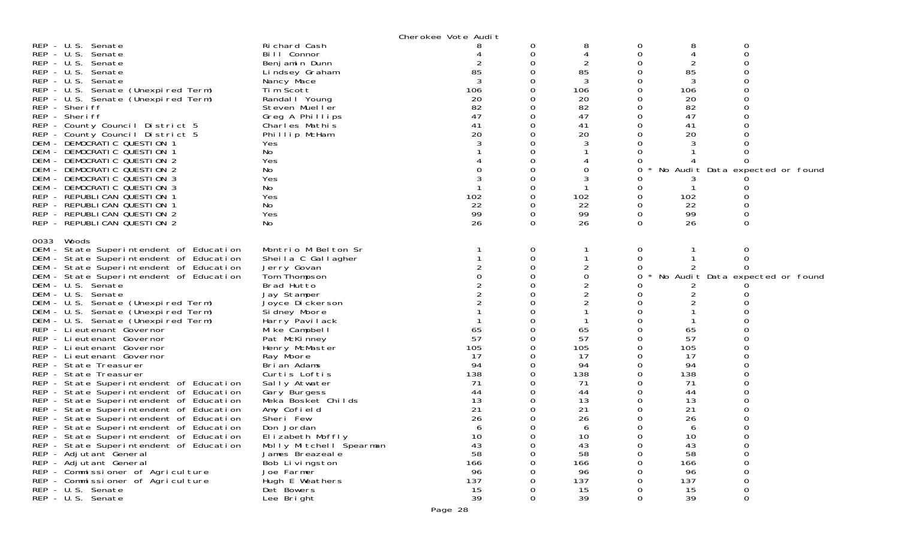|                                                                                                                                                                                                                                                                                                                                                                                                                                                                                                                                                                                                                                                                                                                                                                                                                                                                                                                                                                                                                                                                |                                                                                                                                                                                                                                                                                                                                                                                                                                                                                                               | Cherokee Vote Audit                                                                                                |             |                                                                                                                         |                                                                                                   |                                                                                                                    |                                                          |
|----------------------------------------------------------------------------------------------------------------------------------------------------------------------------------------------------------------------------------------------------------------------------------------------------------------------------------------------------------------------------------------------------------------------------------------------------------------------------------------------------------------------------------------------------------------------------------------------------------------------------------------------------------------------------------------------------------------------------------------------------------------------------------------------------------------------------------------------------------------------------------------------------------------------------------------------------------------------------------------------------------------------------------------------------------------|---------------------------------------------------------------------------------------------------------------------------------------------------------------------------------------------------------------------------------------------------------------------------------------------------------------------------------------------------------------------------------------------------------------------------------------------------------------------------------------------------------------|--------------------------------------------------------------------------------------------------------------------|-------------|-------------------------------------------------------------------------------------------------------------------------|---------------------------------------------------------------------------------------------------|--------------------------------------------------------------------------------------------------------------------|----------------------------------------------------------|
| REP - U.S. Senate<br>$REP - U.S.$<br>Senate<br>REP - U.S. Senate<br>REP - U.S. Senate<br>REP - U.S. Senate<br>REP - U.S. Senate (Unexpired Term)<br>REP - U.S. Senate (Unexpired Term)<br>REP - Sheriff<br>REP - Sheriff<br>REP - County Council District 5<br>REP - County Council District 5<br>DEM - DEMOCRATIC QUESTION 1<br>DEM - DEMOCRATIC QUESTION 1<br>DEM - DEMOCRATIC QUESTION 2<br>DEM - DEMOCRATIC QUESTION 2<br>DEM - DEMOCRATIC QUESTION 3<br>DEM - DEMOCRATIC QUESTION 3<br>REP - REPUBLICAN QUESTION 1<br>REP - REPUBLICAN QUESTION 1<br>REP - REPUBLICAN QUESTION 2<br>REP - REPUBLICAN QUESTION 2                                                                                                                                                                                                                                                                                                                                                                                                                                           | Richard Cash<br>Bill Connor<br>Benjamin Dunn<br>Lindsey Graham<br>Nancy Mace<br>Tim Scott<br>Randal I Young<br>Steven Mueller<br>Greg A Phillips<br>Charles Mathis<br>Phillip McHam<br><b>Yes</b><br>No<br>Yes<br>No<br>Yes<br>No<br><b>Yes</b><br>No<br>Yes<br>No                                                                                                                                                                                                                                            | 85<br>106<br>20<br>82<br>47<br>41<br>20<br>102<br>22<br>99<br>26                                                   | 0<br>0<br>0 | 8<br>2<br>85<br>3<br>106<br>20<br>82<br>47<br>41<br>20<br>Ω<br>102<br>22<br>99<br>26                                    | 0<br>0<br>0<br>0<br>0<br>0<br>Ω<br>0<br>0<br>0<br>Ω<br>0<br>0<br>0<br>$\Omega$                    | 8<br>85<br>3<br>106<br>20<br>82<br>47<br>41<br>20<br>102<br>22<br>99<br>26                                         | 0<br>0<br>No Audit Data expected or found<br>0<br>0      |
| 0033<br>Woods<br>DEM - State Superintendent of Education<br>DEM - State Superintendent of Education<br>DEM - State Superintendent of Education<br>DEM<br>- State Superintendent of Education<br>DEM - U.S. Senate<br>DEM - U.S. Senate<br>DEM - U.S. Senate (Unexpired Term)<br>DEM - U.S. Senate (Unexpired Term)<br>DEM - U.S. Senate (Unexpired Term)<br>REP - Lieutenant Governor<br>REP - Lieutenant Governor<br>REP - Lieutenant Governor<br>REP - Lieutenant Governor<br>REP - State Treasurer<br>REP - State Treasurer<br>REP - State Superintendent of Education<br>REP - State Superintendent of Education<br>REP - State Superintendent of Education<br>REP - State Superintendent of Education<br>REP - State Superintendent of Education<br>REP - State Superintendent of Education<br>REP - State Superintendent of Education<br>REP - State Superintendent of Education<br>REP - Adjutant General<br>REP - Adjutant General<br>REP - Commissioner of Agriculture<br>REP - Commissioner of Agriculture<br>REP - U.S. Senate<br>REP - U.S. Senate | Montrio M Belton Sr<br>Sheila C Gallagher<br>Jerry Govan<br>Tom Thompson<br>Brad Hutto<br>Jay Stamper<br>Joyce Dickerson<br>Si dney Moore<br>Harry Pavilack<br>Mike Campbell<br>Pat McKinney<br>Henry McMaster<br>Ray Moore<br>Brian Adams<br>Curtis Loftis<br>Sally Atwater<br>Gary Burgess<br>Meka Bosket Childs<br>Amy Cofield<br>Sheri Few<br>Don Jordan<br>Elizabeth Moffly<br>Molly Mitchell Spearman<br>James Breazeale<br>Bob Livingston<br>Joe Farmer<br>Hugh E Weathers<br>Det Bowers<br>Lee Bright | 65<br>57<br>105<br>17<br>94<br>138<br>71<br>44<br>13<br>21<br>26<br>10<br>43<br>58<br>166<br>96<br>137<br>15<br>39 | 0<br>0      | 0<br>65<br>57<br>105<br>17<br>94<br>138<br>71<br>44<br>13<br>21<br>26<br>10<br>43<br>58<br>166<br>96<br>137<br>15<br>39 | 0<br>0<br>0<br>O<br>O<br>0<br>0<br>0<br>0<br>0<br>0<br>0<br>Ω<br>0<br>Ω<br><sup>n</sup><br>0<br>O | 65<br>57<br>105<br>17<br>94<br>138<br>71<br>44<br>13<br>21<br>26<br>10<br>43<br>58<br>166<br>96<br>137<br>15<br>39 | 0<br>O<br>No Audit Data expected or found<br>0<br>0<br>0 |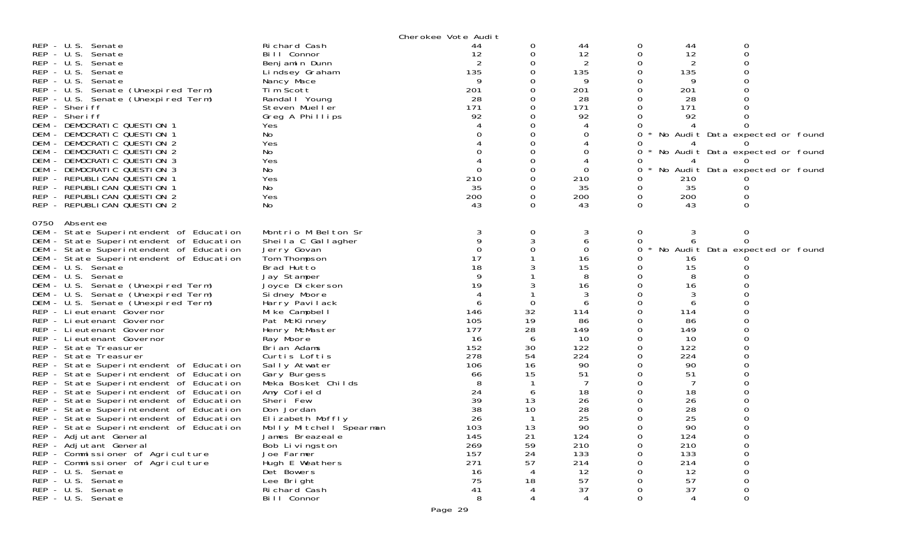|                                                                                                                                                                                                                                                                                                                                                                                                                                                                                                                                                                                                                                                                                                                                                                                                                                                                                                                                                                                                                                                                                                          |                                                                                                                                                                                                                                                                                                                                                                                                                                                                                                                                               | Cherokee Vote Audit                                                                                                                                                        |                                                                                                            |                                                                                                                                                                                   |                                                                                        |                                                                                                                                                                         |                                                                                                                 |
|----------------------------------------------------------------------------------------------------------------------------------------------------------------------------------------------------------------------------------------------------------------------------------------------------------------------------------------------------------------------------------------------------------------------------------------------------------------------------------------------------------------------------------------------------------------------------------------------------------------------------------------------------------------------------------------------------------------------------------------------------------------------------------------------------------------------------------------------------------------------------------------------------------------------------------------------------------------------------------------------------------------------------------------------------------------------------------------------------------|-----------------------------------------------------------------------------------------------------------------------------------------------------------------------------------------------------------------------------------------------------------------------------------------------------------------------------------------------------------------------------------------------------------------------------------------------------------------------------------------------------------------------------------------------|----------------------------------------------------------------------------------------------------------------------------------------------------------------------------|------------------------------------------------------------------------------------------------------------|-----------------------------------------------------------------------------------------------------------------------------------------------------------------------------------|----------------------------------------------------------------------------------------|-------------------------------------------------------------------------------------------------------------------------------------------------------------------------|-----------------------------------------------------------------------------------------------------------------|
| $REP - U.S.$<br>Senate<br>REP - U.S. Senate<br>REP - U.S. Senate<br>REP - U.S. Senate<br>REP - U.S. Senate<br>REP - U.S. Senate (Unexpired Term)<br>REP - U.S. Senate (Unexpired Term)<br>REP - Sheriff<br>REP - Sheriff<br>DEM - DEMOCRATIC QUESTION 1<br>DEM - DEMOCRATIC QUESTION 1<br>DEM - DEMOCRATIC QUESTION 2<br>DEM - DEMOCRATIC QUESTION 2<br>DEM - DEMOCRATIC QUESTION 3<br>DEM - DEMOCRATIC QUESTION 3<br>REP - REPUBLICAN QUESTION 1<br>REP - REPUBLICAN QUESTION 1<br>REP - REPUBLICAN QUESTION 2<br>REP - REPUBLICAN QUESTION 2                                                                                                                                                                                                                                                                                                                                                                                                                                                                                                                                                           | Richard Cash<br>Bill Connor<br>Benjamin Dunn<br>Lindsey Graham<br>Nancy Mace<br>Tim Scott<br>Randal   Young<br>Steven Mueller<br>Greg A Phillips<br>Yes<br>No<br>Yes<br>No<br>Yes<br>No<br>Yes<br>No<br>Yes<br>No                                                                                                                                                                                                                                                                                                                             | 44<br>12<br>2<br>135<br>201<br>28<br>171<br>92<br>210<br>35<br>200<br>43                                                                                                   | 0<br>0<br>0<br>Ω<br>0<br>0<br>0<br>0<br>0<br>0<br>$\Omega$                                                 | 44<br>12<br>2<br>135<br>9<br>201<br>28<br>171<br>92<br>ი<br>ი<br>0<br>210<br>35<br>200<br>43                                                                                      | 0<br>0<br>0<br>0<br>Ω<br>0<br>0<br>0<br>0<br>O<br>0<br>Ω<br>0<br>0<br>$\Omega$         | 44<br>12<br>2<br>135<br>201<br>28<br>171<br>92<br>210<br>35<br>200<br>43                                                                                                | 0<br>O<br>No Audit Data expected or found<br>No Audit Data expected or found<br>No Audit Data expected or found |
| 0750<br>Absentee<br>DEM - State Superintendent of Education<br>DEM - State Superintendent of Education<br>DEM - State Superintendent of Education<br>DEM - State Superintendent of Education<br>DEM - U.S. Senate<br>DEM - U.S. Senate<br>DEM - U.S. Senate (Unexpired Term)<br>DEM - U.S. Senate (Unexpired Term)<br>DEM - U.S. Senate (Unexpired Term)<br>REP - Lieutenant Governor<br>REP - Lieutenant Governor<br>REP - Lieutenant Governor<br>REP - Lieutenant Governor<br>REP - State Treasurer<br>REP - State Treasurer<br>REP - State Superintendent of Education<br>REP - State Superintendent of Education<br>REP - State Superintendent of Education<br>REP - State Superintendent of Education<br>REP - State Superintendent of Education<br>REP - State Superintendent of Education<br>REP - State Superintendent of Education<br>REP - State Superintendent of Education<br>REP - Adjutant General<br>REP - Adjutant General<br>REP - Commissioner of Agriculture<br>REP - Commissioner of Agriculture<br>REP - U.S. Senate<br>REP - U.S. Senate<br>REP - U.S. Senate<br>REP - U.S. Senate | Montrio M Belton Sr<br>Sheila C Gallagher<br>Jerry Govan<br>Tom Thompson<br>Brad Hutto<br>Jay Stamper<br>Joyce Dickerson<br>Si dney Moore<br>Harry Pavilack<br>Mike Campbel I<br>Pat McKinney<br>Henry McMaster<br>Ray Moore<br>Brian Adams<br>Curtis Loftis<br>Sally Atwater<br>Gary Burgess<br>Meka Bosket Childs<br>Amy Cofield<br>Sheri Few<br>Don Jordan<br>Elizabeth Moffly<br>Molly Mitchell Spearman<br>James Breazeale<br>Bob Livingston<br>Joe Farmer<br>Hugh E Weathers<br>Det Bowers<br>Lee Bright<br>Richard Cash<br>Bill Connor | 3<br>17<br>18<br>9<br>19<br>6<br>146<br>105<br>177<br>16<br>152<br>278<br>106<br>66<br>8<br>24<br>39<br>38<br>26<br>103<br>145<br>269<br>157<br>271<br>16<br>75<br>41<br>8 | 0<br>0<br>0<br>32<br>19<br>28<br>6<br>30<br>54<br>16<br>15<br>13<br>10<br>13<br>21<br>59<br>24<br>57<br>18 | 3<br>6<br>0<br>16<br>15<br>8<br>16<br>6<br>114<br>86<br>149<br>10<br>122<br>224<br>90<br>51<br>7<br>18<br>26<br>28<br>25<br>90<br>124<br>210<br>133<br>214<br>12<br>57<br>37<br>4 | 0<br>0<br>0<br>Ω<br>Ω<br>Ω<br>0<br>0<br>0<br>0<br>O<br>0<br>∩<br>0<br>0<br>Ω<br>0<br>0 | 3<br>16<br>15<br>8<br>16<br>6<br>114<br>86<br>149<br>10<br>122<br>224<br>90<br>51<br>7<br>18<br>26<br>28<br>25<br>90<br>124<br>210<br>133<br>214<br>12<br>57<br>37<br>4 | 0<br>No Audit Data expected or found<br>0<br>0<br>O<br>0<br>0                                                   |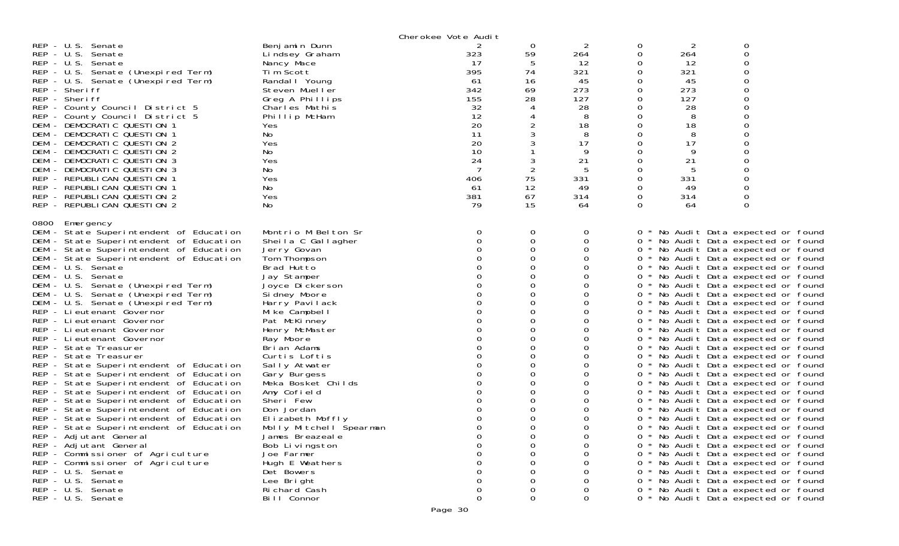|                                                                                                                                                                                                                                                                                                                                                                                                                                                                                                                                                                                                                                                                                                                                                                                                                                           |                                                                                                                                                                                                                                                                                                                                                                                  | Cherokee Vote Audit                                                                                        |                                                                                        |                                                                                                             |                                                                         |                                                                                                            |                                                                                                                                                                                                                                                                                                                                                                                                                                                                                                                                                                                                                                                                                                                                                                                                                                                                                      |  |
|-------------------------------------------------------------------------------------------------------------------------------------------------------------------------------------------------------------------------------------------------------------------------------------------------------------------------------------------------------------------------------------------------------------------------------------------------------------------------------------------------------------------------------------------------------------------------------------------------------------------------------------------------------------------------------------------------------------------------------------------------------------------------------------------------------------------------------------------|----------------------------------------------------------------------------------------------------------------------------------------------------------------------------------------------------------------------------------------------------------------------------------------------------------------------------------------------------------------------------------|------------------------------------------------------------------------------------------------------------|----------------------------------------------------------------------------------------|-------------------------------------------------------------------------------------------------------------|-------------------------------------------------------------------------|------------------------------------------------------------------------------------------------------------|--------------------------------------------------------------------------------------------------------------------------------------------------------------------------------------------------------------------------------------------------------------------------------------------------------------------------------------------------------------------------------------------------------------------------------------------------------------------------------------------------------------------------------------------------------------------------------------------------------------------------------------------------------------------------------------------------------------------------------------------------------------------------------------------------------------------------------------------------------------------------------------|--|
| REP - U.S. Senate<br>REP - U.S. Senate<br>REP - U.S. Senate<br>REP - U.S. Senate (Unexpired Term)<br>REP - U.S. Senate (Unexpired Term)<br>REP - Sheriff<br>REP - Sheriff<br>REP - County Council District 5<br>REP - County Council District 5<br>DEM - DEMOCRATIC QUESTION 1<br>DEM - DEMOCRATIC QUESTION 1<br>DEM - DEMOCRATIC QUESTION 2<br>DEM - DEMOCRATIC QUESTION 2<br>DEM - DEMOCRATIC QUESTION 3<br>DEM - DEMOCRATIC QUESTION 3<br>REP - REPUBLICAN QUESTION 1<br>REP - REPUBLICAN QUESTION 1<br>REP - REPUBLICAN QUESTION 2<br>REP - REPUBLICAN QUESTION 2                                                                                                                                                                                                                                                                     | Benjamin Dunn<br>Lindsey Graham<br>Nancy Mace<br>Tim Scott<br>Randal   Young<br>Steven Mueller<br>Greg A Phillips<br>Charles Mathis<br>Phillip McHam<br><b>Yes</b><br>No<br>Yes<br>No<br>Yes<br>No.<br>Yes<br>No<br>Yes<br>No.                                                                                                                                                   | 323<br>-17<br>395<br>-61<br>342<br>155<br>32<br>12<br>20<br>11<br>20<br>10<br>24<br>406<br>61<br>381<br>79 | 0<br>59<br>5<br>74<br>16<br>69<br>28<br>75<br>12<br>67<br>15                           | 264<br>-12<br>321<br>45<br>273<br>127<br>28<br>8<br>18<br>8<br>17<br>9<br>21<br>5<br>331<br>49<br>314<br>64 | 0<br>0<br>0<br>0<br>0<br>0<br>0<br>Ω<br>Ω<br>O<br>0<br>0<br>0<br>0<br>0 | 2<br>264<br>12<br>321<br>45<br>273<br>127<br>28<br>8<br>18<br>8<br>17<br>9<br>21<br>331<br>49<br>314<br>64 | 0<br>$\mathbf 0$<br>$\Omega$<br>0                                                                                                                                                                                                                                                                                                                                                                                                                                                                                                                                                                                                                                                                                                                                                                                                                                                    |  |
| 0800 Emergency<br>DEM - State Superintendent of Education<br>DEM - State Superintendent of Education<br>DEM - State Superintendent of Education<br>DEM - State Superintendent of Education<br>DEM - U.S. Senate<br>DEM - U.S. Senate<br>DEM - U.S. Senate (Unexpired Term)<br>DEM - U.S. Senate (Unexpired Term)<br>DEM - U.S. Senate (Unexpired Term)<br>REP - Lieutenant Governor<br>REP - Lieutenant Governor<br>REP - Lieutenant Governor<br>REP - Lieutenant Governor<br>REP - State Treasurer<br>REP - State Treasurer<br>REP - State Superintendent of Education<br>REP - State Superintendent of Education<br>REP - State Superintendent of Education<br>REP - State Superintendent of Education<br>REP - State Superintendent of Education<br>REP - State Superintendent of Education<br>REP - State Superintendent of Education | Montrio M Belton Sr<br>Sheila C Gallagher<br>Jerry Govan<br>Tom Thompson<br>Brad Hutto<br>Jay Stamper<br>Joyce Dickerson<br>Sidney Moore<br>Harry Pavilack<br>Mike Campbel I<br>Pat McKinney<br>Henry McMaster<br>Ray Moore<br>Brian Adams<br>Curtis Loftis<br>Sally Atwater<br>Gary Burgess<br>Meka Bosket Childs<br>Amy Cofield<br>Sheri Few<br>Don Jordan<br>Elizabeth Moffly | $\overline{O}$<br>0<br>0                                                                                   | 0<br>0<br>0<br>0<br>0<br>0<br>0<br>0<br>Ω<br>0<br>0<br>0<br>Ω<br>0<br>Ω<br>0<br>0<br>0 | 0<br>0<br>0<br>0<br>0<br>0<br>O<br>0<br>Ω<br>0<br>0<br>0<br>0<br>0<br>Ω<br>0<br>O<br>0<br>0<br>O<br>0<br>0  | 0                                                                       |                                                                                                            | 0 * No Audit Data expected or found<br>0 * No Audit Data expected or found<br>0 * No Audit Data expected or found<br>0 * No Audit Data expected or found<br>0 * No Audit Data expected or found<br>0 * No Audit Data expected or found<br>0 * No Audit Data expected or found<br>0 * No Audit Data expected or found<br>0 * No Audit Data expected or found<br>0 * No Audit Data expected or found<br>0 * No Audit Data expected or found<br>0 * No Audit Data expected or found<br>0 * No Audit Data expected or found<br>0 * No Audit Data expected or found<br>0 * No Audit Data expected or found<br>0 * No Audit Data expected or found<br>0 * No Audit Data expected or found<br>0 * No Audit Data expected or found<br>0 * No Audit Data expected or found<br>0 * No Audit Data expected or found<br>0 * No Audit Data expected or found<br>* No Audit Data expected or found |  |
| REP - State Superintendent of Education<br>REP - Adjutant General<br>REP - Adjutant General<br>REP - Commissioner of Agriculture<br>REP - Commissioner of Agriculture<br>REP - U.S. Senate<br>REP - U.S. Senate<br>REP - U.S. Senate<br>REP - U.S. Senate                                                                                                                                                                                                                                                                                                                                                                                                                                                                                                                                                                                 | Molly Mitchell Spearman<br>James Breazeal e<br>Bob Livingston<br>Joe Farmer<br>Hugh E Weathers<br>Det Bowers<br>Lee Bright<br>Richard Cash<br>Bill Connor                                                                                                                                                                                                                        | $\Omega$<br>0<br>0<br>0<br>0                                                                               | 0<br>0<br>0<br>0<br>0                                                                  | 0<br>0<br>0<br>0<br>0<br>0<br>0<br>0<br>0                                                                   |                                                                         |                                                                                                            | 0 * No Audit Data expected or found<br>0 * No Audit Data expected or found<br>0 * No Audit Data expected or found<br>0 * No Audit Data expected or found<br>0 * No Audit Data expected or found<br>0 * No Audit Data expected or found<br>0 * No Audit Data expected or found<br>0 * No Audit Data expected or found<br>0 * No Audit Data expected or found                                                                                                                                                                                                                                                                                                                                                                                                                                                                                                                          |  |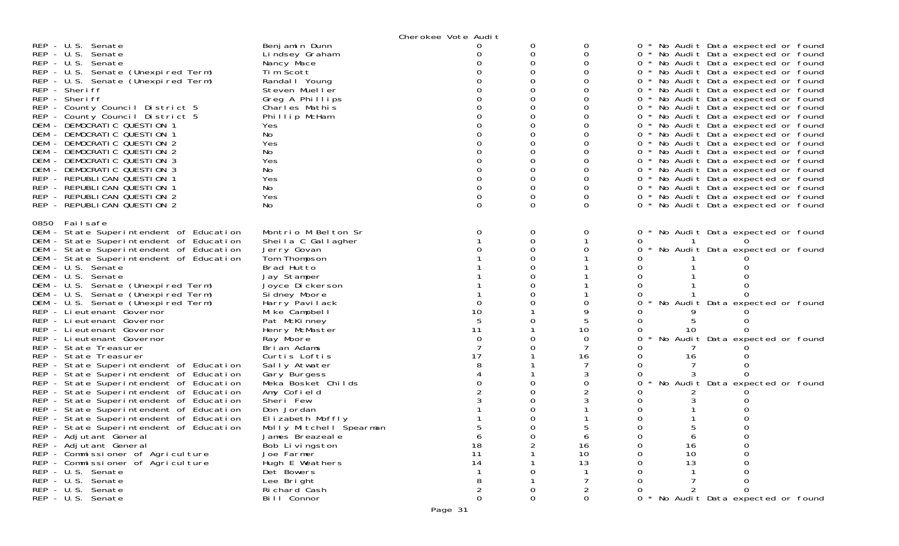|                                         |                         | Cherokee Vote Audit |          |                               |                                               |
|-----------------------------------------|-------------------------|---------------------|----------|-------------------------------|-----------------------------------------------|
| REP - U.S. Senate                       | Benjamin Dunn           |                     | 0        | 0                             | * No Audit Data expected or found             |
| REP - U.S. Senate                       | Lindsey Graham          |                     | 0        | 0                             | 0 * No Audit Data expected or found           |
| REP - U.S. Senate                       | Nancy Mace              |                     | 0        | 0                             | * No Audit Data expected or found<br>0        |
| REP - U.S. Senate (Unexpired Term)      | Tim Scott               |                     |          |                               | * No Audit Data expected or found<br>0        |
| REP - U.S. Senate (Unexpired Term)      | Randal I Young          |                     |          |                               | 0 * No Audit Data expected or found           |
| REP - Sheriff                           | Steven Mueller          |                     |          |                               | * No Audit Data expected or found<br>0        |
| REP - Sheriff                           | Greg A Phillips         |                     |          |                               | * No Audit Data expected or found<br>0        |
| REP - County Council District 5         | Charles Mathis          |                     |          | Ω                             | 0 * No Audit Data expected or found           |
| REP - County Council District 5         | Phillip McHam           |                     |          | Ω                             | 0 * No Audit Data expected or found           |
| DEM - DEMOCRATIC QUESTION 1             | <b>Yes</b>              |                     |          |                               | 0 * No Audit Data expected or found           |
| DEM - DEMOCRATIC QUESTION 1             | No.                     |                     |          |                               | 0 * No Audit Data expected or found           |
| DEM - DEMOCRATIC QUESTION 2             | Yes                     |                     |          | Ω                             | 0 * No Audit Data expected or found           |
| DEM - DEMOCRATIC QUESTION 2             | No                      |                     |          |                               | 0 * No Audit Data expected or found           |
| DEM - DEMOCRATIC QUESTION 3             | Yes                     |                     |          | 0                             | 0 * No Audit Data expected or found           |
| DEM - DEMOCRATIC QUESTION 3             | No                      |                     |          | 0                             | 0 * No Audit Data expected or found           |
| REP - REPUBLICAN QUESTION 1             | Yes                     |                     |          |                               | 0 * No Audit Data expected or found           |
| REP - REPUBLICAN QUESTION 1             | No.                     |                     |          | 0                             | 0 * No Audit Data expected or found           |
| REP - REPUBLICAN QUESTION 2             | Yes                     | 0                   | 0        | 0                             | 0 * No Audit Data expected or found           |
| REP - REPUBLICAN QUESTION 2             | No                      |                     | ი        | 0                             | 0 * No Audit Data expected or found           |
|                                         |                         |                     |          |                               |                                               |
| Failsafe<br>0850                        |                         |                     |          |                               |                                               |
| DEM - State Superintendent of Education | Montrio M Belton Sr     |                     | 0        | Ω                             | * No Audit Data expected or found<br>0        |
| DEM - State Superintendent of Education | Sheila C Gallagher      |                     | 0        |                               |                                               |
| DEM - State Superintendent of Education | Jerry Govan             |                     | 0        |                               | 0<br>* No Audit Data expected or found        |
| DEM - State Superintendent of Education | Tom Thompson            |                     |          |                               |                                               |
| DEM - U.S. Senate                       | Brad Hutto              |                     |          |                               |                                               |
| DEM - U.S. Senate                       | Jay Stamper             |                     |          |                               |                                               |
| DEM - U.S. Senate (Unexpired Term)      | Joyce Dickerson         |                     |          |                               |                                               |
| DEM - U.S. Senate (Unexpired Term)      | Si dney Moore           |                     |          |                               |                                               |
| DEM - U.S. Senate (Unexpired Term)      | Harry Pavilack          |                     |          |                               | No Audit Data expected or found               |
| REP - Lieutenant Governor               | Mike Campbell           | 10                  |          |                               |                                               |
| REP - Lieutenant Governor               | Pat McKinney            |                     |          |                               |                                               |
| REP - Lieutenant Governor               | Henry McMaster          | 11                  |          | 10                            | 10                                            |
| REP - Lieutenant Governor               | Ray Moore               |                     |          | 0                             | No Audit Data expected or found               |
| REP - State Treasurer                   | Brian Adams             |                     |          |                               |                                               |
| REP - State Treasurer                   | Curtis Loftis           | 17                  |          | 16                            | 16                                            |
| REP - State Superintendent of Education | Sally Atwater           |                     |          |                               |                                               |
| REP - State Superintendent of Education | Gary Burgess            |                     |          |                               |                                               |
| REP - State Superintendent of Education | Meka Bosket Childs      |                     |          |                               | No Audit Data expected or found               |
| REP - State Superintendent of Education | Amy Cofield             |                     |          |                               |                                               |
| REP - State Superintendent of Education | Sheri Few               |                     |          |                               |                                               |
| REP - State Superintendent of Education | Don Jordan              |                     |          |                               |                                               |
| REP - State Superintendent of Education | Elizabeth Moffly        |                     |          |                               |                                               |
| REP - State Superintendent of Education | Molly Mitchell Spearman |                     |          |                               |                                               |
| REP - Adjutant General                  | James Breazeale         | 6                   | 0        | 6                             | 6                                             |
| REP - Adjutant General                  | Bob Livingston          | 18                  |          | 16                            | 16                                            |
| REP - Commissioner of Agriculture       | Joe Farmer              | 11                  |          | 10                            | 10                                            |
| REP - Commissioner of Agriculture       | Hugh E Weathers         | 14                  |          | 13                            | 13                                            |
| REP - U.S. Senate                       | Det Bowers              |                     |          |                               |                                               |
| REP - U.S. Senate                       | Lee Bright              |                     |          |                               |                                               |
| REP - U.S. Senate                       | Richard Cash            | $\overline{c}$      |          |                               |                                               |
| REP - U.S. Senate                       | Bill Connor             | $\mathbf 0$         | $\Omega$ | $\overline{c}$<br>$\mathbf 0$ | * No Audit Data expected or found<br>$\Omega$ |
|                                         |                         |                     |          |                               |                                               |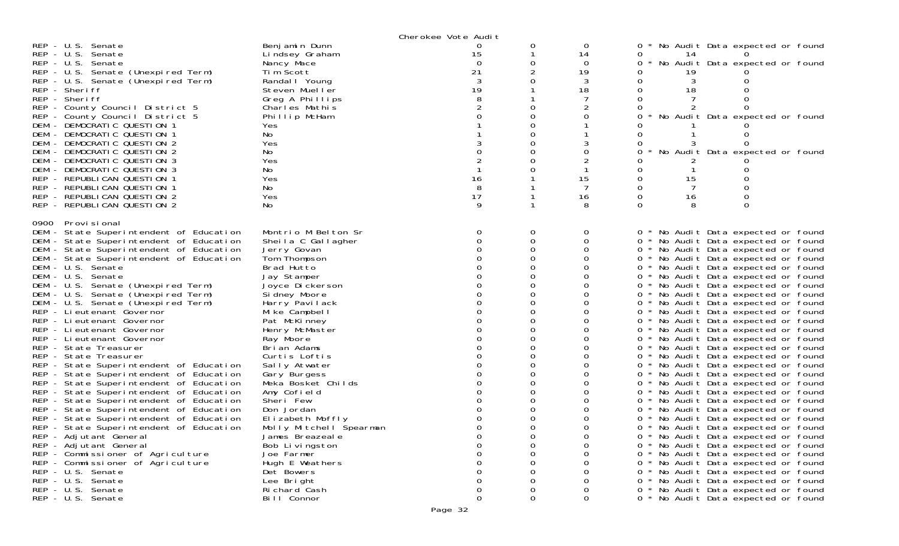|      |                                         |                         | Cherokee Vote Audit |   |             |                |                                     |
|------|-----------------------------------------|-------------------------|---------------------|---|-------------|----------------|-------------------------------------|
|      | REP - U.S. Senate                       | Benjamin Dunn           | 0                   | 0 | 0           | 0              | No Audit Data expected or found     |
|      | REP - U.S. Senate                       | Lindsey Graham          | 15                  |   | 14          | 0<br>14        |                                     |
|      | REP - U.S. Senate                       | Nancy Mace              | $\Omega$            | 0 | $\Omega$    | 0              | No Audit Data expected or found     |
|      | REP - U.S. Senate (Unexpired Term)      | Tim Scott               | 21                  |   | 19          | 19             |                                     |
|      | REP - U.S. Senate (Unexpired Term)      | Randal I Young          |                     |   | 3           | 3              |                                     |
|      | REP - Sheriff                           | Steven Mueller          | 19                  |   | 18          | 18             |                                     |
|      | REP - Sheriff                           | Greg A Phillips         |                     |   |             |                |                                     |
|      | REP - County Council District 5         | Charles Mathis          |                     |   |             |                |                                     |
|      | REP - County Council District 5         | Phillip McHam           |                     |   | 0           |                | No Audit Data expected or found     |
|      | DEM - DEMOCRATIC QUESTION 1             | Yes                     |                     |   |             |                |                                     |
|      | DEM - DEMOCRATIC QUESTION 1             | No.                     |                     |   |             |                |                                     |
|      | DEM - DEMOCRATIC QUESTION 2             | Yes                     |                     |   |             |                |                                     |
|      | DEM - DEMOCRATIC QUESTION 2             | No                      |                     |   |             |                | No Audit Data expected or found     |
|      | DEM - DEMOCRATIC QUESTION 3             | Yes                     |                     |   |             |                |                                     |
|      | DEM - DEMOCRATIC QUESTION 3             | No.                     |                     |   |             |                |                                     |
|      | REP - REPUBLICAN QUESTION 1             | Yes                     | 16                  |   | 15          | 15             |                                     |
|      | REP - REPUBLICAN QUESTION 1             | No.                     | 8                   |   |             |                |                                     |
|      | REP - REPUBLICAN QUESTION 2             | Yes                     | 17                  |   | 16          | 16<br>0        |                                     |
|      | REP - REPUBLICAN QUESTION 2             | No                      | 9                   |   | 8           |                |                                     |
|      |                                         |                         |                     |   |             |                |                                     |
| 0900 | Provi si onal                           |                         |                     |   |             |                |                                     |
|      | DEM - State Superintendent of Education | Montrio M Belton Sr     | 0                   | 0 | 0           | 0              | * No Audit Data expected or found   |
|      | DEM - State Superintendent of Education | Sheila C Gallagher      | 0                   | 0 | 0           |                | 0 * No Audit Data expected or found |
|      | DEM - State Superintendent of Education | Jerry Govan             |                     | 0 | 0           |                | 0 * No Audit Data expected or found |
|      | DEM - State Superintendent of Education | Tom Thompson            |                     |   | 0           |                | 0 * No Audit Data expected or found |
|      | DEM - U.S. Senate                       | Brad Hutto              |                     |   | 0           |                | 0 * No Audit Data expected or found |
|      | DEM - U.S. Senate                       | Jay Stamper             |                     |   | 0           |                | 0 * No Audit Data expected or found |
|      | DEM - U.S. Senate (Unexpired Term)      | Joyce Dickerson         |                     |   |             |                | 0 * No Audit Data expected or found |
|      | DEM - U.S. Senate (Unexpired Term)      | Si dney Moore           |                     |   | Ω           |                | 0 * No Audit Data expected or found |
|      | DEM - U.S. Senate (Unexpired Term)      | Harry Pavilack          |                     |   | 0           |                | 0 * No Audit Data expected or found |
|      | REP - Lieutenant Governor               | Mike Campbel I          |                     |   | 0           | $\overline{0}$ | No Audit Data expected or found     |
|      | REP - Lieutenant Governor               | Pat McKinney            |                     |   | Ω           | $\overline{0}$ | No Audit Data expected or found     |
|      | REP - Lieutenant Governor               | Henry McMaster          |                     |   | 0           |                | 0 * No Audit Data expected or found |
|      | REP - Lieutenant Governor               | Ray Moore               |                     |   |             |                | 0 * No Audit Data expected or found |
|      | REP - State Treasurer                   | Brian Adams             |                     |   |             | 0              | * No Audit Data expected or found   |
|      | REP - State Treasurer                   | Curtis Loftis           |                     |   | O           |                | 0 * No Audit Data expected or found |
|      | REP - State Superintendent of Education | Sally Atwater           |                     |   | Ω           | 0 *            | No Audit Data expected or found     |
|      | REP - State Superintendent of Education | Gary Burgess            |                     |   | Ω           |                | 0 * No Audit Data expected or found |
|      | REP - State Superintendent of Education | Meka Bosket Childs      |                     |   | O           |                | 0 * No Audit Data expected or found |
|      | REP - State Superintendent of Education | Amy Cofield             |                     |   |             |                | 0 * No Audit Data expected or found |
|      | REP - State Superintendent of Education | Sheri Few               |                     |   |             |                | 0 * No Audit Data expected or found |
|      | REP - State Superintendent of Education | Don Jordan              |                     |   |             |                | No Audit Data expected or found     |
|      | REP - State Superintendent of Education | Elizabeth Moffly        |                     |   |             | 0              | No Audit Data expected or found     |
|      | REP - State Superintendent of Education | Molly Mitchell Spearman |                     |   |             | 0<br>$\star$   | No Audit Data expected or found     |
|      | REP - Adjutant General                  | James Breazeale         | 0                   | 0 | 0           |                | 0 * No Audit Data expected or found |
|      | REP - Adjutant General                  | Bob Livingston          | 0                   | 0 | 0           |                | 0 * No Audit Data expected or found |
|      | REP - Commissioner of Agriculture       | Joe Farmer              | ∩                   | 0 | 0           |                | 0 * No Audit Data expected or found |
|      | REP - Commissioner of Agriculture       | Hugh E Weathers         |                     |   | 0           | 0              | * No Audit Data expected or found   |
|      | REP - U.S. Senate                       | Det Bowers              |                     |   | 0           |                | 0 * No Audit Data expected or found |
|      | REP - U.S. Senate                       | Lee Bright              | 0                   |   | 0           | 0              | * No Audit Data expected or found   |
|      | REP - U.S. Senate                       | Richard Cash            | 0                   | 0 | 0           | 0              | * No Audit Data expected or found   |
|      | REP - U.S. Senate                       | Bill Connor             | $\mathbf{O}$        | 0 | $\mathbf 0$ |                | 0 * No Audit Data expected or found |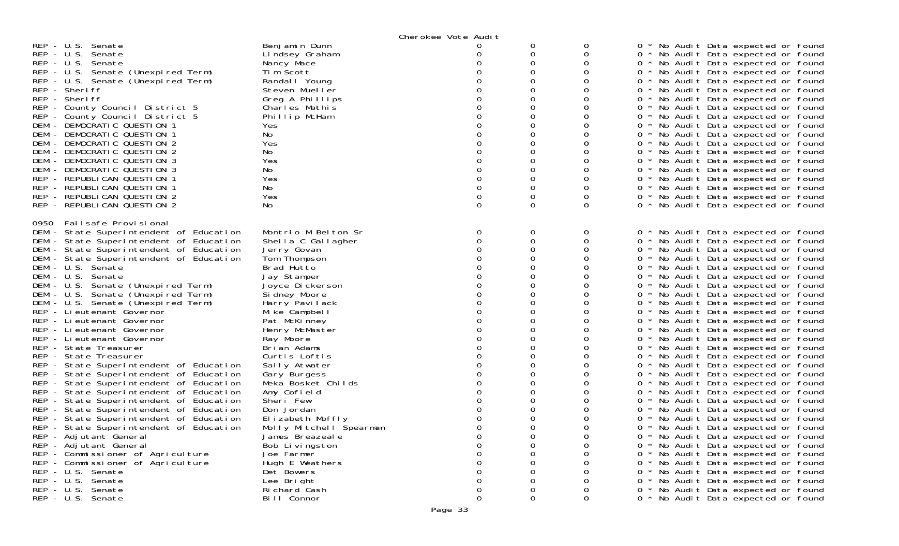|                                         |                         | Cherokee Vote Audit |   |             |                                        |
|-----------------------------------------|-------------------------|---------------------|---|-------------|----------------------------------------|
| REP - U.S. Senate                       | Benjamin Dunn           | 0                   | 0 | 0           | * No Audit Data expected or found      |
| REP - U.S. Senate                       | Lindsey Graham          | 0                   | 0 | 0           | 0 * No Audit Data expected or found    |
| REP - U.S. Senate                       | Nancy Mace              |                     | 0 | 0           | 0 * No Audit Data expected or found    |
| REP - U.S. Senate (Unexpired Term)      | Tim Scott               |                     |   |             | * No Audit Data expected or found<br>0 |
| REP - U.S. Senate (Unexpired Term)      | Randal I Young          |                     |   |             | 0 * No Audit Data expected or found    |
| REP - Sheriff                           | Steven Mueller          |                     |   |             | 0 * No Audit Data expected or found    |
| REP - Sheriff                           | Greg A Phillips         |                     |   |             | 0 * No Audit Data expected or found    |
| REP - County Council District 5         | Charles Mathis          |                     |   | 0           | 0 * No Audit Data expected or found    |
| REP - County Council District 5         |                         |                     | Ω | 0           | 0 * No Audit Data expected or found    |
| DEM - DEMOCRATIC QUESTION 1             | Phillip McHam           |                     |   |             |                                        |
|                                         | Yes                     |                     |   |             | 0 * No Audit Data expected or found    |
| DEM - DEMOCRATIC QUESTION 1             | No                      |                     |   |             | 0 * No Audit Data expected or found    |
| DEM - DEMOCRATIC QUESTION 2             | Yes.                    |                     | Ω | O           | 0 * No Audit Data expected or found    |
| DEM - DEMOCRATIC QUESTION 2             | No                      |                     |   |             | 0 * No Audit Data expected or found    |
| DEM - DEMOCRATIC QUESTION 3             | <b>Yes</b>              |                     |   |             | 0 * No Audit Data expected or found    |
| DEM - DEMOCRATIC QUESTION 3             | No.                     |                     | Ω | 0           | 0 * No Audit Data expected or found    |
| REP - REPUBLICAN QUESTION 1             | Yes                     |                     |   |             | 0 * No Audit Data expected or found    |
| REP - REPUBLICAN QUESTION 1             | No.                     | 0                   |   | 0           | 0 * No Audit Data expected or found    |
| REP - REPUBLICAN QUESTION 2             | Yes                     | 0                   | 0 | 0           | 0 * No Audit Data expected or found    |
| REP - REPUBLICAN QUESTION 2             | No.                     | 0                   | 0 | 0           | 0 * No Audit Data expected or found    |
|                                         |                         |                     |   |             |                                        |
| Failsafe Provisional<br>0950            |                         |                     |   |             |                                        |
| DEM - State Superintendent of Education | Montrio M Belton Sr     | 0                   | 0 | 0           | 0 * No Audit Data expected or found    |
| DEM - State Superintendent of Education | Sheila C Gallagher      | 0                   | 0 | 0           | 0 * No Audit Data expected or found    |
| DEM - State Superintendent of Education | Jerry Govan             | 0                   | 0 | 0           | 0 * No Audit Data expected or found    |
| DEM - State Superintendent of Education | Tom Thompson            |                     |   | 0           | 0 * No Audit Data expected or found    |
| DEM - U.S. Senate                       | Brad Hutto              |                     |   | 0           | 0 * No Audit Data expected or found    |
| DEM - U.S. Senate                       | Jay Stamper             |                     | O | 0           | 0 * No Audit Data expected or found    |
| DEM - U.S. Senate (Unexpired Term)      | Joyce Dickerson         |                     |   |             | 0 * No Audit Data expected or found    |
| DEM - U.S. Senate (Unexpired Term)      | Si dney Moore           |                     |   |             | 0 * No Audit Data expected or found    |
| DEM - U.S. Senate (Unexpired Term)      | Harry Pavilack          |                     |   | 0           | 0 * No Audit Data expected or found    |
| REP - Lieutenant Governor               | Mike Campbell           |                     |   | O           | 0 * No Audit Data expected or found    |
| REP - Lieutenant Governor               | Pat McKinney            |                     |   |             | 0 * No Audit Data expected or found    |
| REP - Lieutenant Governor               | Henry McMaster          |                     | O | O           | 0 * No Audit Data expected or found    |
| REP - Lieutenant Governor               | Ray Moore               |                     |   |             | 0 * No Audit Data expected or found    |
| REP - State Treasurer                   | Brian Adams             |                     |   |             | 0 * No Audit Data expected or found    |
| REP - State Treasurer                   | Curtis Loftis           |                     | O | O           | 0 * No Audit Data expected or found    |
|                                         |                         |                     |   | 0           |                                        |
| REP - State Superintendent of Education | Sally Atwater           |                     |   |             | 0 * No Audit Data expected or found    |
| REP - State Superintendent of Education | Gary Burgess            |                     |   |             | 0 * No Audit Data expected or found    |
| REP - State Superintendent of Education | Meka Bosket Childs      |                     |   |             | 0 * No Audit Data expected or found    |
| REP - State Superintendent of Education | Amy Cofield             |                     |   |             | 0 * No Audit Data expected or found    |
| REP - State Superintendent of Education | Sheri Few               |                     |   |             | 0 * No Audit Data expected or found    |
| REP - State Superintendent of Education | Don Jordan              |                     |   |             | 0 * No Audit Data expected or found    |
| REP - State Superintendent of Education | Elizabeth Moffly        |                     |   |             | 0 * No Audit Data expected or found    |
| REP - State Superintendent of Education | Molly Mitchell Spearman | $\Omega$            |   |             | 0 * No Audit Data expected or found    |
| REP - Adjutant General                  | James Breazeale         | 0                   | 0 | 0           | 0 * No Audit Data expected or found    |
| REP - Adjutant General                  | Bob Livingston          |                     | 0 | 0           | 0 * No Audit Data expected or found    |
| REP - Commissioner of Agriculture       | Joe Farmer              |                     | O | 0           | 0 * No Audit Data expected or found    |
| REP - Commissioner of Agriculture       | Hugh E Weathers         |                     |   | 0           | 0 * No Audit Data expected or found    |
| REP - U.S. Senate                       | Det Bowers              |                     |   | 0           | 0 * No Audit Data expected or found    |
| REP - U.S. Senate                       | Lee Bright              | 0                   | O | 0           | 0 * No Audit Data expected or found    |
| REP - U.S. Senate                       | Richard Cash            | 0                   | 0 | 0           | 0 * No Audit Data expected or found    |
| REP - U.S. Senate                       | Bill Connor             | 0                   | 0 | $\mathbf 0$ | 0 * No Audit Data expected or found    |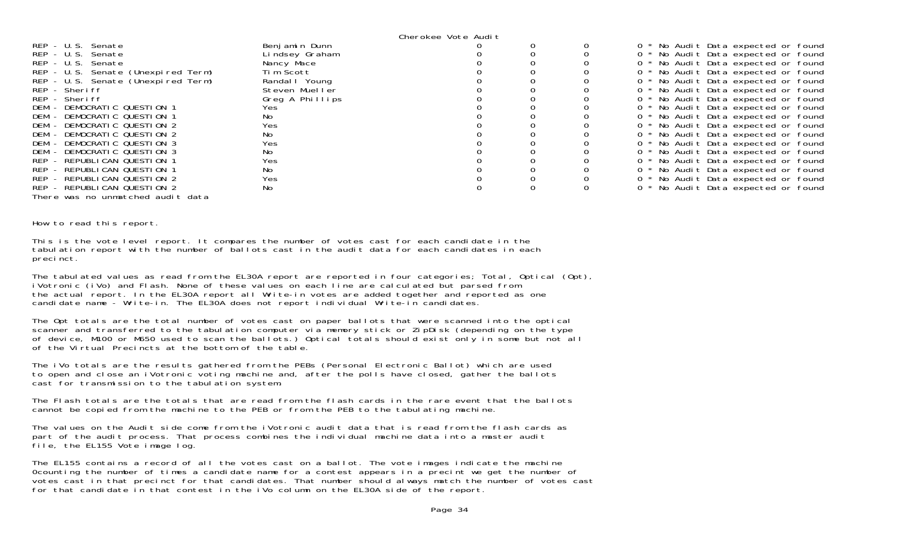|                                    |                 | Cherokee Vote Audit |  |                                     |
|------------------------------------|-----------------|---------------------|--|-------------------------------------|
| REP - U.S. Senate                  | Benjamin Dunn   |                     |  | 0 * No Audit Data expected or found |
| REP - U.S. Senate                  | Lindsey Graham  |                     |  | 0 * No Audit Data expected or found |
| REP - U.S. Senate                  | Nancy Mace      |                     |  | No Audit Data expected or found     |
| REP - U.S. Senate (Unexpired Term) | Tim Scott       |                     |  | 0 * No Audit Data expected or found |
| REP - U.S. Senate (Unexpired Term) | Randal I Young  |                     |  | 0 * No Audit Data expected or found |
| REP - Sheriff                      | Steven Mueller  |                     |  | 0 * No Audit Data expected or found |
| REP - Sheriff                      | Greg A Phillips |                     |  | 0 * No Audit Data expected or found |
| DEM - DEMOCRATIC QUESTION 1        | Yes             |                     |  | 0 * No Audit Data expected or found |
| DEM - DEMOCRATIC QUESTION 1        | No              |                     |  | 0 * No Audit Data expected or found |
| DEM - DEMOCRATIC QUESTION 2        | Yes             |                     |  | 0 * No Audit Data expected or found |
| DEM - DEMOCRATIC QUESTION 2        | No              |                     |  | 0 * No Audit Data expected or found |
| DEM - DEMOCRATIC QUESTION 3        | Yes             |                     |  | No Audit Data expected or found     |
| DEM - DEMOCRATIC QUESTION 3        | No              |                     |  | 0 * No Audit Data expected or found |
| REP - REPUBLICAN QUESTION 1        | Yes             |                     |  | No Audit Data expected or found     |
| REP - REPUBLICAN QUESTION 1        | No              |                     |  | 0 * No Audit Data expected or found |
| REP - REPUBLICAN QUESTION 2        | Yes             |                     |  | 0 * No Audit Data expected or found |
| REP - REPUBLICAN QUESTION 2        | No              |                     |  | 0 * No Audit Data expected or found |
| There was no unmatched audit data  |                 |                     |  |                                     |

How to read this report.

This is the vote level report. It compares the number of votes cast for each candidate in the tabulation report with the number of ballots cast in the audit data for each candidates in each precinct.

The tabulated values as read from the EL30A report are reported in four categories; Total, Optical (Opt), iVotronic (iVo) and Flash. None of these values on each line are calculated but parsed from the actual report. In the EL30A report all Write-in votes are added together and reported as one candidate name - Write-in. The EL30A does not report individual Write-in candidates

The Opt totals are the total number of votes cast on paper ballots that were scanned into the optical scanner and transferred to the tabulation computer via memory stick or ZipDisk (depending on the type of device, M100 or M650 used to scan the ballots.) Optical totals should exist only in some but not all of the Virtual Precincts at the bottom of the table.

The iVo totals are the results gathered from the PEBs (Personal Electronic Ballot) which are used to open and close an iVotronic voting machine and, after the polls have closed, gather the ballots cast for transmission to the tabulation system.

The Flash totals are the totals that are read from the flash cards in the rare event that the ballots cannot be copied from the machine to the PEB or from the PEB to the tabulating machine.

The values on the Audit side come from the iVotronic audit data that is read from the flash cards as part of the audit process. That process combines the individual machine data into a master audit file, the EL155 Vote image log.

The EL155 contains a record of all the votes cast on a ballot. The vote images indicate the machine 0counting the number of times a candidate name for a contest appears in a precint we get the number of votes cast in that precinct for that candidates. That number should always match the number of votes cast for that candidate in that contest in the iVo column on the EL30A side of the report.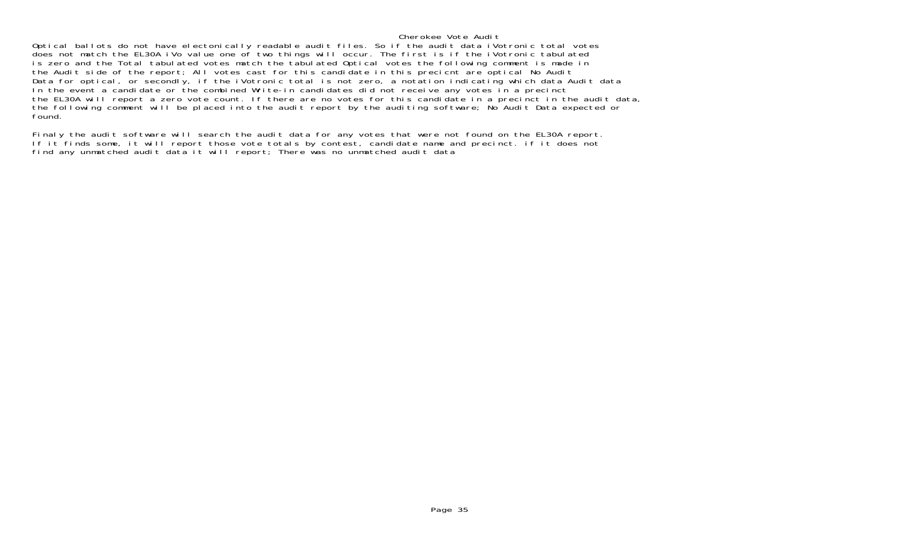## Cherokee Vote Audit

 Optical ballots do not have electonically readable audit files. So if the audit data iVotronic total votes does not match the EL30A iVo value one of two things will occur. The first is if the iVotronic tabulated is zero and the Total tabulated votes match the tabulated Optical votes the following comment is made in the Audit side of the report; All votes cast for this candidate in this precicnt are optical No Audit Data for optical, or secondly, if the iVotronic total is not zero, a notation indicating which data Audit data In the event a candidate or the combined Write-in candidates did not receive any votes in a precinct the EL30A will report a zero vote count. If there are no votes for this candidate in a precinct in the audit data, the following comment will be placed into the audit report by the auditing software; No Audit Data expected or found.

Finaly the audit software will search the audit data for any votes that were not found on the EL30A report. If it finds some, it will report those vote totals by contest, candidate name and precinct. if it does not find any unmatched audit data it will report; There was no unmatched audit data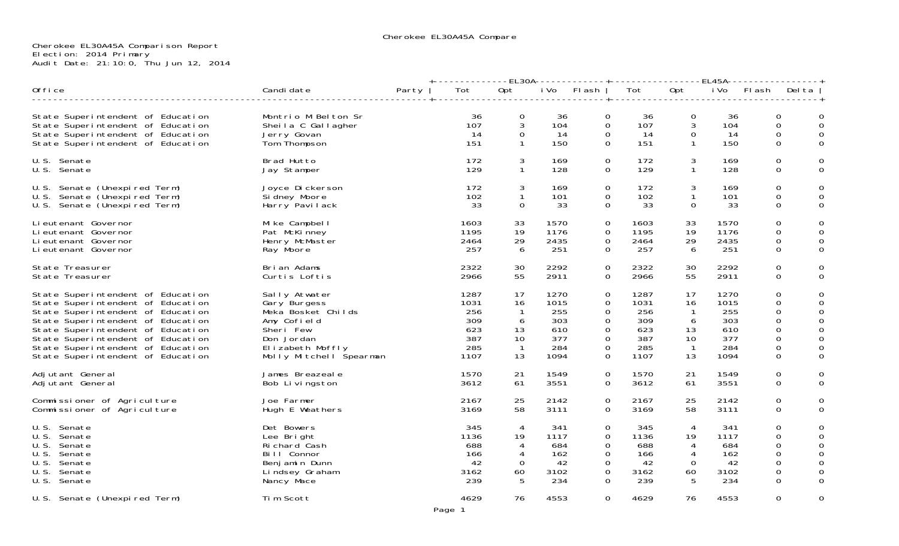### Cherokee EL30A45A Comparison Report Election: 2014 Primary Audit Date: 21:10:0, Thu Jun 12, 2014

|                                   |                         |       | +-------------EL30A-------------+-----------------EL45A----------------+ |                |      |                |      |                |      |                 |             |
|-----------------------------------|-------------------------|-------|--------------------------------------------------------------------------|----------------|------|----------------|------|----------------|------|-----------------|-------------|
| Office                            | Candi date              | Party | Tot                                                                      | Opt            |      | iVo Flash      | Tot  | Opt            |      | iVo Flash Delta |             |
| State Superintendent of Education | Montrio M Belton Sr     |       | 36                                                                       | $\overline{0}$ | 36   | $\mathbf{O}$   | 36   | $\mathbf{O}$   | 36   | 0               | 0           |
| State Superintendent of Education | Sheila C Gallagher      |       | 107                                                                      | 3              | 104  | $\overline{0}$ | 107  | 3              | 104  | $\mathsf{O}$    | 0           |
| State Superintendent of Education | Jerry Govan             |       | - 14                                                                     | $\mathbf{0}$   | 14   | $\overline{0}$ | 14   | $\overline{0}$ | - 14 | 0               | 0           |
| State Superintendent of Education | Tom Thompson            |       | 151                                                                      | $\mathbf{1}$   | 150  | $\Omega$       | 151  | $\mathbf{1}$   | 150  | 0               | 0           |
| U.S. Senate                       | Brad Hutto              |       | 172                                                                      | 3              | 169  | $\overline{0}$ | 172  | 3              | 169  | 0               | 0           |
| U.S. Senate                       | Jay Stamper             |       | 129                                                                      | $\mathbf{1}$   | 128  | $\mathbf{O}$   | 129  | $\mathbf{1}$   | 128  | 0               | 0           |
| U.S. Senate (Unexpired Term)      | Joyce Dickerson         |       | 172                                                                      | 3              | 169  | $\overline{0}$ | 172  | 3              | 169  | 0               | 0           |
| U.S. Senate (Unexpired Term)      | Si dney Moore           |       | 102                                                                      | $\mathbf{1}$   | 101  | 0              | 102  | $\mathbf{1}$   | 101  | 0               | 0           |
| U.S. Senate (Unexpired Term)      | Harry Pavilack          |       | 33                                                                       | $\overline{O}$ | 33   | $\Omega$       | 33   | $\Omega$       | 33   | 0               | 0           |
| Li eutenant Governor              | Mike Campbell           |       | 1603                                                                     | 33             | 1570 | $\mathbf 0$    | 1603 | 33             | 1570 | 0               | 0           |
| Li eutenant Governor              | Pat McKinney            |       | 1195                                                                     | 19             | 1176 | 0              | 1195 | 19             | 1176 | 0               | $\mathbf 0$ |
| Li eutenant Governor              | Henry McMaster          |       | 2464                                                                     | 29             | 2435 | $\overline{0}$ | 2464 | 29             | 2435 | $\mathsf{O}$    | 0           |
| Lieutenant Governor               | Ray Moore               |       | 257                                                                      | 6              | 251  | $\mathbf{O}$   | 257  | 6              | 251  | 0               | 0           |
| State Treasurer                   | Brian Adams             |       | 2322                                                                     | 30             | 2292 | $\mathbf{O}$   | 2322 | 30             | 2292 | 0               | 0           |
| State Treasurer                   | Curtis Loftis           |       | 2966                                                                     | 55             | 2911 | $\Omega$       | 2966 | 55             | 2911 | 0               | 0           |
| State Superintendent of Education | Sally Atwater           |       | 1287                                                                     | 17             | 1270 | $\overline{0}$ | 1287 | 17             | 1270 | 0               | 0           |
| State Superintendent of Education | Gary Burgess            |       | 1031                                                                     | 16             | 1015 | $\overline{0}$ | 1031 | 16             | 1015 | $\Omega$        | $\Omega$    |
| State Superintendent of Education | Meka Bosket Childs      |       | 256                                                                      | $\mathbf{1}$   | 255  | 0              | 256  | $\mathbf{1}$   | 255  | $\mathbf 0$     | 0           |
| State Superintendent of Education | Amy Cofield             |       | 309                                                                      | 6              | 303  | 0              | 309  | 6              | 303  | 0               | 0           |
| State Superintendent of Education | Sheri Few               |       | 623                                                                      | 13             | 610  | $\mathsf{O}$   | 623  | 13             | 610  | 0               | 0           |
| State Superintendent of Education | Don Jordan              |       | 387                                                                      | 10             | 377  | $\mathbf{0}$   | 387  | 10             | 377  | 0               | 0           |
| State Superintendent of Education | Elizabeth Moffly        |       | 285                                                                      | $\overline{1}$ | 284  | $\overline{0}$ | 285  | $\overline{1}$ | 284  | 0               | 0           |
| State Superintendent of Education | Molly Mitchell Spearman |       | 1107                                                                     | 13             | 1094 | $\Omega$       | 1107 | 13             | 1094 | $\Omega$        | 0           |
| Adjutant General                  | James Breazeale         |       | 1570                                                                     | 21             | 1549 | $\mathbf{O}$   | 1570 | 21             | 1549 | 0               | 0           |
| Adjutant General                  | Bob Livingston          |       | 3612                                                                     | 61             | 3551 | $\mathbf{O}$   | 3612 | 61             | 3551 | 0               | 0           |
| Commissioner of Agriculture       | Joe Farmer              |       | 2167                                                                     | 25             | 2142 | $\mathbf{O}$   | 2167 | 25             | 2142 | 0               | 0           |
| Commissioner of Agriculture       | Hugh E Weathers         |       | 3169                                                                     | 58             | 3111 | $\Omega$       | 3169 | 58             | 3111 | $\mathsf{O}$    | 0           |
| U.S. Senate                       | Det Bowers              |       | 345                                                                      | $\overline{4}$ | 341  | $\mathbf 0$    | 345  | $\overline{4}$ | 341  | 0               | 0           |
| U.S. Senate                       | Lee Bright              |       | 1136                                                                     | 19             | 1117 | 0              | 1136 | 19             | 1117 | 0               | 0           |
| U.S. Senate                       | Richard Cash            |       | 688                                                                      | 4              | 684  | $\mathbf{O}$   | 688  | 4              | 684  | 0               | $\mathbf 0$ |
| U.S. Senate                       | Bill Connor             |       | -166                                                                     | 4              | 162  | $\mathbf{O}$   | 166  | $\overline{4}$ | 162  | 0               | 0           |
| U.S. Senate                       | Benjamin Dunn           |       | 42                                                                       | $\Omega$       | 42   | $\overline{0}$ | 42   | $\Omega$       | 42   | 0               | 0           |
| U.S. Senate                       | Lindsey Graham          |       | 3162                                                                     | 60             | 3102 | $\overline{0}$ | 3162 | 60             | 3102 | $\Omega$        | 0           |
| U.S. Senate                       | Nancy Mace              |       | 239                                                                      | 5              | 234  | $\overline{0}$ | 239  | 5              | 234  | 0               | $\Omega$    |
| U.S. Senate (Unexpired Term)      | Tim Scott               |       | 4629<br>$D = 4$                                                          | 76             | 4553 | $\mathbf{O}$   | 4629 | 76             | 4553 | 0               | 0           |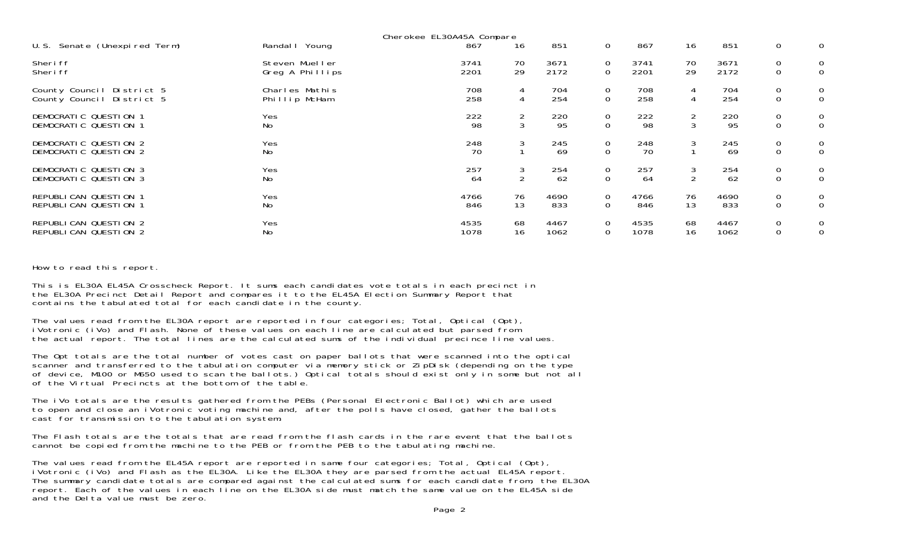| U.S. Senate (Unexpired Term)                                 | Randal I Young                  | Cherokee EL30A45A Compare<br>867 | 16                  | 851        | $\mathbf 0$                | 867        | 16                  | 851        | $\overline{0}$             | $\overline{0}$      |
|--------------------------------------------------------------|---------------------------------|----------------------------------|---------------------|------------|----------------------------|------------|---------------------|------------|----------------------------|---------------------|
| Sheri ff                                                     | Steven Mueller                  | 3741                             | 70                  | 3671       | $\overline{0}$             | 3741       | 70                  | 3671       | $\mathbf 0$                | 0                   |
| Sheri ff                                                     | Greg A Phillips                 | 2201                             | 29                  | 2172       | $\mathbf 0$                | 2201       | 29                  | 2172       | $\mathbf 0$                | $\overline{0}$      |
| District 5<br>County Council<br>District 5<br>County Council | Charles Mathis<br>Phillip McHam | 708<br>258                       | 4<br>$\overline{4}$ | 704<br>254 | $\mathbf 0$<br>$\mathsf O$ | 708<br>258 | 4<br>$\overline{4}$ | 704<br>254 | $\mathbf 0$<br>$\mathsf O$ | 0<br>$\overline{0}$ |
| DEMOCRATIC QUESTION 1                                        | Yes                             | 222                              | $\overline{2}$      | 220        | $\mathbf 0$                | 222        | 2                   | 220        | $\mathbf 0$                | $\overline{0}$      |
| DEMOCRATIC QUESTION 1                                        | <b>No</b>                       | 98                               | 3                   | 95         | $\mathbf 0$                | 98         | 3                   | 95         | $\mathsf O$                | $\overline{0}$      |
| DEMOCRATIC QUESTION 2<br>DEMOCRATIC QUESTION 2               | Yes<br>No                       | 248<br>70                        | 3                   | 245<br>69  | $\mathbf 0$<br>$\mathbf 0$ | 248<br>70  | 3                   | 245<br>69  | $\mathbf 0$<br>$\mathsf O$ | 0<br>$\overline{0}$ |
| DEMOCRATIC QUESTION 3                                        | Yes                             | 257                              | 3                   | 254        | $\mathbf 0$                | 257        | 3                   | 254        | $\mathbf 0$                | $\overline{0}$      |
| DEMOCRATIC QUESTION 3                                        | No                              | 64                               | $\overline{2}$      | 62         | $\mathbf 0$                | 64         | $\overline{2}$      | 62         | $\mathbf 0$                | $\mathbf 0$         |
| REPUBLICAN QUESTION 1                                        | Yes                             | 4766                             | 76                  | 4690       | $\mathbf 0$                | 4766       | 76                  | 4690       | $\mathbf 0$                | $\overline{0}$      |
| REPUBLICAN QUESTION 1                                        | <b>No</b>                       | 846                              | 13                  | 833        | $\mathbf 0$                | 846        | 13                  | 833        | $\mathsf O$                | $\mathbf{O}$        |
| REPUBLICAN QUESTION 2                                        | Yes                             | 4535                             | 68                  | 4467       | $\overline{0}$             | 4535       | 68                  | 4467       | $\mathbf 0$                | 0                   |
| REPUBLICAN QUESTION 2                                        | No                              | 1078                             | 16                  | 1062       | $\mathbf 0$                | 1078       | 16                  | 1062       | $\mathbf 0$                | $\overline{0}$      |

How to read this report.

This is EL30A EL45A Crosscheck Report. It sums each candidates vote totals in each precinct in the EL30A Precinct Detail Report and compares it to the EL45A Election Summary Report that contains the tabulated total for each candidate in the county.

The values read from the EL30A report are reported in four categories; Total, Optical (Opt), iVotronic (iVo) and Flash. None of these values on each line are calculated but parsed from the actual report. The total lines are the calculated sums of the individual precince line values.

The Opt totals are the total number of votes cast on paper ballots that were scanned into the optical scanner and transferred to the tabulation computer via memory stick or ZipDisk (depending on the type of device, M100 or M650 used to scan the ballots.) Optical totals should exist only in some but not all of the Virtual Precincts at the bottom of the table.

The iVo totals are the results gathered from the PEBs (Personal Electronic Ballot) which are used to open and close an iVotronic voting machine and, after the polls have closed, gather the ballots cast for transmission to the tabulation system.

The Flash totals are the totals that are read from the flash cards in the rare event that the ballotscannot be copied from the machine to the PEB or from the PEB to the tabulating machine.

The values read from the EL45A report are reported in same four categories; Total, Optical (Opt), iVotronic (iVo) and Flash as the EL30A. Like the EL30A they are parsed from the actual EL45A report. The summary candidate totals are compared against the calculated sums for each candidate from, the EL30A report. Each of the values in each line on the EL30A side must match the same value on the EL45A side and the Delta value must be zero.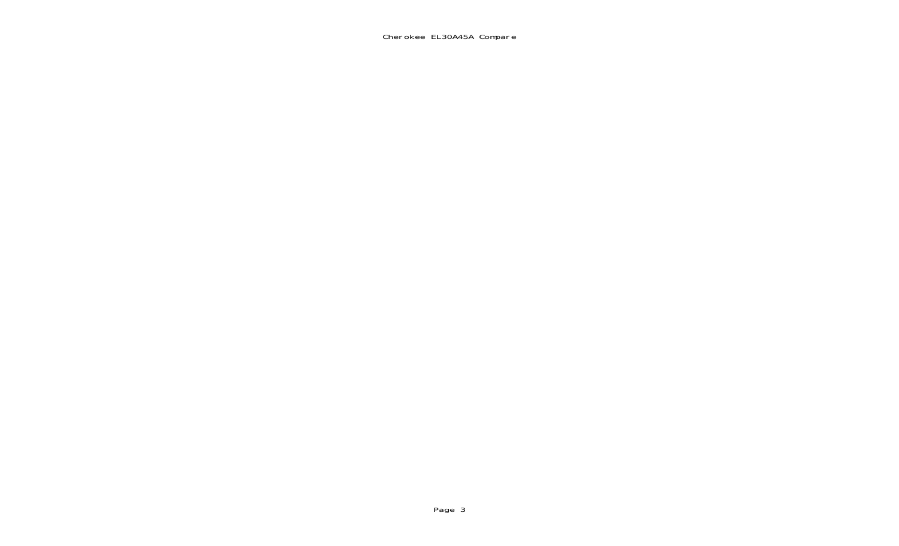Cherokee EL30A45A Compare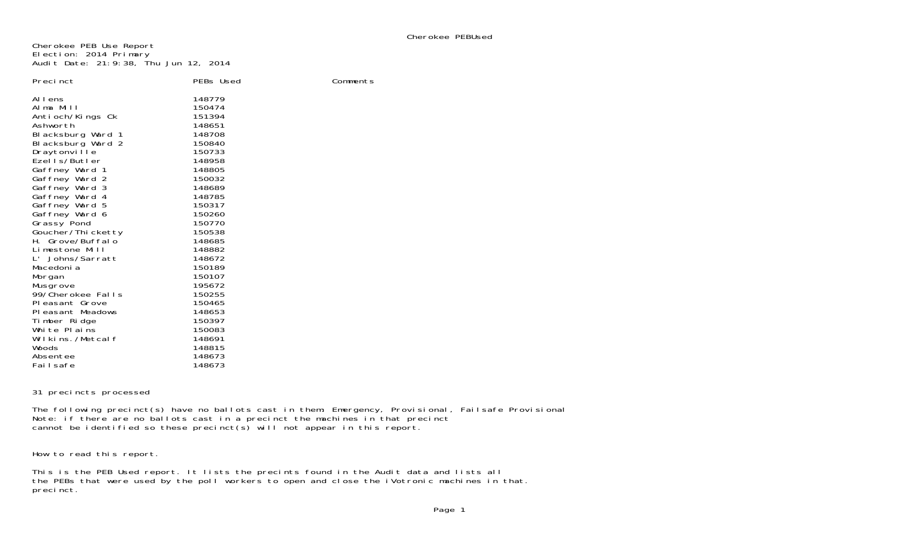Cherokee PEB Use Report Election: 2014 Primary Audit Date: 21:9:38, Thu Jun 12, 2014

| Preci nct         | PEBs Used | Comments |
|-------------------|-----------|----------|
| Al I ens          | 148779    |          |
| Alma Mill         | 150474    |          |
| Antioch/Kings Ck  | 151394    |          |
| Ashworth          | 148651    |          |
| Blacksburg Ward 1 | 148708    |          |
| Blacksburg Ward 2 | 150840    |          |
| Draytonville      | 150733    |          |
| Ezells/Butler     | 148958    |          |
| Gaffney Ward 1    | 148805    |          |
| Gaffney Ward 2    | 150032    |          |
| Gaffney Ward 3    | 148689    |          |
| Gaffney Ward 4    | 148785    |          |
| Gaffney Ward 5    | 150317    |          |
| Gaffney Ward 6    | 150260    |          |
| Grassy Pond       | 150770    |          |
| Goucher/Thicketty | 150538    |          |
| H. Grove/Buffalo  | 148685    |          |
| Limestone Mill    | 148882    |          |
| L' Johns/Sarratt  | 148672    |          |
| Macedoni a        | 150189    |          |
| Morgan            | 150107    |          |
| Musgrove          | 195672    |          |
| 99/Cherokee Falls | 150255    |          |
| Pleasant Grove    | 150465    |          |
| Pleasant Meadows  | 148653    |          |
| Timber Ridge      | 150397    |          |
| White Plains      | 150083    |          |
| Wilkins./Metcalf  | 148691    |          |
| Woods             | 148815    |          |
| Absentee          | 148673    |          |
| Fai I safe        | 148673    |          |

## 31 precincts processed

The following precinct(s) have no ballots cast in them: Emergency, Provisional, Failsafe Provisiona Note: if there are no ballots cast in a precinct the machines in that precinct cannot be identified so these precinct(s) will not appear in this report.

How to read this report.

This is the PEB Used report. It lists the precints found in the Audit data and lists all the PEBs that were used by the poll workers to open and close the iVotronic machines in that. precinct.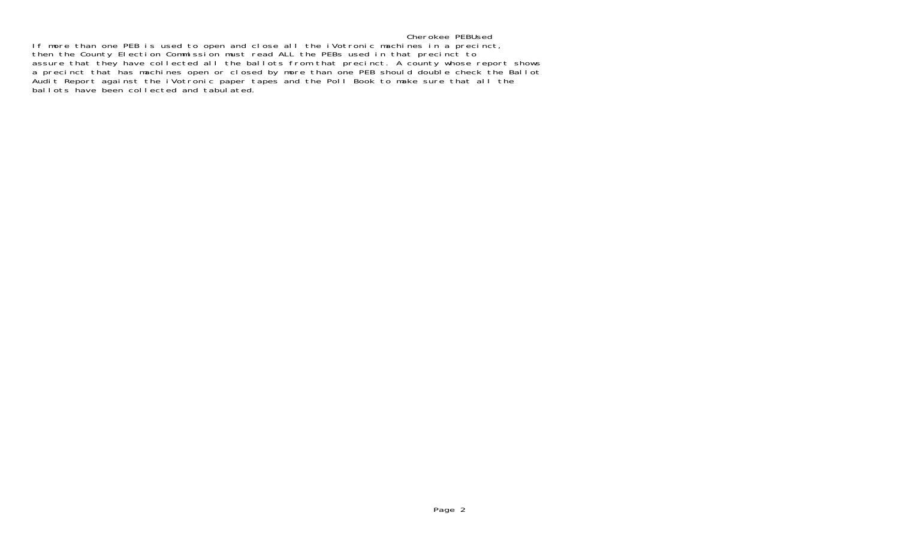# Cherokee PEBUsed

If more than one PEB is used to open and close all the iVotronic machines in a precinct then the County Election Commission must read ALL the PEBs used in that precinct to assure that they have collected all the ballots from that precinct. A county whose report shows a precinct that has machines open or closed by more than one PEB should double check the Ballot Audit Report against the iVotronic paper tapes and the Poll Book to make sure that all the ballots have been collected and tabulated.